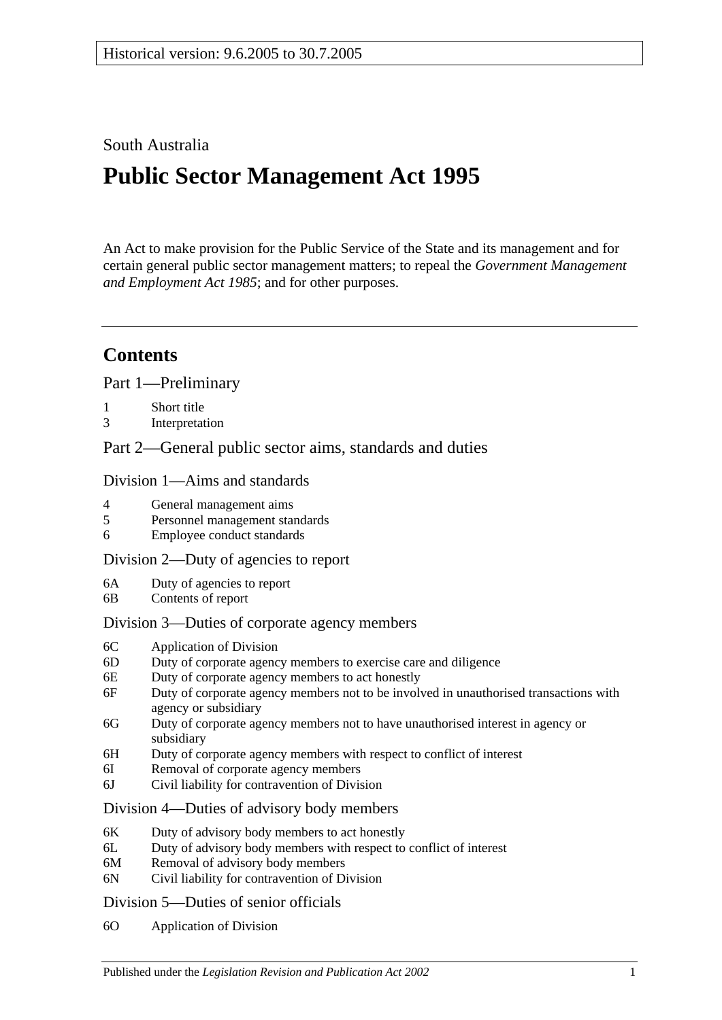## South Australia

# **Public Sector Management Act 1995**

An Act to make provision for the Public Service of the State and its management and for certain general public sector management matters; to repeal the *[Government Management](http://www.legislation.sa.gov.au/index.aspx?action=legref&type=act&legtitle=Government%20Management%20and%20Employment%20Act%201985)  [and Employment Act](http://www.legislation.sa.gov.au/index.aspx?action=legref&type=act&legtitle=Government%20Management%20and%20Employment%20Act%201985) 1985*; and for other purposes.

## **Contents**

[Part 1—Preliminary](#page-5-0)

- 1 [Short title](#page-5-1)
- 3 [Interpretation](#page-5-2)

[Part 2—General public sector aims, standards and duties](#page-9-0)

#### [Division 1—Aims and standards](#page-9-1)

- 4 [General management aims](#page-9-2)
- 5 [Personnel management standards](#page-10-0)
- 6 [Employee conduct standards](#page-10-1)

#### [Division 2—Duty of agencies to report](#page-11-0)

- 6A [Duty of agencies to report](#page-11-1)
- 6B [Contents of report](#page-11-2)

#### [Division 3—Duties of corporate agency members](#page-11-3)

- 6C [Application of Division](#page-11-4)
- 6D [Duty of corporate agency members to exercise care and diligence](#page-11-5)
- 6E [Duty of corporate agency members to act honestly](#page-12-0)
- 6F [Duty of corporate agency members not to be involved in unauthorised transactions with](#page-12-1)  [agency or subsidiary](#page-12-1)
- 6G [Duty of corporate agency members not to have unauthorised interest in agency or](#page-13-0)  [subsidiary](#page-13-0)
- 6H [Duty of corporate agency members with respect to conflict of interest](#page-13-1)
- 6I [Removal of corporate agency members](#page-14-0)
- 6J [Civil liability for contravention of Division](#page-14-1)

#### [Division 4—Duties of advisory body members](#page-15-0)

- 6K [Duty of advisory body members to act honestly](#page-15-1)
- 6L [Duty of advisory body members with respect to conflict of interest](#page-15-2)
- 6M [Removal of advisory body members](#page-16-0)
- 6N [Civil liability for contravention of Division](#page-16-1)

#### [Division 5—Duties of senior officials](#page-16-2)

6O [Application of Division](#page-16-3)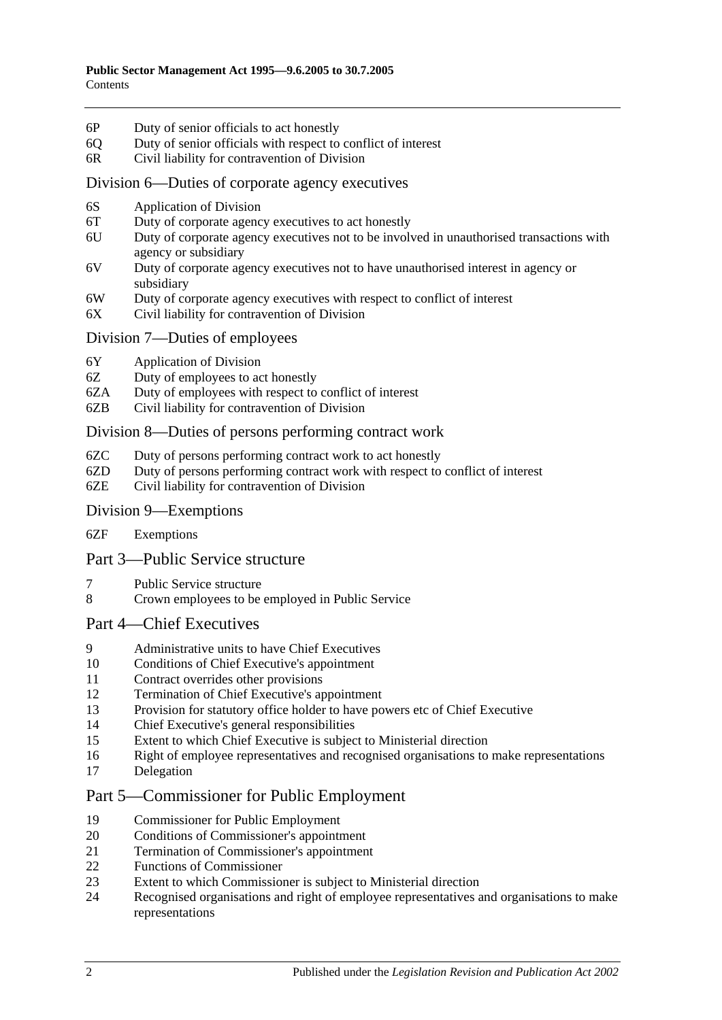- 6P [Duty of senior officials to act honestly](#page-16-4)
- 6Q [Duty of senior officials with respect to conflict of interest](#page-16-5)
- 6R [Civil liability for contravention of Division](#page-17-0)

#### [Division 6—Duties of corporate agency executives](#page-18-0)

- 6S [Application of Division](#page-18-1)
- 6T [Duty of corporate agency executives to act honestly](#page-18-2)
- 6U [Duty of corporate agency executives not to be involved in unauthorised transactions with](#page-18-3)  [agency or subsidiary](#page-18-3)
- 6V [Duty of corporate agency executives not to have unauthorised interest in agency or](#page-19-0)  [subsidiary](#page-19-0)
- 6W [Duty of corporate agency executives with respect to conflict of interest](#page-19-1)
- 6X [Civil liability for contravention of Division](#page-20-0)

#### [Division 7—Duties of employees](#page-20-1)

- 6Y [Application of Division](#page-20-2)
- 6Z [Duty of employees to act honestly](#page-21-0)
- 6ZA [Duty of employees with respect to conflict of interest](#page-21-1)
- 6ZB [Civil liability for contravention of Division](#page-22-0)

#### [Division 8—Duties of persons performing contract work](#page-22-1)

- 6ZC [Duty of persons performing contract work to act honestly](#page-22-2)
- 6ZD [Duty of persons performing contract work with respect to conflict of interest](#page-22-3)
- 6ZE [Civil liability for contravention of Division](#page-23-0)

#### [Division 9—Exemptions](#page-24-0)

6ZF [Exemptions](#page-24-1)

#### [Part 3—Public Service structure](#page-24-2)

- 7 [Public Service structure](#page-24-3)
- 8 [Crown employees to be employed in Public Service](#page-25-0)

#### [Part 4—Chief Executives](#page-25-1)

- 9 [Administrative units to have Chief Executives](#page-25-2)
- 10 [Conditions of Chief Executive's appointment](#page-25-3)
- 11 [Contract overrides other provisions](#page-26-0)
- 12 [Termination of Chief Executive's appointment](#page-26-1)
- 13 [Provision for statutory office holder to have powers etc of Chief Executive](#page-27-0)
- 14 [Chief Executive's general responsibilities](#page-27-1)
- 15 [Extent to which Chief Executive is subject to Ministerial direction](#page-27-2)
- 16 [Right of employee representatives and recognised organisations to make representations](#page-27-3)
- 17 [Delegation](#page-28-0)

## [Part 5—Commissioner for Public Employment](#page-28-1)

- 19 [Commissioner for Public Employment](#page-28-2)
- 20 [Conditions of Commissioner's appointment](#page-28-3)
- 21 [Termination of Commissioner's appointment](#page-28-4)
- 22 Functions [of Commissioner](#page-29-0)
- 23 [Extent to which Commissioner is subject to Ministerial direction](#page-30-0)<br>24 Recognised organisations and right of employee representatives a
- 24 [Recognised organisations and right of employee representatives and organisations to make](#page-30-1)  [representations](#page-30-1)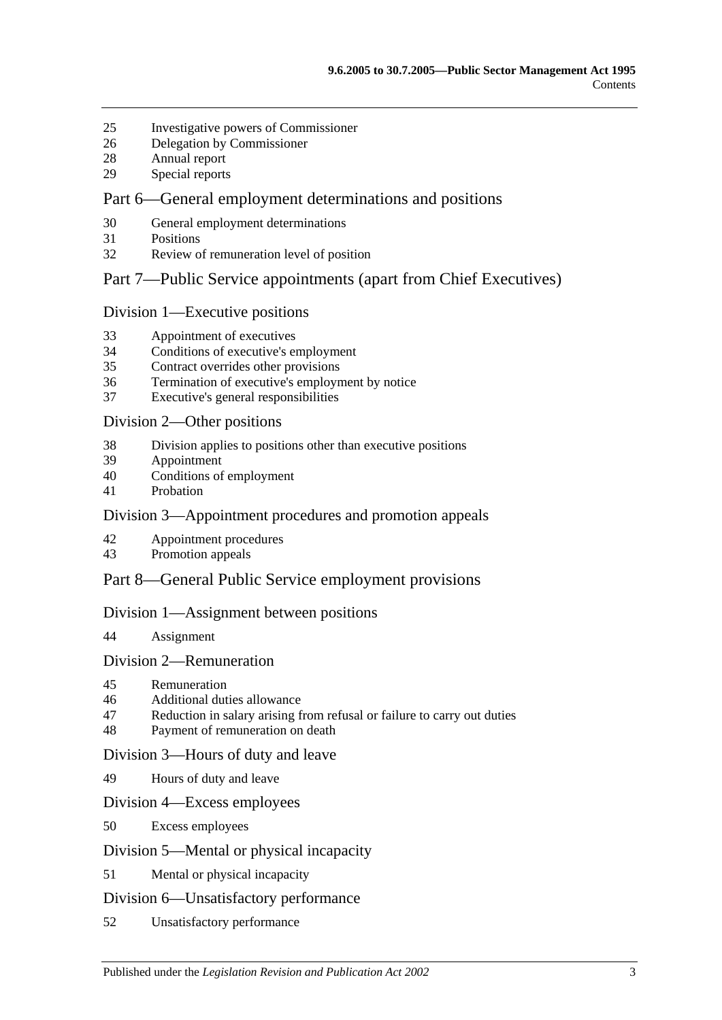- [Investigative powers of Commissioner](#page-31-0)
- [Delegation by Commissioner](#page-32-0)
- [Annual report](#page-32-1)
- [Special reports](#page-33-0)

## [Part 6—General employment determinations and positions](#page-33-1)

- [General employment determinations](#page-33-2)
- [Positions](#page-34-0)
- [Review of remuneration level of position](#page-34-1)

#### [Part 7—Public Service appointments \(apart from Chief Executives\)](#page-35-0)

#### [Division 1—Executive positions](#page-35-1)

- [Appointment of executives](#page-35-2)
- [Conditions of executive's employment](#page-36-0)
- [Contract overrides other provisions](#page-37-0)
- [Termination of executive's employment by notice](#page-37-1)
- [Executive's general responsibilities](#page-38-0)

#### [Division 2—Other positions](#page-38-1)

- [Division applies to positions other than executive positions](#page-38-2)
- [Appointment](#page-38-3)
- [Conditions of employment](#page-38-4)
- [Probation](#page-39-0)

## [Division 3—Appointment procedures and promotion appeals](#page-40-0)

- [Appointment procedures](#page-40-1)
- [Promotion appeals](#page-41-0)

## [Part 8—General Public Service employment provisions](#page-42-0)

#### [Division 1—Assignment between positions](#page-42-1)

[Assignment](#page-42-2)

#### [Division 2—Remuneration](#page-42-3)

- [Remuneration](#page-42-4)
- [Additional duties allowance](#page-42-5)
- [Reduction in salary arising from refusal or failure to carry out duties](#page-43-0)
- [Payment of remuneration on death](#page-43-1)

#### [Division 3—Hours of duty and leave](#page-43-2)

[Hours of duty and leave](#page-43-3)

#### [Division 4—Excess employees](#page-43-4)

[Excess employees](#page-43-5)

#### [Division 5—Mental or physical incapacity](#page-44-0)

[Mental or physical incapacity](#page-44-1)

#### [Division 6—Unsatisfactory performance](#page-46-0)

[Unsatisfactory performance](#page-46-1)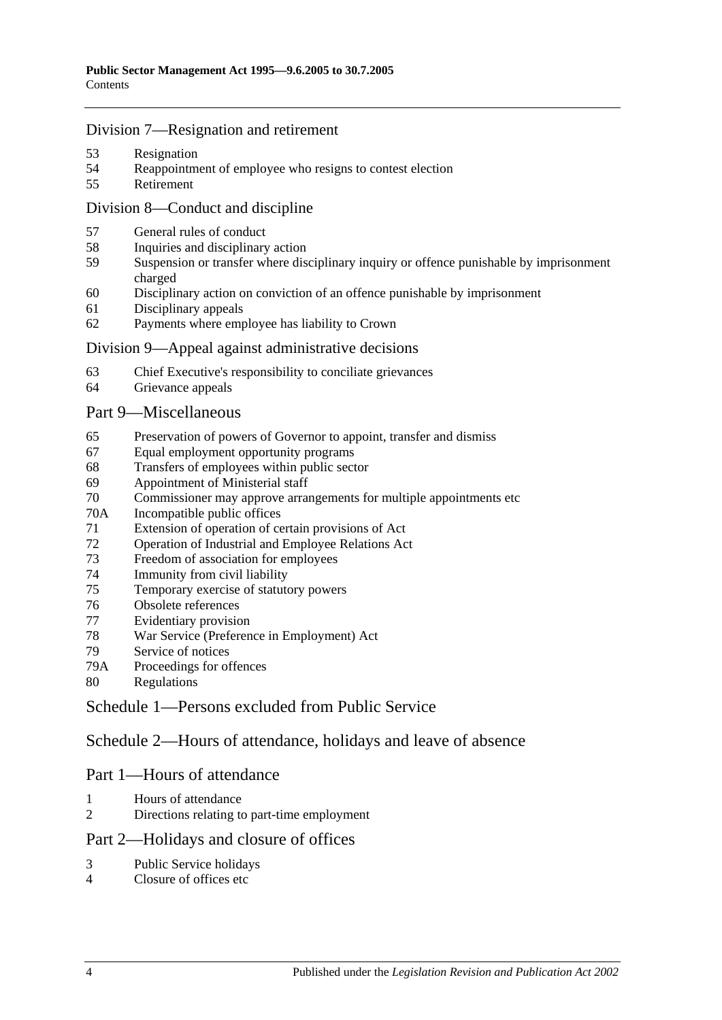#### [Division 7—Resignation and retirement](#page-47-0)

- [Resignation](#page-47-1)
- [Reappointment of employee who resigns to contest election](#page-47-2)
- [Retirement](#page-47-3)

## [Division 8—Conduct and discipline](#page-47-4)

- [General rules of conduct](#page-47-5)
- [Inquiries and disciplinary action](#page-48-0)
- [Suspension or transfer where disciplinary inquiry or offence punishable by imprisonment](#page-49-0)  [charged](#page-49-0)
- [Disciplinary action on conviction of an offence punishable by imprisonment](#page-50-0)
- [Disciplinary appeals](#page-51-0)
- [Payments where employee has liability to Crown](#page-51-1)

#### [Division 9—Appeal against administrative decisions](#page-52-0)

- [Chief Executive's responsibility to conciliate grievances](#page-52-1)
- [Grievance appeals](#page-52-2)

#### [Part 9—Miscellaneous](#page-52-3)

- [Preservation of powers of Governor to appoint, transfer and dismiss](#page-52-4)
- [Equal employment opportunity programs](#page-53-0)
- [Transfers of employees within public sector](#page-53-1)
- [Appointment of Ministerial staff](#page-53-2)
- [Commissioner may approve arrangements for multiple appointments etc](#page-54-0)
- 70A [Incompatible public offices](#page-54-1)
- [Extension of operation of certain provisions of Act](#page-55-0)
- [Operation of Industrial and Employee Relations Act](#page-55-1)
- [Freedom of association for employees](#page-55-2)
- [Immunity from civil liability](#page-56-0)
- [Temporary exercise of statutory powers](#page-56-1)
- [Obsolete references](#page-56-2)
- [Evidentiary provision](#page-56-3)
- [War Service \(Preference in Employment\) Act](#page-57-0)
- [Service of notices](#page-57-1)
- 79A [Proceedings for offences](#page-57-2)
- [Regulations](#page-57-3)

[Schedule 1—Persons excluded from Public Service](#page-57-4)

[Schedule 2—Hours of attendance, holidays and leave of absence](#page-58-0)

## Part 1—Hours of attendance

- [Hours of attendance](#page-58-1)
- [Directions relating to part-time employment](#page-59-0)

## Part 2—Holidays and closure of offices

- [Public Service holidays](#page-59-1)
- [Closure of offices etc](#page-59-2)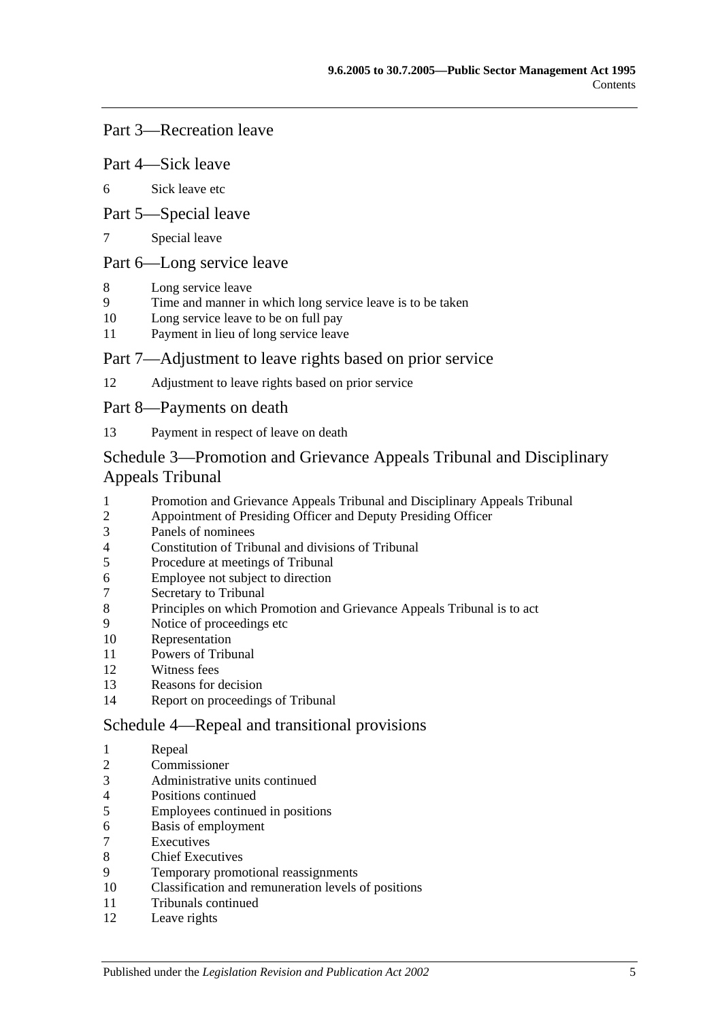### Part 3—Recreation leave

- Part 4—Sick leave
- [Sick leave etc](#page-60-0)
- Part 5—Special leave
- [Special leave](#page-61-0)

#### Part 6—Long service leave

- [Long service leave](#page-62-0)
- [Time and manner in which long service leave is to be taken](#page-62-1)
- [Long service leave to be on full pay](#page-62-2)
- [Payment in lieu of long service leave](#page-63-0)

#### Part 7—Adjustment to leave rights based on prior service

[Adjustment to leave rights based on prior service](#page-63-1)

#### Part 8—Payments on death

[Payment in respect of leave on death](#page-64-0)

## [Schedule 3—Promotion and Grievance Appeals Tribunal and Disciplinary](#page-64-1)  [Appeals Tribunal](#page-64-1)

- [Promotion and Grievance Appeals Tribunal and Disciplinary Appeals Tribunal](#page-64-2)<br>2 Appointment of Presiding Officer and Deputy Presiding Officer
- [Appointment of Presiding Officer and Deputy Presiding Officer](#page-64-3)
- [Panels of nominees](#page-65-0)
- [Constitution of Tribunal and divisions of Tribunal](#page-66-0)
- [Procedure at meetings of Tribunal](#page-66-1)
- [Employee not subject to direction](#page-67-0)
- [Secretary to Tribunal](#page-67-1)
- [Principles on which Promotion and Grievance Appeals Tribunal is to act](#page-67-2)
- [Notice of proceedings etc](#page-67-3)
- [Representation](#page-67-4)
- [Powers of Tribunal](#page-67-5)
- [Witness fees](#page-68-0)
- [Reasons for decision](#page-68-1)
- [Report on proceedings of Tribunal](#page-68-2)

#### [Schedule 4—Repeal and transitional provisions](#page-68-3)

- [Repeal](#page-68-4)
- [Commissioner](#page-69-0)
- [Administrative units continued](#page-69-1)
- [Positions continued](#page-69-2)
- [Employees continued in positions](#page-69-3)
- [Basis of employment](#page-69-4)
- **[Executives](#page-70-0)**
- [Chief Executives](#page-70-1)
- [Temporary promotional reassignments](#page-72-0)
- [Classification and remuneration levels of positions](#page-72-1)
- [Tribunals continued](#page-72-2)
- [Leave rights](#page-72-3)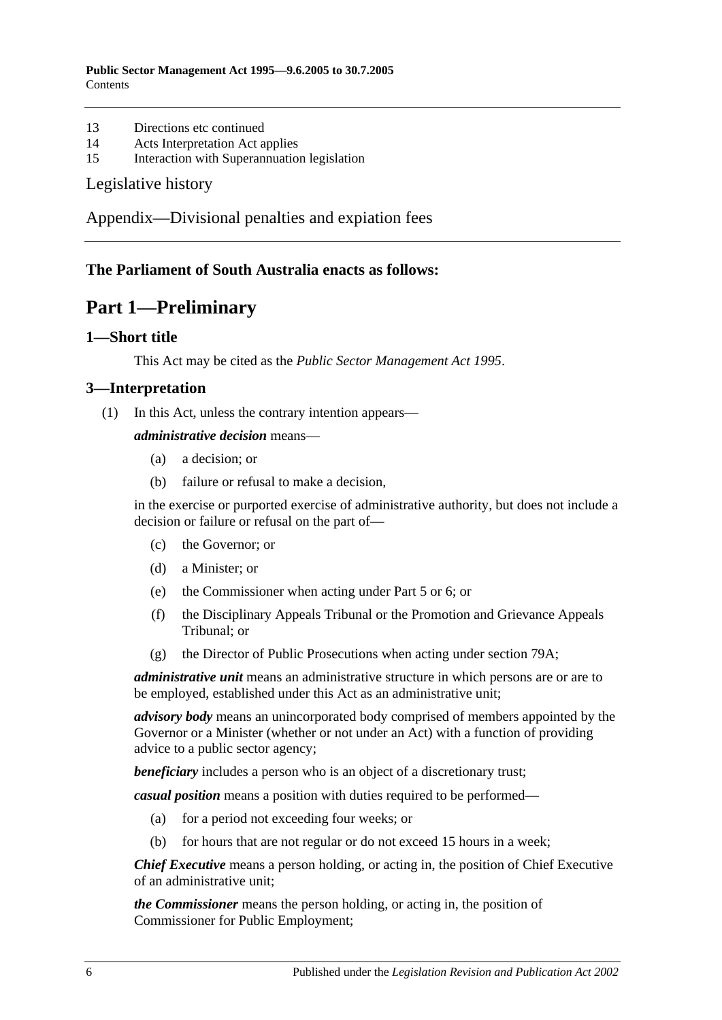- 13 [Directions etc continued](#page-72-4)
- 14 [Acts Interpretation Act applies](#page-72-5)
- 15 [Interaction with Superannuation legislation](#page-72-6)

#### [Legislative history](#page-73-0)

[Appendix—Divisional penalties and expiation fees](#page-76-0)

## <span id="page-5-0"></span>**The Parliament of South Australia enacts as follows:**

## **Part 1—Preliminary**

#### <span id="page-5-1"></span>**1—Short title**

This Act may be cited as the *Public Sector Management Act 1995*.

#### <span id="page-5-2"></span>**3—Interpretation**

(1) In this Act, unless the contrary intention appears—

#### *administrative decision* means—

- (a) a decision; or
- (b) failure or refusal to make a decision,

in the exercise or purported exercise of administrative authority, but does not include a decision or failure or refusal on the part of—

- (c) the Governor; or
- (d) a Minister; or
- (e) the Commissioner when acting under [Part 5](#page-28-1) or [6;](#page-33-1) or
- (f) the Disciplinary Appeals Tribunal or the Promotion and Grievance Appeals Tribunal; or
- (g) the Director of Public Prosecutions when acting under [section](#page-57-2) 79A;

*administrative unit* means an administrative structure in which persons are or are to be employed, established under this Act as an administrative unit;

*advisory body* means an unincorporated body comprised of members appointed by the Governor or a Minister (whether or not under an Act) with a function of providing advice to a public sector agency;

**beneficiary** includes a person who is an object of a discretionary trust;

*casual position* means a position with duties required to be performed—

- (a) for a period not exceeding four weeks; or
- (b) for hours that are not regular or do not exceed 15 hours in a week;

*Chief Executive* means a person holding, or acting in, the position of Chief Executive of an administrative unit;

*the Commissioner* means the person holding, or acting in, the position of Commissioner for Public Employment;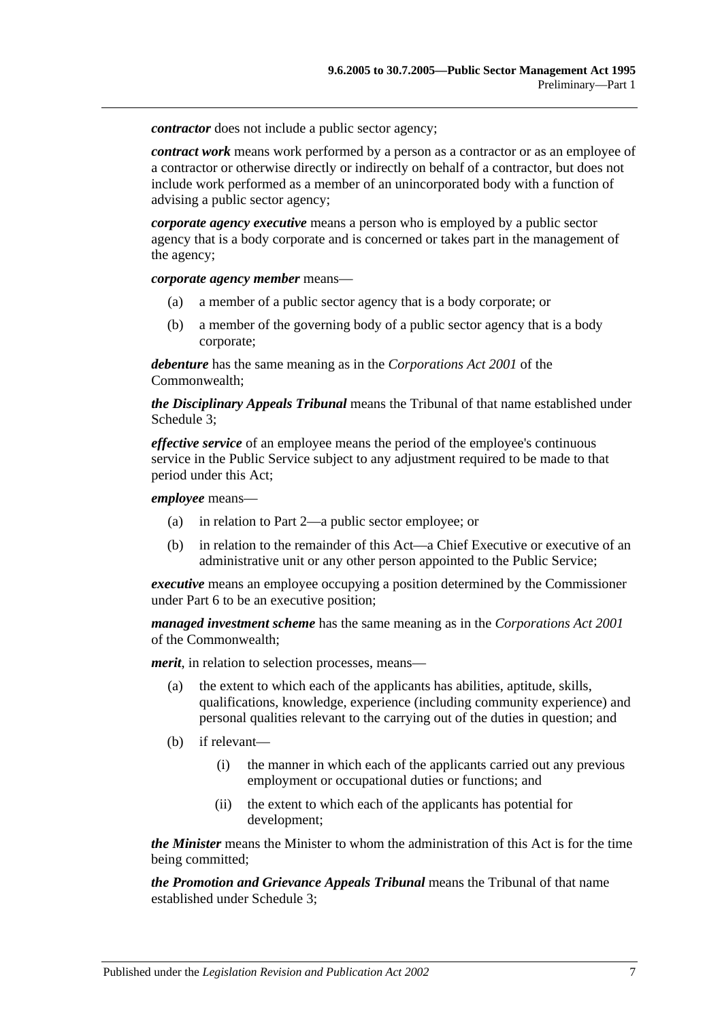*contractor* does not include a public sector agency:

*contract work* means work performed by a person as a contractor or as an employee of a contractor or otherwise directly or indirectly on behalf of a contractor, but does not include work performed as a member of an unincorporated body with a function of advising a public sector agency;

*corporate agency executive* means a person who is employed by a public sector agency that is a body corporate and is concerned or takes part in the management of the agency;

*corporate agency member* means—

- (a) a member of a public sector agency that is a body corporate; or
- (b) a member of the governing body of a public sector agency that is a body corporate;

*debenture* has the same meaning as in the *Corporations Act 2001* of the Commonwealth;

*the Disciplinary Appeals Tribunal* means the Tribunal of that name established under [Schedule 3;](#page-64-1)

*effective service* of an employee means the period of the employee's continuous service in the Public Service subject to any adjustment required to be made to that period under this Act;

*employee* means—

- (a) in relation to [Part 2—](#page-9-0)a public sector employee; or
- (b) in relation to the remainder of this Act—a Chief Executive or executive of an administrative unit or any other person appointed to the Public Service;

*executive* means an employee occupying a position determined by the Commissioner under [Part 6](#page-33-1) to be an executive position;

*managed investment scheme* has the same meaning as in the *Corporations Act 2001* of the Commonwealth;

*merit*, in relation to selection processes, means—

- (a) the extent to which each of the applicants has abilities, aptitude, skills, qualifications, knowledge, experience (including community experience) and personal qualities relevant to the carrying out of the duties in question; and
- (b) if relevant—
	- (i) the manner in which each of the applicants carried out any previous employment or occupational duties or functions; and
	- (ii) the extent to which each of the applicants has potential for development;

*the Minister* means the Minister to whom the administration of this Act is for the time being committed;

*the Promotion and Grievance Appeals Tribunal* means the Tribunal of that name established under [Schedule 3;](#page-64-1)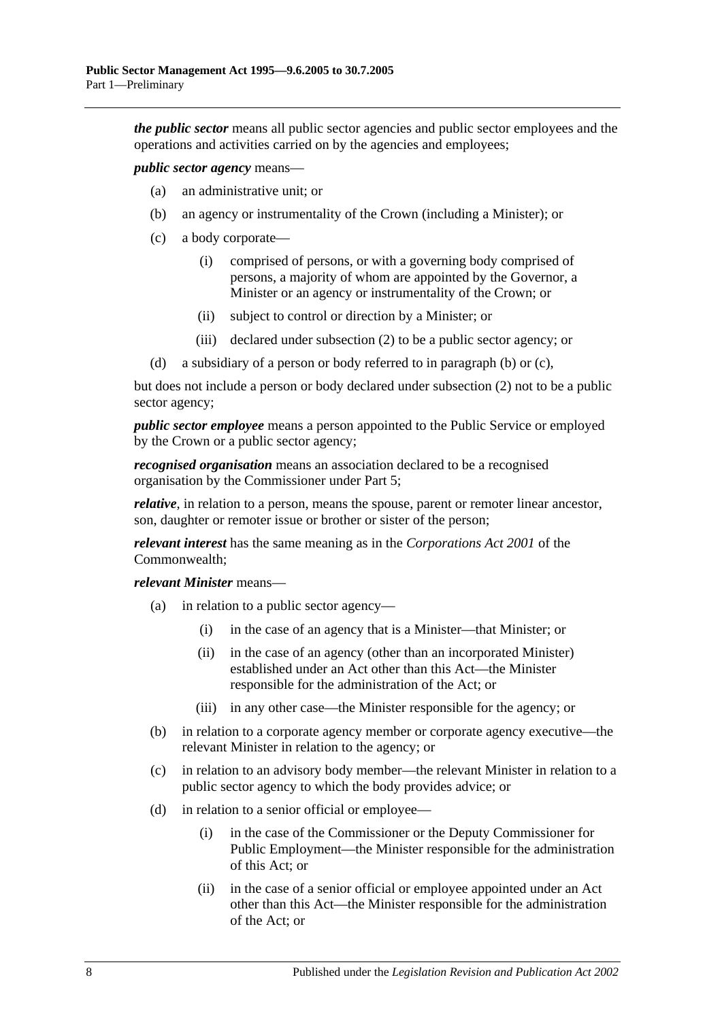*the public sector* means all public sector agencies and public sector employees and the operations and activities carried on by the agencies and employees;

<span id="page-7-0"></span>*public sector agency* means—

- (a) an administrative unit; or
- (b) an agency or instrumentality of the Crown (including a Minister); or
- <span id="page-7-1"></span>(c) a body corporate—
	- (i) comprised of persons, or with a governing body comprised of persons, a majority of whom are appointed by the Governor, a Minister or an agency or instrumentality of the Crown; or
	- (ii) subject to control or direction by a Minister; or
	- (iii) declared under [subsection](#page-9-3) (2) to be a public sector agency; or
- (d) a subsidiary of a person or body referred to in [paragraph](#page-7-0) (b) or [\(c\),](#page-7-1)

but does not include a person or body declared under [subsection](#page-9-3) (2) not to be a public sector agency;

*public sector employee* means a person appointed to the Public Service or employed by the Crown or a public sector agency;

*recognised organisation* means an association declared to be a recognised organisation by the Commissioner under [Part 5;](#page-28-1)

*relative*, in relation to a person, means the spouse, parent or remoter linear ancestor, son, daughter or remoter issue or brother or sister of the person;

*relevant interest* has the same meaning as in the *Corporations Act 2001* of the Commonwealth;

*relevant Minister* means—

- (a) in relation to a public sector agency—
	- (i) in the case of an agency that is a Minister—that Minister; or
	- (ii) in the case of an agency (other than an incorporated Minister) established under an Act other than this Act—the Minister responsible for the administration of the Act; or
	- (iii) in any other case—the Minister responsible for the agency; or
- (b) in relation to a corporate agency member or corporate agency executive—the relevant Minister in relation to the agency; or
- (c) in relation to an advisory body member—the relevant Minister in relation to a public sector agency to which the body provides advice; or
- (d) in relation to a senior official or employee—
	- (i) in the case of the Commissioner or the Deputy Commissioner for Public Employment—the Minister responsible for the administration of this Act; or
	- (ii) in the case of a senior official or employee appointed under an Act other than this Act—the Minister responsible for the administration of the Act; or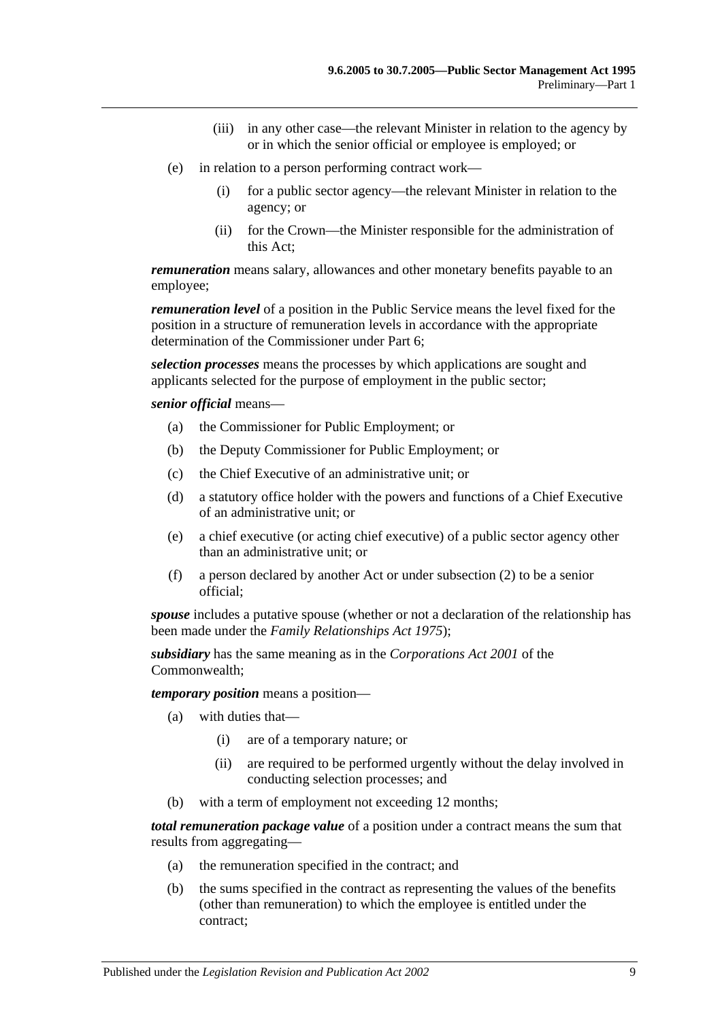- (iii) in any other case—the relevant Minister in relation to the agency by or in which the senior official or employee is employed; or
- (e) in relation to a person performing contract work—
	- (i) for a public sector agency—the relevant Minister in relation to the agency; or
	- (ii) for the Crown—the Minister responsible for the administration of this Act;

*remuneration* means salary, allowances and other monetary benefits payable to an employee;

*remuneration level* of a position in the Public Service means the level fixed for the position in a structure of remuneration levels in accordance with the appropriate determination of the Commissioner under [Part 6;](#page-33-1)

*selection processes* means the processes by which applications are sought and applicants selected for the purpose of employment in the public sector;

*senior official* means—

- (a) the Commissioner for Public Employment; or
- (b) the Deputy Commissioner for Public Employment; or
- (c) the Chief Executive of an administrative unit; or
- (d) a statutory office holder with the powers and functions of a Chief Executive of an administrative unit; or
- (e) a chief executive (or acting chief executive) of a public sector agency other than an administrative unit; or
- (f) a person declared by another Act or under [subsection](#page-9-3) (2) to be a senior official;

*spouse* includes a putative spouse (whether or not a declaration of the relationship has been made under the *[Family Relationships Act](http://www.legislation.sa.gov.au/index.aspx?action=legref&type=act&legtitle=Family%20Relationships%20Act%201975) 1975*);

*subsidiary* has the same meaning as in the *Corporations Act 2001* of the Commonwealth;

*temporary position* means a position—

- (a) with duties that—
	- (i) are of a temporary nature; or
	- (ii) are required to be performed urgently without the delay involved in conducting selection processes; and
- (b) with a term of employment not exceeding 12 months;

*total remuneration package value* of a position under a contract means the sum that results from aggregating—

- (a) the remuneration specified in the contract; and
- (b) the sums specified in the contract as representing the values of the benefits (other than remuneration) to which the employee is entitled under the contract;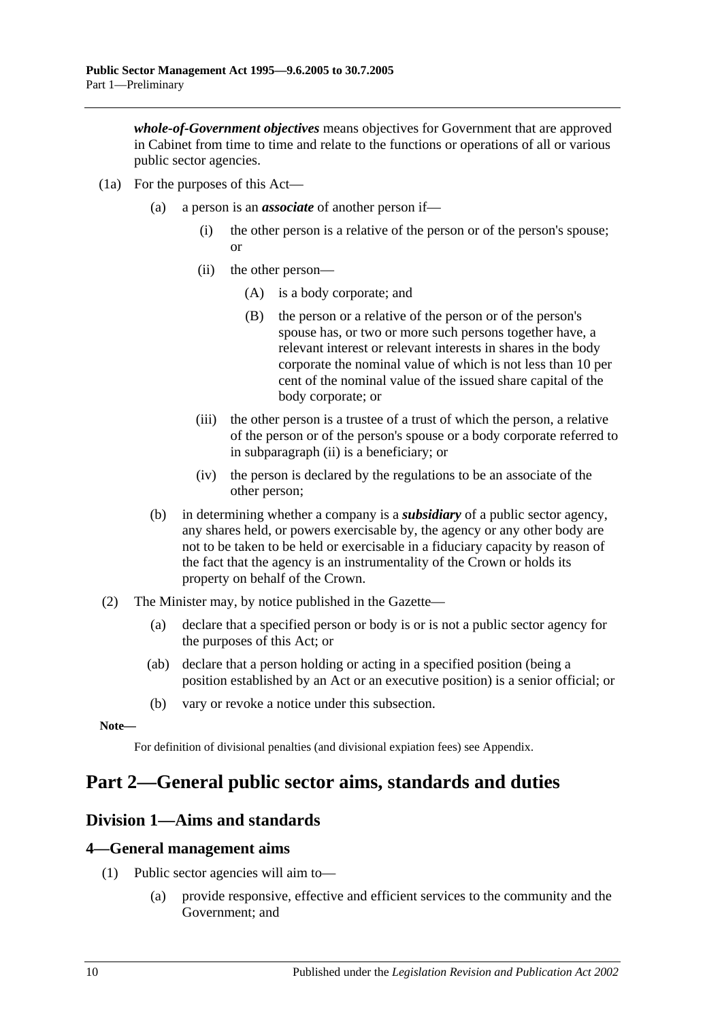*whole-of-Government objectives* means objectives for Government that are approved in Cabinet from time to time and relate to the functions or operations of all or various public sector agencies.

- <span id="page-9-4"></span>(1a) For the purposes of this Act—
	- (a) a person is an *associate* of another person if—
		- (i) the other person is a relative of the person or of the person's spouse; or
		- (ii) the other person—
			- (A) is a body corporate; and
			- (B) the person or a relative of the person or of the person's spouse has, or two or more such persons together have, a relevant interest or relevant interests in shares in the body corporate the nominal value of which is not less than 10 per cent of the nominal value of the issued share capital of the body corporate; or
		- (iii) the other person is a trustee of a trust of which the person, a relative of the person or of the person's spouse or a body corporate referred to in [subparagraph](#page-9-4) (ii) is a beneficiary; or
		- (iv) the person is declared by the regulations to be an associate of the other person;
	- (b) in determining whether a company is a *subsidiary* of a public sector agency, any shares held, or powers exercisable by, the agency or any other body are not to be taken to be held or exercisable in a fiduciary capacity by reason of the fact that the agency is an instrumentality of the Crown or holds its property on behalf of the Crown.
- <span id="page-9-3"></span>(2) The Minister may, by notice published in the Gazette—
	- (a) declare that a specified person or body is or is not a public sector agency for the purposes of this Act; or
	- (ab) declare that a person holding or acting in a specified position (being a position established by an Act or an executive position) is a senior official; or
	- (b) vary or revoke a notice under this subsection.

**Note—**

For definition of divisional penalties (and divisional expiation fees) see Appendix.

## <span id="page-9-0"></span>**Part 2—General public sector aims, standards and duties**

## <span id="page-9-1"></span>**Division 1—Aims and standards**

#### <span id="page-9-2"></span>**4—General management aims**

- (1) Public sector agencies will aim to—
	- (a) provide responsive, effective and efficient services to the community and the Government; and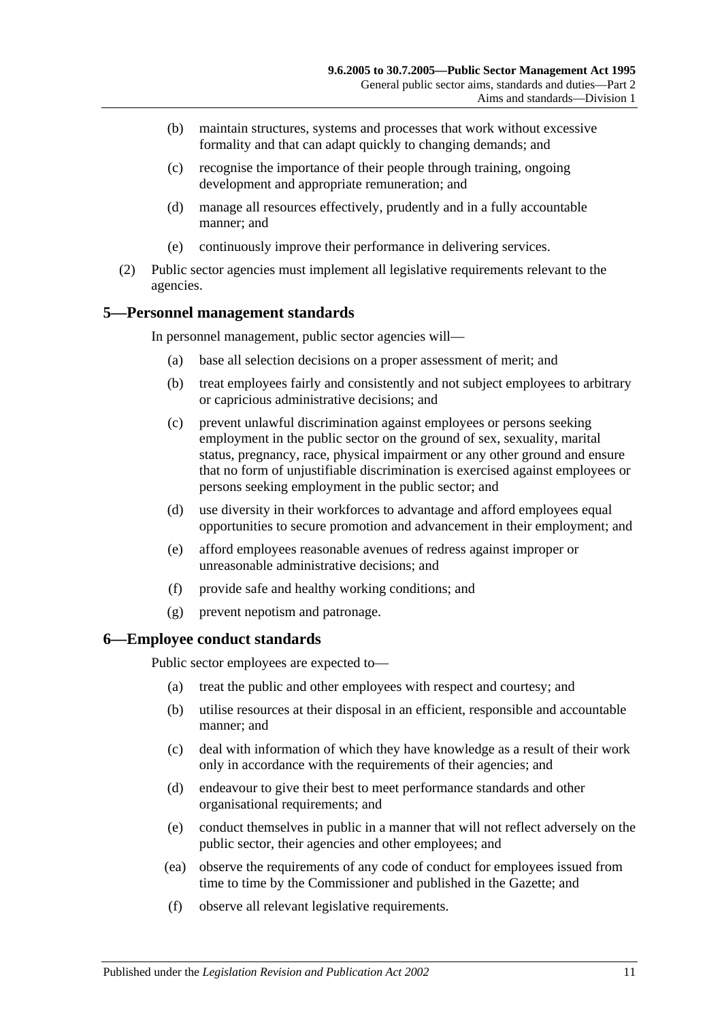- (b) maintain structures, systems and processes that work without excessive formality and that can adapt quickly to changing demands; and
- (c) recognise the importance of their people through training, ongoing development and appropriate remuneration; and
- (d) manage all resources effectively, prudently and in a fully accountable manner; and
- (e) continuously improve their performance in delivering services.
- (2) Public sector agencies must implement all legislative requirements relevant to the agencies.

## <span id="page-10-0"></span>**5—Personnel management standards**

In personnel management, public sector agencies will—

- (a) base all selection decisions on a proper assessment of merit; and
- (b) treat employees fairly and consistently and not subject employees to arbitrary or capricious administrative decisions; and
- (c) prevent unlawful discrimination against employees or persons seeking employment in the public sector on the ground of sex, sexuality, marital status, pregnancy, race, physical impairment or any other ground and ensure that no form of unjustifiable discrimination is exercised against employees or persons seeking employment in the public sector; and
- (d) use diversity in their workforces to advantage and afford employees equal opportunities to secure promotion and advancement in their employment; and
- (e) afford employees reasonable avenues of redress against improper or unreasonable administrative decisions; and
- (f) provide safe and healthy working conditions; and
- (g) prevent nepotism and patronage.

#### <span id="page-10-1"></span>**6—Employee conduct standards**

Public sector employees are expected to—

- (a) treat the public and other employees with respect and courtesy; and
- (b) utilise resources at their disposal in an efficient, responsible and accountable manner; and
- (c) deal with information of which they have knowledge as a result of their work only in accordance with the requirements of their agencies; and
- (d) endeavour to give their best to meet performance standards and other organisational requirements; and
- (e) conduct themselves in public in a manner that will not reflect adversely on the public sector, their agencies and other employees; and
- (ea) observe the requirements of any code of conduct for employees issued from time to time by the Commissioner and published in the Gazette; and
- (f) observe all relevant legislative requirements.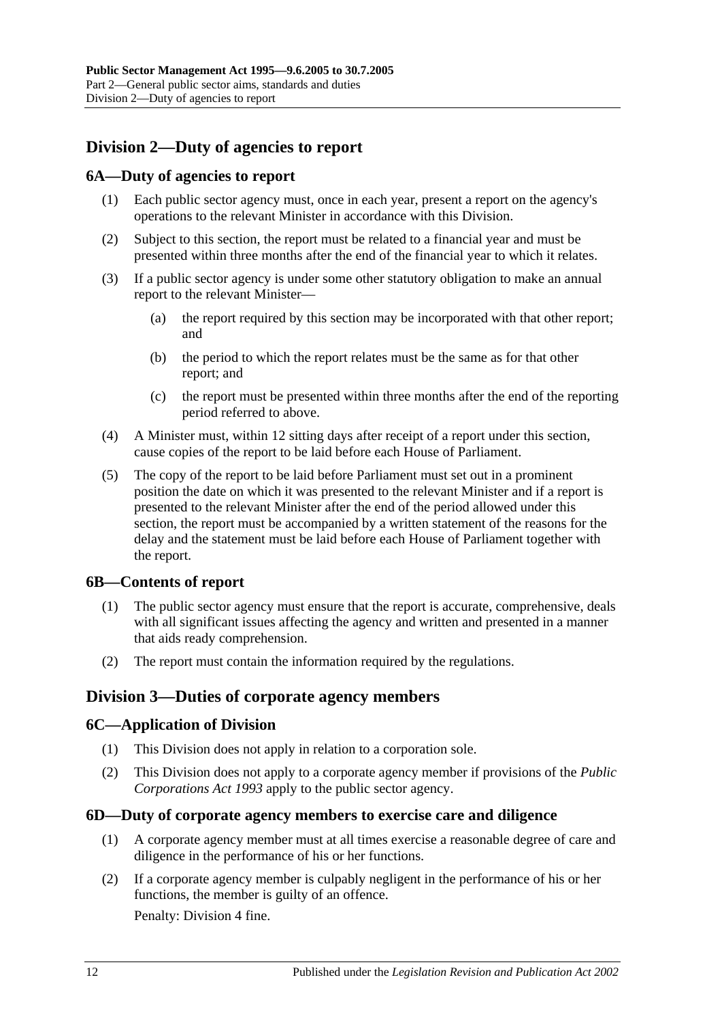## <span id="page-11-0"></span>**Division 2—Duty of agencies to report**

## <span id="page-11-1"></span>**6A—Duty of agencies to report**

- (1) Each public sector agency must, once in each year, present a report on the agency's operations to the relevant Minister in accordance with this Division.
- (2) Subject to this section, the report must be related to a financial year and must be presented within three months after the end of the financial year to which it relates.
- (3) If a public sector agency is under some other statutory obligation to make an annual report to the relevant Minister—
	- (a) the report required by this section may be incorporated with that other report; and
	- (b) the period to which the report relates must be the same as for that other report; and
	- (c) the report must be presented within three months after the end of the reporting period referred to above.
- (4) A Minister must, within 12 sitting days after receipt of a report under this section, cause copies of the report to be laid before each House of Parliament.
- (5) The copy of the report to be laid before Parliament must set out in a prominent position the date on which it was presented to the relevant Minister and if a report is presented to the relevant Minister after the end of the period allowed under this section, the report must be accompanied by a written statement of the reasons for the delay and the statement must be laid before each House of Parliament together with the report.

## <span id="page-11-2"></span>**6B—Contents of report**

- (1) The public sector agency must ensure that the report is accurate, comprehensive, deals with all significant issues affecting the agency and written and presented in a manner that aids ready comprehension.
- (2) The report must contain the information required by the regulations.

## <span id="page-11-3"></span>**Division 3—Duties of corporate agency members**

#### <span id="page-11-4"></span>**6C—Application of Division**

- (1) This Division does not apply in relation to a corporation sole.
- (2) This Division does not apply to a corporate agency member if provisions of the *[Public](http://www.legislation.sa.gov.au/index.aspx?action=legref&type=act&legtitle=Public%20Corporations%20Act%201993)  [Corporations Act](http://www.legislation.sa.gov.au/index.aspx?action=legref&type=act&legtitle=Public%20Corporations%20Act%201993) 1993* apply to the public sector agency.

#### <span id="page-11-5"></span>**6D—Duty of corporate agency members to exercise care and diligence**

- (1) A corporate agency member must at all times exercise a reasonable degree of care and diligence in the performance of his or her functions.
- <span id="page-11-6"></span>(2) If a corporate agency member is culpably negligent in the performance of his or her functions, the member is guilty of an offence.

Penalty: Division 4 fine.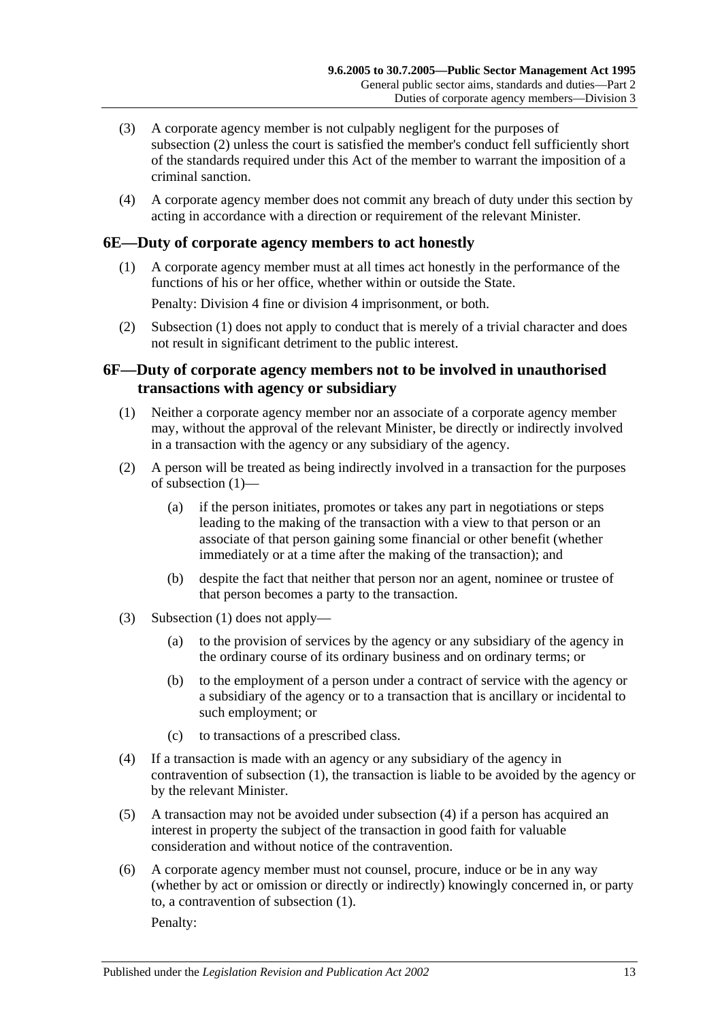- (3) A corporate agency member is not culpably negligent for the purposes of [subsection](#page-11-6) (2) unless the court is satisfied the member's conduct fell sufficiently short of the standards required under this Act of the member to warrant the imposition of a criminal sanction.
- (4) A corporate agency member does not commit any breach of duty under this section by acting in accordance with a direction or requirement of the relevant Minister.

## <span id="page-12-2"></span><span id="page-12-0"></span>**6E—Duty of corporate agency members to act honestly**

(1) A corporate agency member must at all times act honestly in the performance of the functions of his or her office, whether within or outside the State.

Penalty: Division 4 fine or division 4 imprisonment, or both.

(2) [Subsection](#page-12-2) (1) does not apply to conduct that is merely of a trivial character and does not result in significant detriment to the public interest.

## <span id="page-12-1"></span>**6F—Duty of corporate agency members not to be involved in unauthorised transactions with agency or subsidiary**

- <span id="page-12-3"></span>(1) Neither a corporate agency member nor an associate of a corporate agency member may, without the approval of the relevant Minister, be directly or indirectly involved in a transaction with the agency or any subsidiary of the agency.
- (2) A person will be treated as being indirectly involved in a transaction for the purposes of [subsection](#page-12-3) (1)—
	- (a) if the person initiates, promotes or takes any part in negotiations or steps leading to the making of the transaction with a view to that person or an associate of that person gaining some financial or other benefit (whether immediately or at a time after the making of the transaction); and
	- (b) despite the fact that neither that person nor an agent, nominee or trustee of that person becomes a party to the transaction.
- (3) [Subsection](#page-12-3) (1) does not apply—
	- (a) to the provision of services by the agency or any subsidiary of the agency in the ordinary course of its ordinary business and on ordinary terms; or
	- (b) to the employment of a person under a contract of service with the agency or a subsidiary of the agency or to a transaction that is ancillary or incidental to such employment; or
	- (c) to transactions of a prescribed class.
- <span id="page-12-4"></span>(4) If a transaction is made with an agency or any subsidiary of the agency in contravention of [subsection](#page-12-3) (1), the transaction is liable to be avoided by the agency or by the relevant Minister.
- (5) A transaction may not be avoided under [subsection](#page-12-4) (4) if a person has acquired an interest in property the subject of the transaction in good faith for valuable consideration and without notice of the contravention.
- (6) A corporate agency member must not counsel, procure, induce or be in any way (whether by act or omission or directly or indirectly) knowingly concerned in, or party to, a contravention of [subsection](#page-12-3) (1).

Penalty: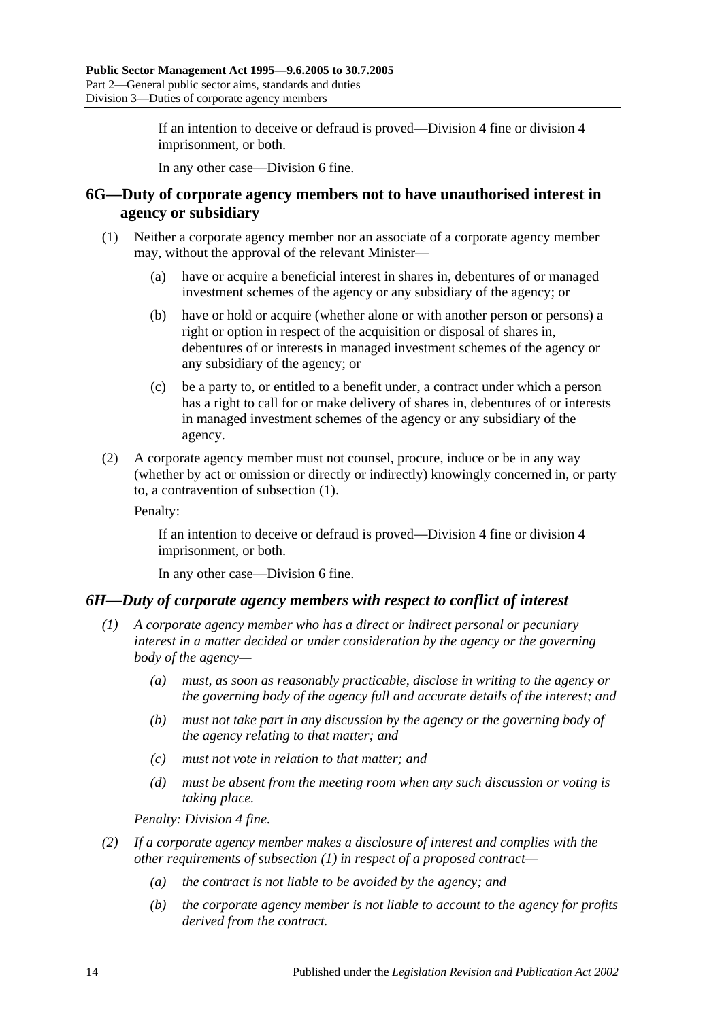If an intention to deceive or defraud is proved—Division 4 fine or division 4 imprisonment, or both.

In any other case—Division 6 fine.

### <span id="page-13-0"></span>**6G—Duty of corporate agency members not to have unauthorised interest in agency or subsidiary**

- <span id="page-13-2"></span>(1) Neither a corporate agency member nor an associate of a corporate agency member may, without the approval of the relevant Minister—
	- (a) have or acquire a beneficial interest in shares in, debentures of or managed investment schemes of the agency or any subsidiary of the agency; or
	- (b) have or hold or acquire (whether alone or with another person or persons) a right or option in respect of the acquisition or disposal of shares in, debentures of or interests in managed investment schemes of the agency or any subsidiary of the agency; or
	- (c) be a party to, or entitled to a benefit under, a contract under which a person has a right to call for or make delivery of shares in, debentures of or interests in managed investment schemes of the agency or any subsidiary of the agency.
- (2) A corporate agency member must not counsel, procure, induce or be in any way (whether by act or omission or directly or indirectly) knowingly concerned in, or party to, a contravention of [subsection](#page-13-2) (1).

Penalty:

If an intention to deceive or defraud is proved—Division 4 fine or division 4 imprisonment, or both.

In any other case—Division 6 fine.

## <span id="page-13-3"></span><span id="page-13-1"></span>*6H—Duty of corporate agency members with respect to conflict of interest*

- *(1) A corporate agency member who has a direct or indirect personal or pecuniary interest in a matter decided or under consideration by the agency or the governing body of the agency—*
	- *(a) must, as soon as reasonably practicable, disclose in writing to the agency or the governing body of the agency full and accurate details of the interest; and*
	- *(b) must not take part in any discussion by the agency or the governing body of the agency relating to that matter; and*
	- *(c) must not vote in relation to that matter; and*
	- *(d) must be absent from the meeting room when any such discussion or voting is taking place.*

*Penalty: Division 4 fine.*

- *(2) If a corporate agency member makes a disclosure of interest and complies with the other requirements of [subsection](#page-13-3) (1) in respect of a proposed contract—*
	- *(a) the contract is not liable to be avoided by the agency; and*
	- *(b) the corporate agency member is not liable to account to the agency for profits derived from the contract.*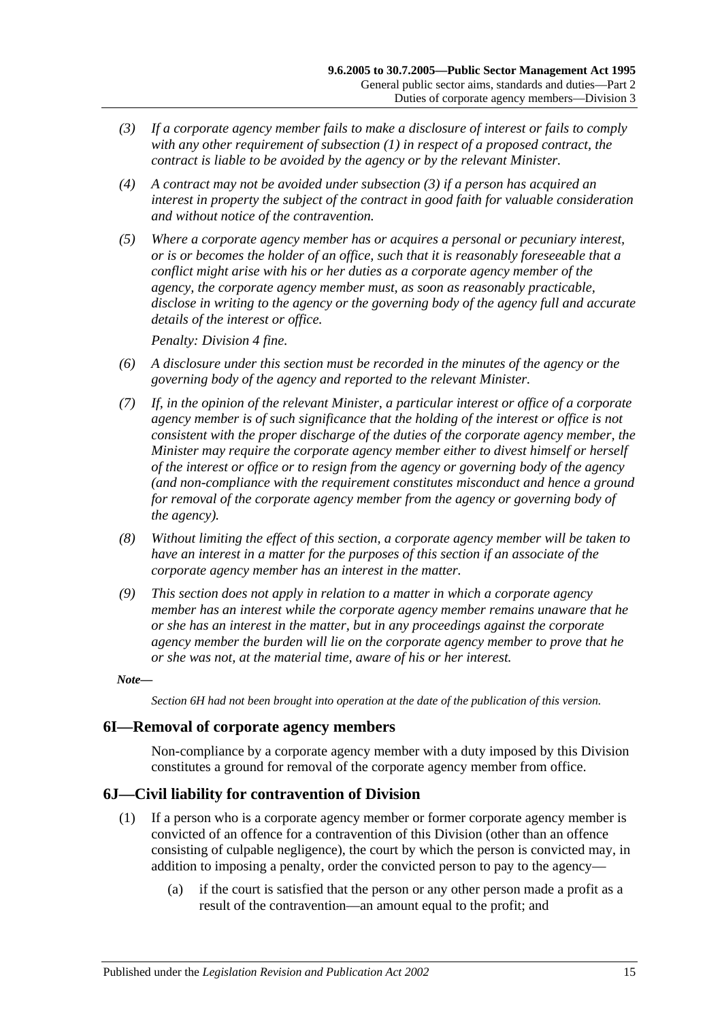- <span id="page-14-2"></span>*(3) If a corporate agency member fails to make a disclosure of interest or fails to comply with any other requirement of [subsection](#page-13-3) (1) in respect of a proposed contract, the contract is liable to be avoided by the agency or by the relevant Minister.*
- *(4) A contract may not be avoided under [subsection](#page-14-2) (3) if a person has acquired an interest in property the subject of the contract in good faith for valuable consideration and without notice of the contravention.*
- *(5) Where a corporate agency member has or acquires a personal or pecuniary interest, or is or becomes the holder of an office, such that it is reasonably foreseeable that a conflict might arise with his or her duties as a corporate agency member of the agency, the corporate agency member must, as soon as reasonably practicable, disclose in writing to the agency or the governing body of the agency full and accurate details of the interest or office.*

*Penalty: Division 4 fine.*

- *(6) A disclosure under this section must be recorded in the minutes of the agency or the governing body of the agency and reported to the relevant Minister.*
- *(7) If, in the opinion of the relevant Minister, a particular interest or office of a corporate agency member is of such significance that the holding of the interest or office is not consistent with the proper discharge of the duties of the corporate agency member, the Minister may require the corporate agency member either to divest himself or herself of the interest or office or to resign from the agency or governing body of the agency (and non-compliance with the requirement constitutes misconduct and hence a ground for removal of the corporate agency member from the agency or governing body of the agency).*
- *(8) Without limiting the effect of this section, a corporate agency member will be taken to have an interest in a matter for the purposes of this section if an associate of the corporate agency member has an interest in the matter.*
- *(9) This section does not apply in relation to a matter in which a corporate agency member has an interest while the corporate agency member remains unaware that he or she has an interest in the matter, but in any proceedings against the corporate agency member the burden will lie on the corporate agency member to prove that he or she was not, at the material time, aware of his or her interest.*

#### *Note—*

*Section 6H had not been brought into operation at the date of the publication of this version.*

#### <span id="page-14-0"></span>**6I—Removal of corporate agency members**

Non-compliance by a corporate agency member with a duty imposed by this Division constitutes a ground for removal of the corporate agency member from office.

## <span id="page-14-1"></span>**6J—Civil liability for contravention of Division**

- (1) If a person who is a corporate agency member or former corporate agency member is convicted of an offence for a contravention of this Division (other than an offence consisting of culpable negligence), the court by which the person is convicted may, in addition to imposing a penalty, order the convicted person to pay to the agency—
	- (a) if the court is satisfied that the person or any other person made a profit as a result of the contravention—an amount equal to the profit; and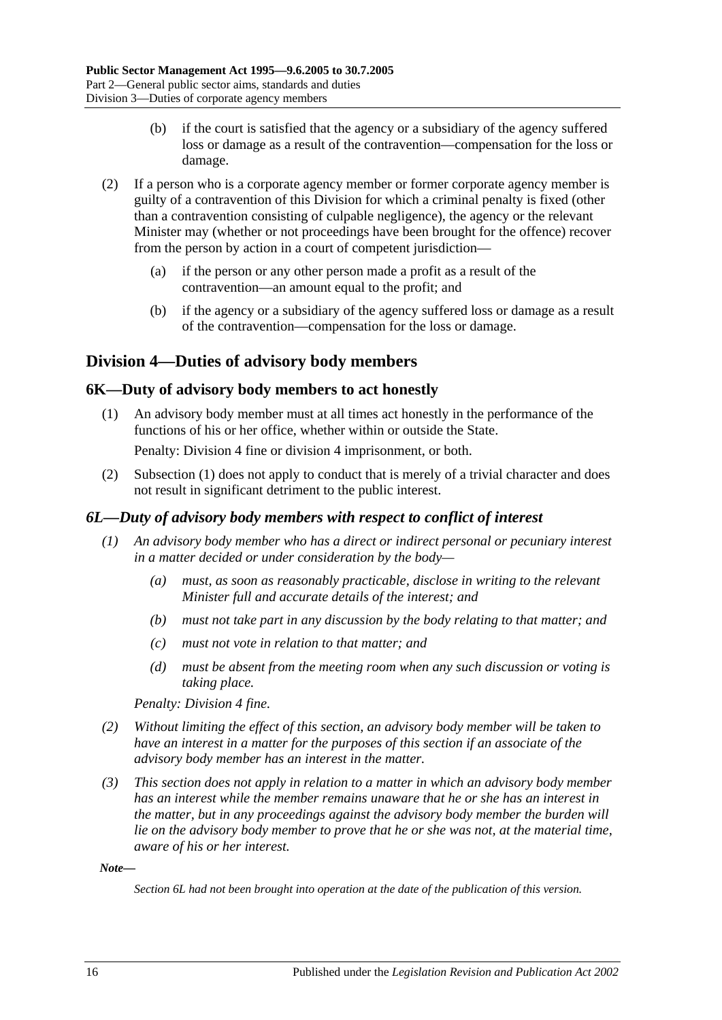- (b) if the court is satisfied that the agency or a subsidiary of the agency suffered loss or damage as a result of the contravention—compensation for the loss or damage.
- (2) If a person who is a corporate agency member or former corporate agency member is guilty of a contravention of this Division for which a criminal penalty is fixed (other than a contravention consisting of culpable negligence), the agency or the relevant Minister may (whether or not proceedings have been brought for the offence) recover from the person by action in a court of competent jurisdiction—
	- (a) if the person or any other person made a profit as a result of the contravention—an amount equal to the profit; and
	- (b) if the agency or a subsidiary of the agency suffered loss or damage as a result of the contravention—compensation for the loss or damage.

## <span id="page-15-0"></span>**Division 4—Duties of advisory body members**

## <span id="page-15-3"></span><span id="page-15-1"></span>**6K—Duty of advisory body members to act honestly**

(1) An advisory body member must at all times act honestly in the performance of the functions of his or her office, whether within or outside the State.

Penalty: Division 4 fine or division 4 imprisonment, or both.

(2) [Subsection](#page-15-3) (1) does not apply to conduct that is merely of a trivial character and does not result in significant detriment to the public interest.

## <span id="page-15-2"></span>*6L—Duty of advisory body members with respect to conflict of interest*

- *(1) An advisory body member who has a direct or indirect personal or pecuniary interest in a matter decided or under consideration by the body—*
	- *(a) must, as soon as reasonably practicable, disclose in writing to the relevant Minister full and accurate details of the interest; and*
	- *(b) must not take part in any discussion by the body relating to that matter; and*
	- *(c) must not vote in relation to that matter; and*
	- *(d) must be absent from the meeting room when any such discussion or voting is taking place.*

*Penalty: Division 4 fine.*

- *(2) Without limiting the effect of this section, an advisory body member will be taken to have an interest in a matter for the purposes of this section if an associate of the advisory body member has an interest in the matter.*
- *(3) This section does not apply in relation to a matter in which an advisory body member has an interest while the member remains unaware that he or she has an interest in the matter, but in any proceedings against the advisory body member the burden will lie on the advisory body member to prove that he or she was not, at the material time, aware of his or her interest.*

*Note—*

*Section 6L had not been brought into operation at the date of the publication of this version.*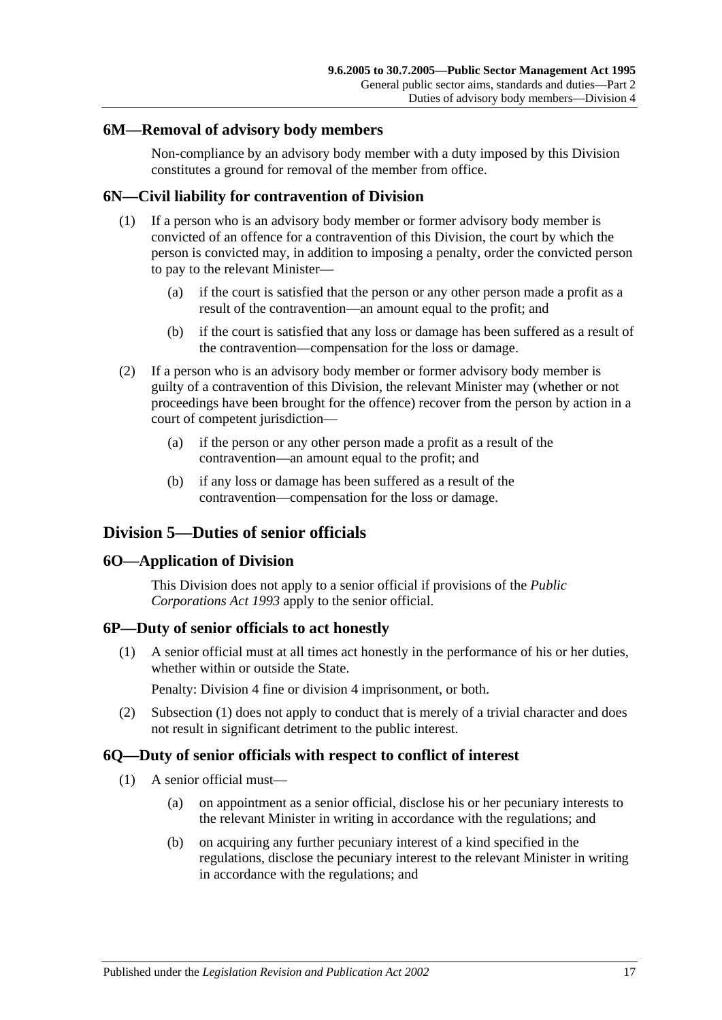#### <span id="page-16-0"></span>**6M—Removal of advisory body members**

Non-compliance by an advisory body member with a duty imposed by this Division constitutes a ground for removal of the member from office.

## <span id="page-16-1"></span>**6N—Civil liability for contravention of Division**

- (1) If a person who is an advisory body member or former advisory body member is convicted of an offence for a contravention of this Division, the court by which the person is convicted may, in addition to imposing a penalty, order the convicted person to pay to the relevant Minister—
	- (a) if the court is satisfied that the person or any other person made a profit as a result of the contravention—an amount equal to the profit; and
	- (b) if the court is satisfied that any loss or damage has been suffered as a result of the contravention—compensation for the loss or damage.
- (2) If a person who is an advisory body member or former advisory body member is guilty of a contravention of this Division, the relevant Minister may (whether or not proceedings have been brought for the offence) recover from the person by action in a court of competent jurisdiction—
	- (a) if the person or any other person made a profit as a result of the contravention—an amount equal to the profit; and
	- (b) if any loss or damage has been suffered as a result of the contravention—compensation for the loss or damage.

## <span id="page-16-2"></span>**Division 5—Duties of senior officials**

#### <span id="page-16-3"></span>**6O—Application of Division**

This Division does not apply to a senior official if provisions of the *[Public](http://www.legislation.sa.gov.au/index.aspx?action=legref&type=act&legtitle=Public%20Corporations%20Act%201993)  [Corporations Act](http://www.legislation.sa.gov.au/index.aspx?action=legref&type=act&legtitle=Public%20Corporations%20Act%201993) 1993* apply to the senior official.

## <span id="page-16-6"></span><span id="page-16-4"></span>**6P—Duty of senior officials to act honestly**

(1) A senior official must at all times act honestly in the performance of his or her duties, whether within or outside the State.

Penalty: Division 4 fine or division 4 imprisonment, or both.

(2) [Subsection](#page-16-6) (1) does not apply to conduct that is merely of a trivial character and does not result in significant detriment to the public interest.

## <span id="page-16-9"></span><span id="page-16-5"></span>**6Q—Duty of senior officials with respect to conflict of interest**

- <span id="page-16-8"></span><span id="page-16-7"></span>(1) A senior official must—
	- (a) on appointment as a senior official, disclose his or her pecuniary interests to the relevant Minister in writing in accordance with the regulations; and
	- (b) on acquiring any further pecuniary interest of a kind specified in the regulations, disclose the pecuniary interest to the relevant Minister in writing in accordance with the regulations; and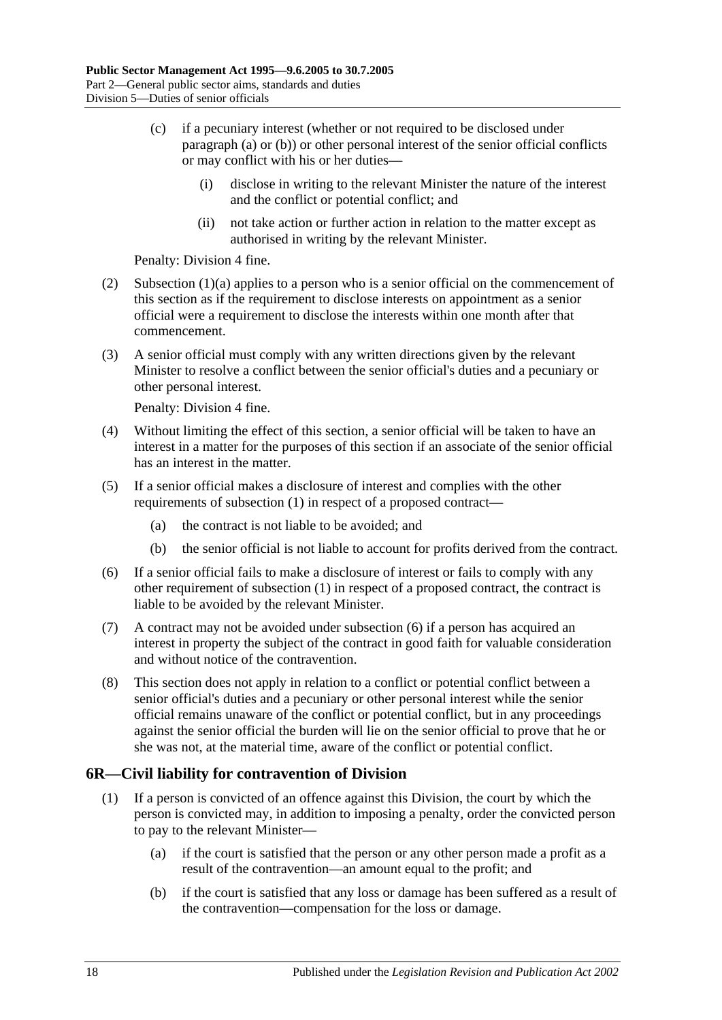- (c) if a pecuniary interest (whether or not required to be disclosed under [paragraph](#page-16-7) (a) or [\(b\)\)](#page-16-8) or other personal interest of the senior official conflicts or may conflict with his or her duties—
	- (i) disclose in writing to the relevant Minister the nature of the interest and the conflict or potential conflict; and
	- (ii) not take action or further action in relation to the matter except as authorised in writing by the relevant Minister.

Penalty: Division 4 fine.

- (2) [Subsection](#page-16-7) (1)(a) applies to a person who is a senior official on the commencement of this section as if the requirement to disclose interests on appointment as a senior official were a requirement to disclose the interests within one month after that commencement.
- (3) A senior official must comply with any written directions given by the relevant Minister to resolve a conflict between the senior official's duties and a pecuniary or other personal interest.

Penalty: Division 4 fine.

- (4) Without limiting the effect of this section, a senior official will be taken to have an interest in a matter for the purposes of this section if an associate of the senior official has an interest in the matter.
- (5) If a senior official makes a disclosure of interest and complies with the other requirements of [subsection](#page-16-9) (1) in respect of a proposed contract—
	- (a) the contract is not liable to be avoided; and
	- (b) the senior official is not liable to account for profits derived from the contract.
- <span id="page-17-1"></span>(6) If a senior official fails to make a disclosure of interest or fails to comply with any other requirement of [subsection](#page-16-9) (1) in respect of a proposed contract, the contract is liable to be avoided by the relevant Minister.
- (7) A contract may not be avoided under [subsection](#page-17-1) (6) if a person has acquired an interest in property the subject of the contract in good faith for valuable consideration and without notice of the contravention.
- (8) This section does not apply in relation to a conflict or potential conflict between a senior official's duties and a pecuniary or other personal interest while the senior official remains unaware of the conflict or potential conflict, but in any proceedings against the senior official the burden will lie on the senior official to prove that he or she was not, at the material time, aware of the conflict or potential conflict.

## <span id="page-17-0"></span>**6R—Civil liability for contravention of Division**

- (1) If a person is convicted of an offence against this Division, the court by which the person is convicted may, in addition to imposing a penalty, order the convicted person to pay to the relevant Minister—
	- (a) if the court is satisfied that the person or any other person made a profit as a result of the contravention—an amount equal to the profit; and
	- (b) if the court is satisfied that any loss or damage has been suffered as a result of the contravention—compensation for the loss or damage.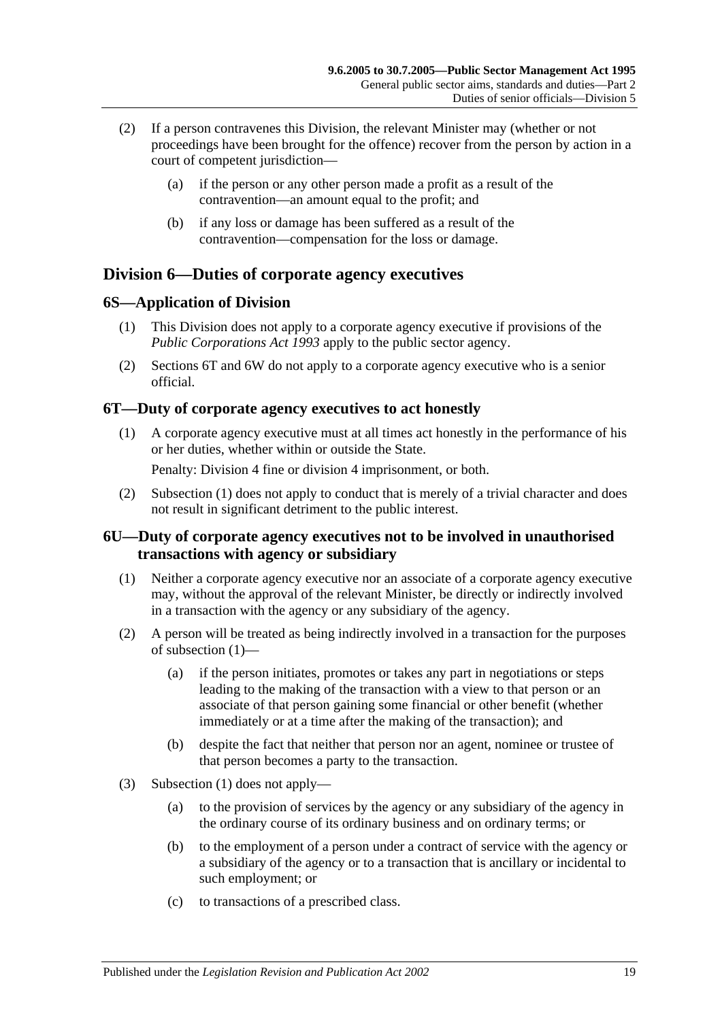- (2) If a person contravenes this Division, the relevant Minister may (whether or not proceedings have been brought for the offence) recover from the person by action in a court of competent jurisdiction—
	- (a) if the person or any other person made a profit as a result of the contravention—an amount equal to the profit; and
	- (b) if any loss or damage has been suffered as a result of the contravention—compensation for the loss or damage.

## <span id="page-18-0"></span>**Division 6—Duties of corporate agency executives**

## <span id="page-18-1"></span>**6S—Application of Division**

- (1) This Division does not apply to a corporate agency executive if provisions of the *[Public Corporations Act](http://www.legislation.sa.gov.au/index.aspx?action=legref&type=act&legtitle=Public%20Corporations%20Act%201993) 1993* apply to the public sector agency.
- (2) [Sections](#page-18-2) 6T and [6W](#page-19-1) do not apply to a corporate agency executive who is a senior official.

## <span id="page-18-4"></span><span id="page-18-2"></span>**6T—Duty of corporate agency executives to act honestly**

- (1) A corporate agency executive must at all times act honestly in the performance of his or her duties, whether within or outside the State. Penalty: Division 4 fine or division 4 imprisonment, or both.
- (2) [Subsection](#page-18-4) (1) does not apply to conduct that is merely of a trivial character and does not result in significant detriment to the public interest.

## <span id="page-18-3"></span>**6U—Duty of corporate agency executives not to be involved in unauthorised transactions with agency or subsidiary**

- <span id="page-18-5"></span>(1) Neither a corporate agency executive nor an associate of a corporate agency executive may, without the approval of the relevant Minister, be directly or indirectly involved in a transaction with the agency or any subsidiary of the agency.
- (2) A person will be treated as being indirectly involved in a transaction for the purposes of [subsection](#page-18-5) (1)—
	- (a) if the person initiates, promotes or takes any part in negotiations or steps leading to the making of the transaction with a view to that person or an associate of that person gaining some financial or other benefit (whether immediately or at a time after the making of the transaction); and
	- (b) despite the fact that neither that person nor an agent, nominee or trustee of that person becomes a party to the transaction.
- (3) [Subsection](#page-18-5) (1) does not apply—
	- (a) to the provision of services by the agency or any subsidiary of the agency in the ordinary course of its ordinary business and on ordinary terms; or
	- (b) to the employment of a person under a contract of service with the agency or a subsidiary of the agency or to a transaction that is ancillary or incidental to such employment; or
	- (c) to transactions of a prescribed class.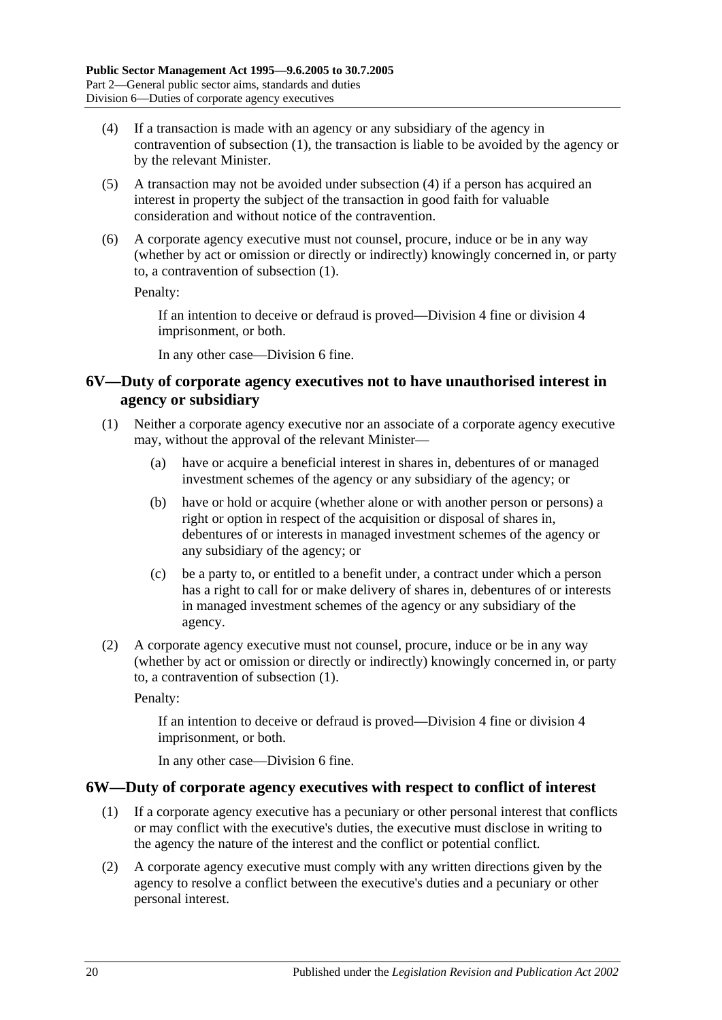- <span id="page-19-2"></span>(4) If a transaction is made with an agency or any subsidiary of the agency in contravention of [subsection](#page-18-5) (1), the transaction is liable to be avoided by the agency or by the relevant Minister.
- (5) A transaction may not be avoided under [subsection](#page-19-2) (4) if a person has acquired an interest in property the subject of the transaction in good faith for valuable consideration and without notice of the contravention.
- (6) A corporate agency executive must not counsel, procure, induce or be in any way (whether by act or omission or directly or indirectly) knowingly concerned in, or party to, a contravention of [subsection](#page-18-5) (1).

Penalty:

If an intention to deceive or defraud is proved—Division 4 fine or division 4 imprisonment, or both.

In any other case—Division 6 fine.

### <span id="page-19-0"></span>**6V—Duty of corporate agency executives not to have unauthorised interest in agency or subsidiary**

- <span id="page-19-3"></span>(1) Neither a corporate agency executive nor an associate of a corporate agency executive may, without the approval of the relevant Minister—
	- (a) have or acquire a beneficial interest in shares in, debentures of or managed investment schemes of the agency or any subsidiary of the agency; or
	- (b) have or hold or acquire (whether alone or with another person or persons) a right or option in respect of the acquisition or disposal of shares in, debentures of or interests in managed investment schemes of the agency or any subsidiary of the agency; or
	- (c) be a party to, or entitled to a benefit under, a contract under which a person has a right to call for or make delivery of shares in, debentures of or interests in managed investment schemes of the agency or any subsidiary of the agency.
- (2) A corporate agency executive must not counsel, procure, induce or be in any way (whether by act or omission or directly or indirectly) knowingly concerned in, or party to, a contravention of [subsection](#page-19-3) (1).

Penalty:

If an intention to deceive or defraud is proved—Division 4 fine or division 4 imprisonment, or both.

In any other case—Division 6 fine.

#### <span id="page-19-4"></span><span id="page-19-1"></span>**6W—Duty of corporate agency executives with respect to conflict of interest**

- (1) If a corporate agency executive has a pecuniary or other personal interest that conflicts or may conflict with the executive's duties, the executive must disclose in writing to the agency the nature of the interest and the conflict or potential conflict.
- (2) A corporate agency executive must comply with any written directions given by the agency to resolve a conflict between the executive's duties and a pecuniary or other personal interest.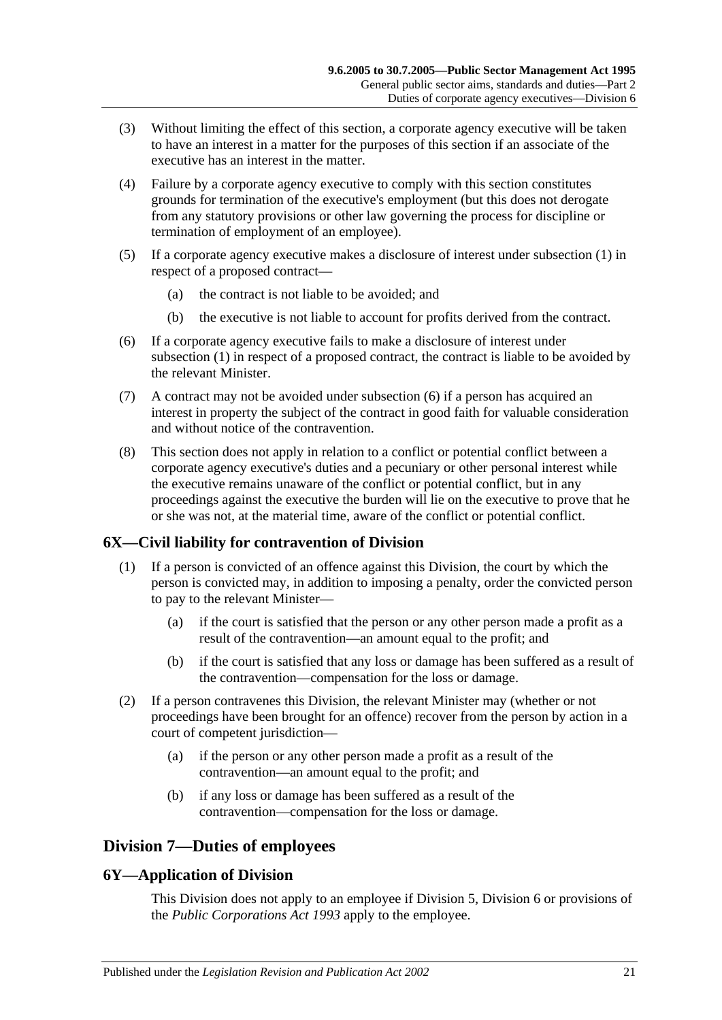- (3) Without limiting the effect of this section, a corporate agency executive will be taken to have an interest in a matter for the purposes of this section if an associate of the executive has an interest in the matter.
- (4) Failure by a corporate agency executive to comply with this section constitutes grounds for termination of the executive's employment (but this does not derogate from any statutory provisions or other law governing the process for discipline or termination of employment of an employee).
- (5) If a corporate agency executive makes a disclosure of interest under [subsection](#page-19-4) (1) in respect of a proposed contract—
	- (a) the contract is not liable to be avoided; and
	- (b) the executive is not liable to account for profits derived from the contract.
- <span id="page-20-3"></span>(6) If a corporate agency executive fails to make a disclosure of interest under [subsection](#page-19-4) (1) in respect of a proposed contract, the contract is liable to be avoided by the relevant Minister.
- (7) A contract may not be avoided under [subsection](#page-20-3) (6) if a person has acquired an interest in property the subject of the contract in good faith for valuable consideration and without notice of the contravention.
- (8) This section does not apply in relation to a conflict or potential conflict between a corporate agency executive's duties and a pecuniary or other personal interest while the executive remains unaware of the conflict or potential conflict, but in any proceedings against the executive the burden will lie on the executive to prove that he or she was not, at the material time, aware of the conflict or potential conflict.

## <span id="page-20-0"></span>**6X—Civil liability for contravention of Division**

- (1) If a person is convicted of an offence against this Division, the court by which the person is convicted may, in addition to imposing a penalty, order the convicted person to pay to the relevant Minister—
	- (a) if the court is satisfied that the person or any other person made a profit as a result of the contravention—an amount equal to the profit; and
	- (b) if the court is satisfied that any loss or damage has been suffered as a result of the contravention—compensation for the loss or damage.
- (2) If a person contravenes this Division, the relevant Minister may (whether or not proceedings have been brought for an offence) recover from the person by action in a court of competent jurisdiction—
	- (a) if the person or any other person made a profit as a result of the contravention—an amount equal to the profit; and
	- (b) if any loss or damage has been suffered as a result of the contravention—compensation for the loss or damage.

## <span id="page-20-1"></span>**Division 7—Duties of employees**

## <span id="page-20-2"></span>**6Y—Application of Division**

This Division does not apply to an employee if [Division 5,](#page-16-2) [Division 6](#page-18-0) or provisions of the *[Public Corporations Act](http://www.legislation.sa.gov.au/index.aspx?action=legref&type=act&legtitle=Public%20Corporations%20Act%201993) 1993* apply to the employee.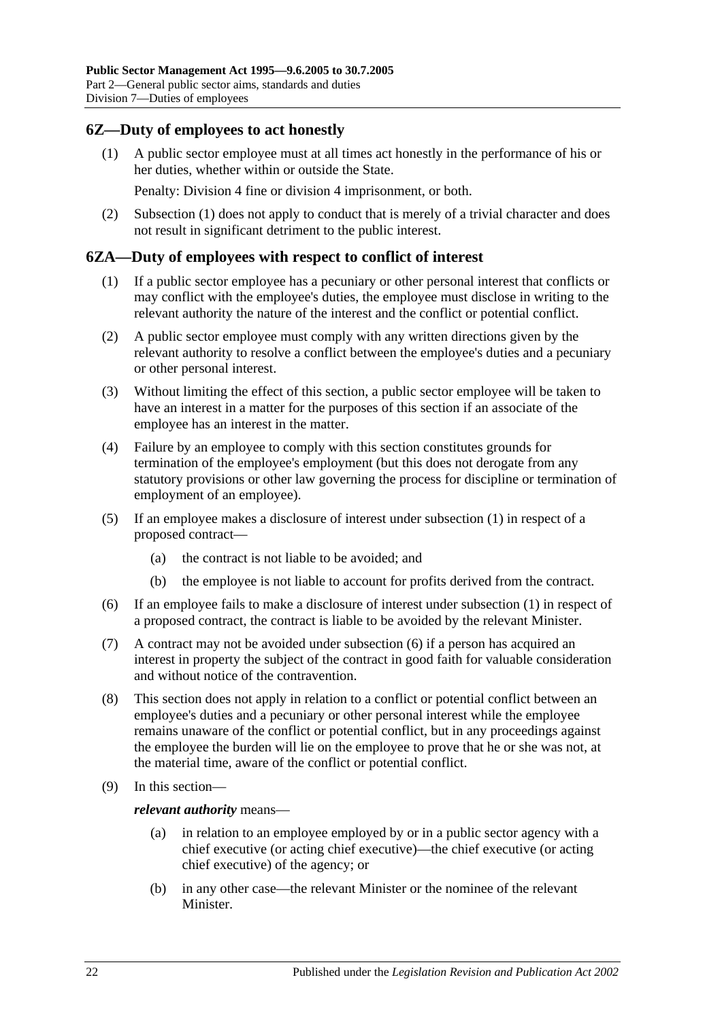## <span id="page-21-2"></span><span id="page-21-0"></span>**6Z—Duty of employees to act honestly**

(1) A public sector employee must at all times act honestly in the performance of his or her duties, whether within or outside the State.

Penalty: Division 4 fine or division 4 imprisonment, or both.

(2) [Subsection](#page-21-2) (1) does not apply to conduct that is merely of a trivial character and does not result in significant detriment to the public interest.

#### <span id="page-21-3"></span><span id="page-21-1"></span>**6ZA—Duty of employees with respect to conflict of interest**

- (1) If a public sector employee has a pecuniary or other personal interest that conflicts or may conflict with the employee's duties, the employee must disclose in writing to the relevant authority the nature of the interest and the conflict or potential conflict.
- (2) A public sector employee must comply with any written directions given by the relevant authority to resolve a conflict between the employee's duties and a pecuniary or other personal interest.
- (3) Without limiting the effect of this section, a public sector employee will be taken to have an interest in a matter for the purposes of this section if an associate of the employee has an interest in the matter.
- (4) Failure by an employee to comply with this section constitutes grounds for termination of the employee's employment (but this does not derogate from any statutory provisions or other law governing the process for discipline or termination of employment of an employee).
- (5) If an employee makes a disclosure of interest under [subsection](#page-21-3) (1) in respect of a proposed contract—
	- (a) the contract is not liable to be avoided; and
	- (b) the employee is not liable to account for profits derived from the contract.
- <span id="page-21-4"></span>(6) If an employee fails to make a disclosure of interest under [subsection](#page-21-3) (1) in respect of a proposed contract, the contract is liable to be avoided by the relevant Minister.
- (7) A contract may not be avoided under [subsection](#page-21-4) (6) if a person has acquired an interest in property the subject of the contract in good faith for valuable consideration and without notice of the contravention.
- (8) This section does not apply in relation to a conflict or potential conflict between an employee's duties and a pecuniary or other personal interest while the employee remains unaware of the conflict or potential conflict, but in any proceedings against the employee the burden will lie on the employee to prove that he or she was not, at the material time, aware of the conflict or potential conflict.
- (9) In this section—

*relevant authority* means—

- (a) in relation to an employee employed by or in a public sector agency with a chief executive (or acting chief executive)—the chief executive (or acting chief executive) of the agency; or
- (b) in any other case—the relevant Minister or the nominee of the relevant Minister.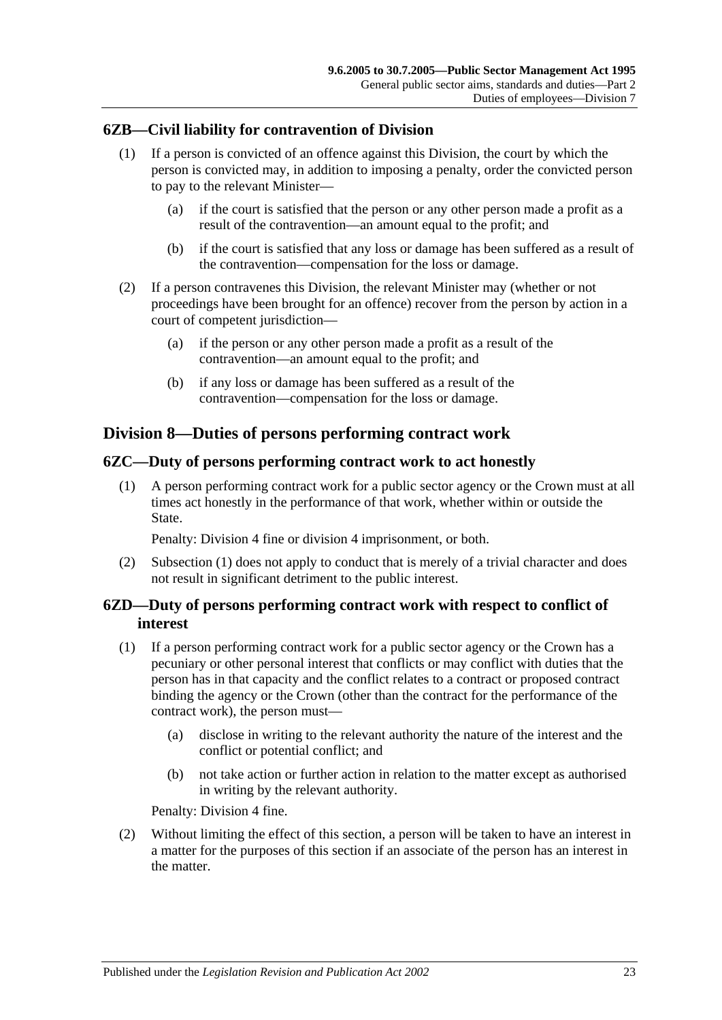## <span id="page-22-0"></span>**6ZB—Civil liability for contravention of Division**

- (1) If a person is convicted of an offence against this Division, the court by which the person is convicted may, in addition to imposing a penalty, order the convicted person to pay to the relevant Minister—
	- (a) if the court is satisfied that the person or any other person made a profit as a result of the contravention—an amount equal to the profit; and
	- (b) if the court is satisfied that any loss or damage has been suffered as a result of the contravention—compensation for the loss or damage.
- (2) If a person contravenes this Division, the relevant Minister may (whether or not proceedings have been brought for an offence) recover from the person by action in a court of competent jurisdiction—
	- (a) if the person or any other person made a profit as a result of the contravention—an amount equal to the profit; and
	- (b) if any loss or damage has been suffered as a result of the contravention—compensation for the loss or damage.

## <span id="page-22-1"></span>**Division 8—Duties of persons performing contract work**

## <span id="page-22-4"></span><span id="page-22-2"></span>**6ZC—Duty of persons performing contract work to act honestly**

(1) A person performing contract work for a public sector agency or the Crown must at all times act honestly in the performance of that work, whether within or outside the State.

Penalty: Division 4 fine or division 4 imprisonment, or both.

(2) [Subsection](#page-22-4) (1) does not apply to conduct that is merely of a trivial character and does not result in significant detriment to the public interest.

## <span id="page-22-3"></span>**6ZD—Duty of persons performing contract work with respect to conflict of interest**

- <span id="page-22-5"></span>(1) If a person performing contract work for a public sector agency or the Crown has a pecuniary or other personal interest that conflicts or may conflict with duties that the person has in that capacity and the conflict relates to a contract or proposed contract binding the agency or the Crown (other than the contract for the performance of the contract work), the person must—
	- (a) disclose in writing to the relevant authority the nature of the interest and the conflict or potential conflict; and
	- (b) not take action or further action in relation to the matter except as authorised in writing by the relevant authority.

Penalty: Division 4 fine.

(2) Without limiting the effect of this section, a person will be taken to have an interest in a matter for the purposes of this section if an associate of the person has an interest in the matter.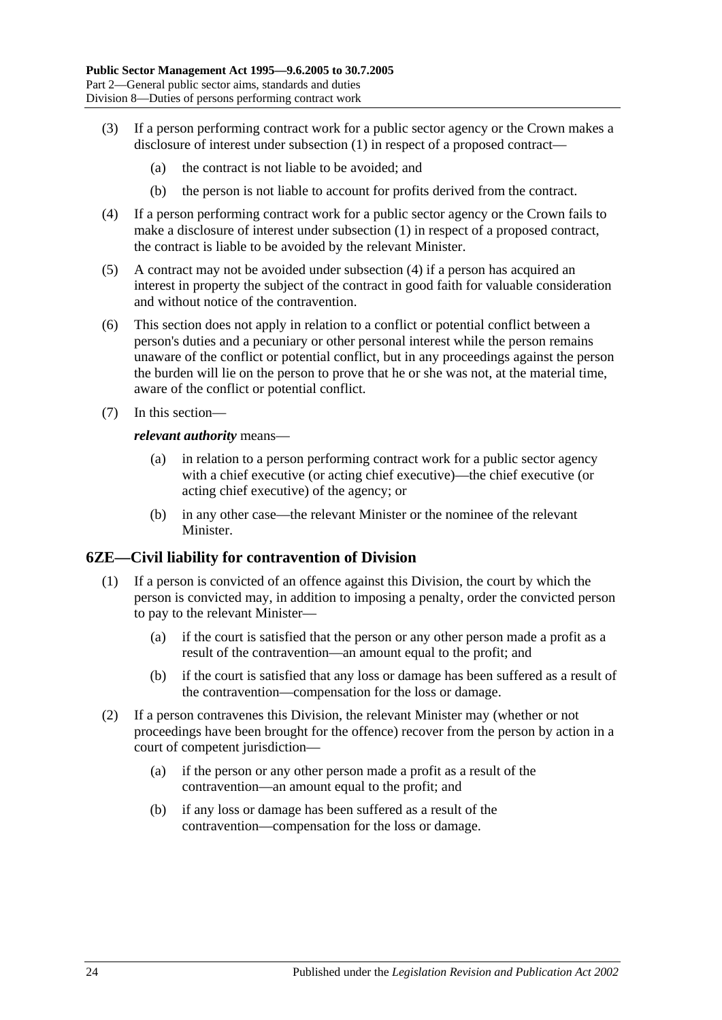- (3) If a person performing contract work for a public sector agency or the Crown makes a disclosure of interest under [subsection](#page-22-5) (1) in respect of a proposed contract—
	- (a) the contract is not liable to be avoided; and
	- (b) the person is not liable to account for profits derived from the contract.
- <span id="page-23-1"></span>(4) If a person performing contract work for a public sector agency or the Crown fails to make a disclosure of interest under [subsection](#page-22-5) (1) in respect of a proposed contract, the contract is liable to be avoided by the relevant Minister.
- (5) A contract may not be avoided under [subsection](#page-23-1) (4) if a person has acquired an interest in property the subject of the contract in good faith for valuable consideration and without notice of the contravention.
- (6) This section does not apply in relation to a conflict or potential conflict between a person's duties and a pecuniary or other personal interest while the person remains unaware of the conflict or potential conflict, but in any proceedings against the person the burden will lie on the person to prove that he or she was not, at the material time, aware of the conflict or potential conflict.
- (7) In this section—

#### *relevant authority* means—

- (a) in relation to a person performing contract work for a public sector agency with a chief executive (or acting chief executive)—the chief executive (or acting chief executive) of the agency; or
- (b) in any other case—the relevant Minister or the nominee of the relevant Minister.

#### <span id="page-23-0"></span>**6ZE—Civil liability for contravention of Division**

- (1) If a person is convicted of an offence against this Division, the court by which the person is convicted may, in addition to imposing a penalty, order the convicted person to pay to the relevant Minister—
	- (a) if the court is satisfied that the person or any other person made a profit as a result of the contravention—an amount equal to the profit; and
	- (b) if the court is satisfied that any loss or damage has been suffered as a result of the contravention—compensation for the loss or damage.
- (2) If a person contravenes this Division, the relevant Minister may (whether or not proceedings have been brought for the offence) recover from the person by action in a court of competent jurisdiction—
	- (a) if the person or any other person made a profit as a result of the contravention—an amount equal to the profit; and
	- (b) if any loss or damage has been suffered as a result of the contravention—compensation for the loss or damage.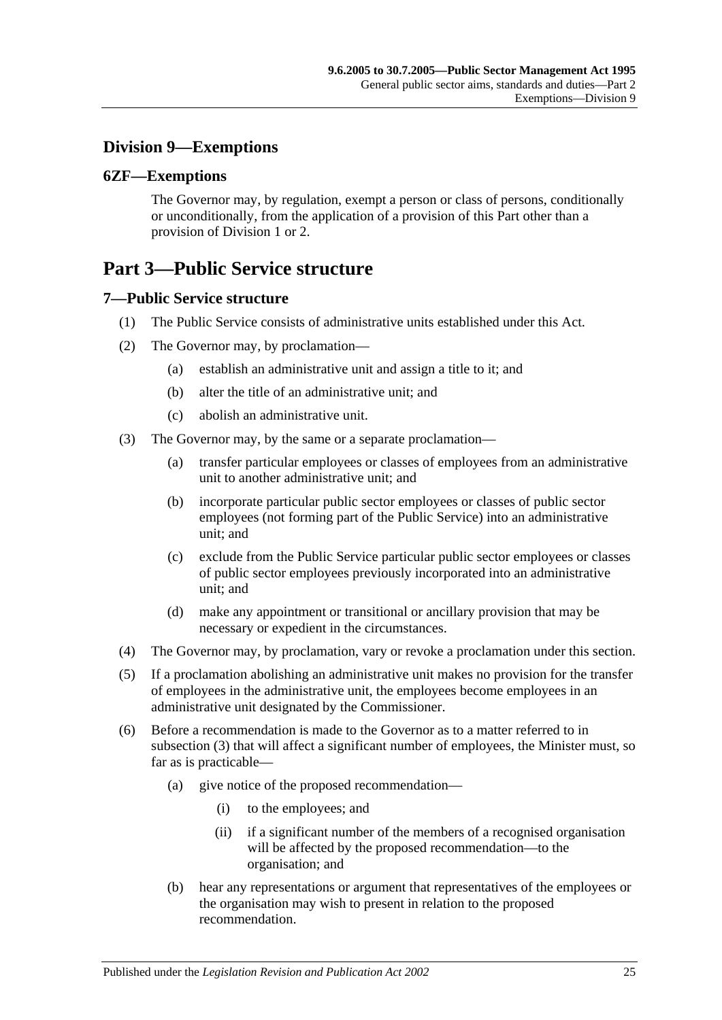## <span id="page-24-0"></span>**Division 9—Exemptions**

## <span id="page-24-1"></span>**6ZF—Exemptions**

The Governor may, by regulation, exempt a person or class of persons, conditionally or unconditionally, from the application of a provision of this Part other than a provision of [Division 1](#page-9-1) or [2.](#page-11-0)

## <span id="page-24-2"></span>**Part 3—Public Service structure**

## <span id="page-24-3"></span>**7—Public Service structure**

- (1) The Public Service consists of administrative units established under this Act.
- (2) The Governor may, by proclamation—
	- (a) establish an administrative unit and assign a title to it; and
	- (b) alter the title of an administrative unit; and
	- (c) abolish an administrative unit.
- <span id="page-24-4"></span>(3) The Governor may, by the same or a separate proclamation—
	- (a) transfer particular employees or classes of employees from an administrative unit to another administrative unit; and
	- (b) incorporate particular public sector employees or classes of public sector employees (not forming part of the Public Service) into an administrative unit; and
	- (c) exclude from the Public Service particular public sector employees or classes of public sector employees previously incorporated into an administrative unit; and
	- (d) make any appointment or transitional or ancillary provision that may be necessary or expedient in the circumstances.
- (4) The Governor may, by proclamation, vary or revoke a proclamation under this section.
- (5) If a proclamation abolishing an administrative unit makes no provision for the transfer of employees in the administrative unit, the employees become employees in an administrative unit designated by the Commissioner.
- (6) Before a recommendation is made to the Governor as to a matter referred to in [subsection](#page-24-4) (3) that will affect a significant number of employees, the Minister must, so far as is practicable—
	- (a) give notice of the proposed recommendation—
		- (i) to the employees; and
		- (ii) if a significant number of the members of a recognised organisation will be affected by the proposed recommendation—to the organisation; and
	- (b) hear any representations or argument that representatives of the employees or the organisation may wish to present in relation to the proposed recommendation.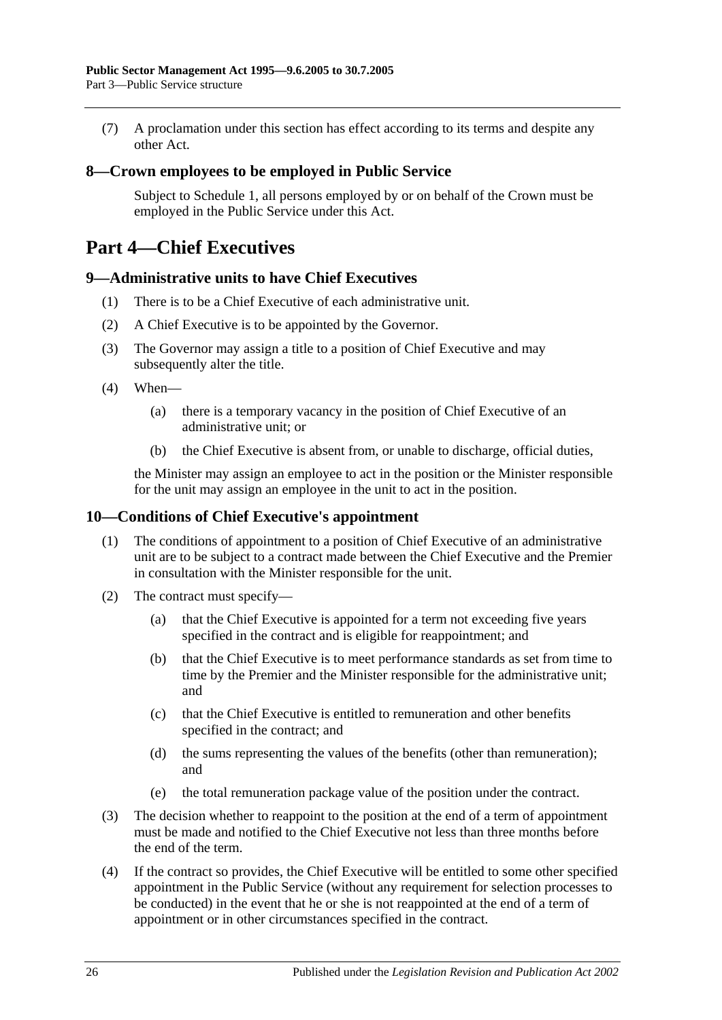(7) A proclamation under this section has effect according to its terms and despite any other Act.

### <span id="page-25-0"></span>**8—Crown employees to be employed in Public Service**

Subject to [Schedule 1,](#page-57-4) all persons employed by or on behalf of the Crown must be employed in the Public Service under this Act.

## <span id="page-25-1"></span>**Part 4—Chief Executives**

#### <span id="page-25-2"></span>**9—Administrative units to have Chief Executives**

- (1) There is to be a Chief Executive of each administrative unit.
- (2) A Chief Executive is to be appointed by the Governor.
- (3) The Governor may assign a title to a position of Chief Executive and may subsequently alter the title.
- (4) When—
	- (a) there is a temporary vacancy in the position of Chief Executive of an administrative unit; or
	- (b) the Chief Executive is absent from, or unable to discharge, official duties,

the Minister may assign an employee to act in the position or the Minister responsible for the unit may assign an employee in the unit to act in the position.

### <span id="page-25-3"></span>**10—Conditions of Chief Executive's appointment**

- (1) The conditions of appointment to a position of Chief Executive of an administrative unit are to be subject to a contract made between the Chief Executive and the Premier in consultation with the Minister responsible for the unit.
- (2) The contract must specify—
	- (a) that the Chief Executive is appointed for a term not exceeding five years specified in the contract and is eligible for reappointment; and
	- (b) that the Chief Executive is to meet performance standards as set from time to time by the Premier and the Minister responsible for the administrative unit; and
	- (c) that the Chief Executive is entitled to remuneration and other benefits specified in the contract; and
	- (d) the sums representing the values of the benefits (other than remuneration); and
	- (e) the total remuneration package value of the position under the contract.
- (3) The decision whether to reappoint to the position at the end of a term of appointment must be made and notified to the Chief Executive not less than three months before the end of the term.
- (4) If the contract so provides, the Chief Executive will be entitled to some other specified appointment in the Public Service (without any requirement for selection processes to be conducted) in the event that he or she is not reappointed at the end of a term of appointment or in other circumstances specified in the contract.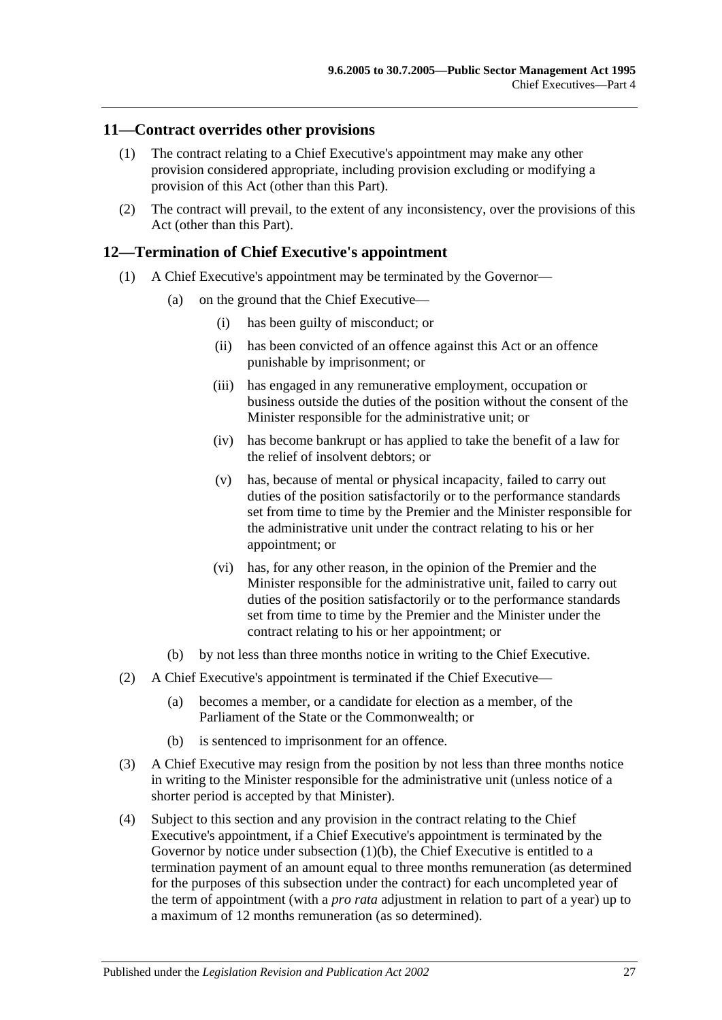### <span id="page-26-0"></span>**11—Contract overrides other provisions**

- (1) The contract relating to a Chief Executive's appointment may make any other provision considered appropriate, including provision excluding or modifying a provision of this Act (other than this Part).
- (2) The contract will prevail, to the extent of any inconsistency, over the provisions of this Act (other than this Part).

#### <span id="page-26-1"></span>**12—Termination of Chief Executive's appointment**

- (1) A Chief Executive's appointment may be terminated by the Governor—
	- (a) on the ground that the Chief Executive—
		- (i) has been guilty of misconduct; or
		- (ii) has been convicted of an offence against this Act or an offence punishable by imprisonment; or
		- (iii) has engaged in any remunerative employment, occupation or business outside the duties of the position without the consent of the Minister responsible for the administrative unit; or
		- (iv) has become bankrupt or has applied to take the benefit of a law for the relief of insolvent debtors; or
		- (v) has, because of mental or physical incapacity, failed to carry out duties of the position satisfactorily or to the performance standards set from time to time by the Premier and the Minister responsible for the administrative unit under the contract relating to his or her appointment; or
		- (vi) has, for any other reason, in the opinion of the Premier and the Minister responsible for the administrative unit, failed to carry out duties of the position satisfactorily or to the performance standards set from time to time by the Premier and the Minister under the contract relating to his or her appointment; or
	- (b) by not less than three months notice in writing to the Chief Executive.
- <span id="page-26-2"></span>(2) A Chief Executive's appointment is terminated if the Chief Executive—
	- (a) becomes a member, or a candidate for election as a member, of the Parliament of the State or the Commonwealth; or
	- (b) is sentenced to imprisonment for an offence.
- (3) A Chief Executive may resign from the position by not less than three months notice in writing to the Minister responsible for the administrative unit (unless notice of a shorter period is accepted by that Minister).
- (4) Subject to this section and any provision in the contract relating to the Chief Executive's appointment, if a Chief Executive's appointment is terminated by the Governor by notice under [subsection](#page-26-2) (1)(b), the Chief Executive is entitled to a termination payment of an amount equal to three months remuneration (as determined for the purposes of this subsection under the contract) for each uncompleted year of the term of appointment (with a *pro rata* adjustment in relation to part of a year) up to a maximum of 12 months remuneration (as so determined).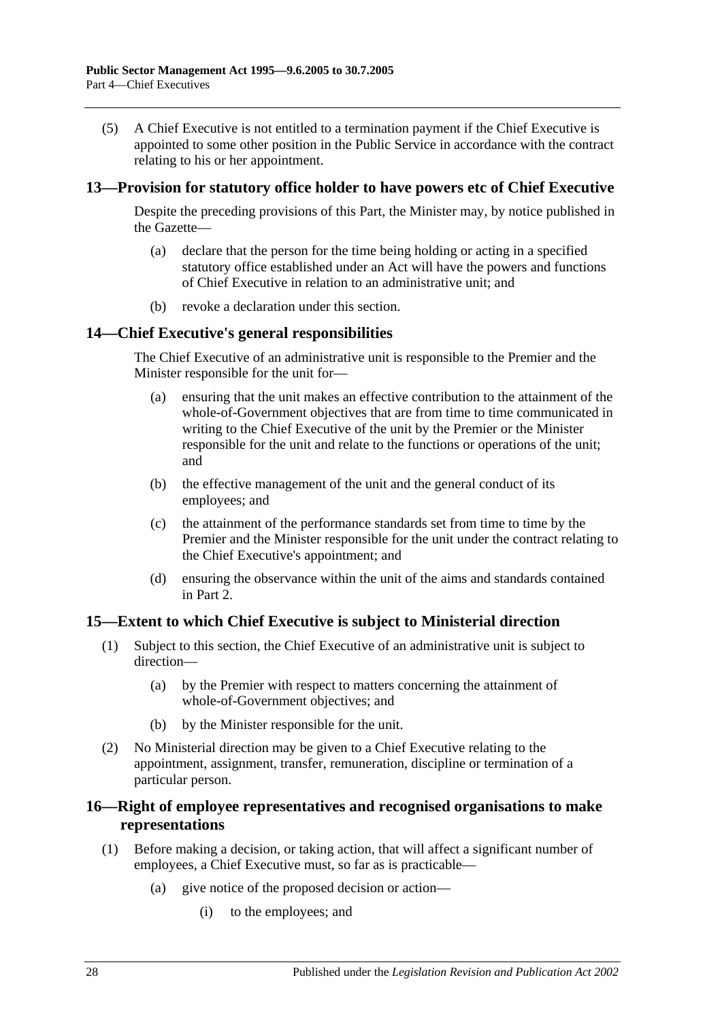(5) A Chief Executive is not entitled to a termination payment if the Chief Executive is appointed to some other position in the Public Service in accordance with the contract relating to his or her appointment.

### <span id="page-27-0"></span>**13—Provision for statutory office holder to have powers etc of Chief Executive**

Despite the preceding provisions of this Part, the Minister may, by notice published in the Gazette—

- (a) declare that the person for the time being holding or acting in a specified statutory office established under an Act will have the powers and functions of Chief Executive in relation to an administrative unit; and
- (b) revoke a declaration under this section.

#### <span id="page-27-1"></span>**14—Chief Executive's general responsibilities**

The Chief Executive of an administrative unit is responsible to the Premier and the Minister responsible for the unit for—

- (a) ensuring that the unit makes an effective contribution to the attainment of the whole-of-Government objectives that are from time to time communicated in writing to the Chief Executive of the unit by the Premier or the Minister responsible for the unit and relate to the functions or operations of the unit; and
- (b) the effective management of the unit and the general conduct of its employees; and
- (c) the attainment of the performance standards set from time to time by the Premier and the Minister responsible for the unit under the contract relating to the Chief Executive's appointment; and
- (d) ensuring the observance within the unit of the aims and standards contained in Part 2.

#### <span id="page-27-2"></span>**15—Extent to which Chief Executive is subject to Ministerial direction**

- (1) Subject to this section, the Chief Executive of an administrative unit is subject to direction—
	- (a) by the Premier with respect to matters concerning the attainment of whole-of-Government objectives; and
	- (b) by the Minister responsible for the unit.
- (2) No Ministerial direction may be given to a Chief Executive relating to the appointment, assignment, transfer, remuneration, discipline or termination of a particular person.

## <span id="page-27-3"></span>**16—Right of employee representatives and recognised organisations to make representations**

- (1) Before making a decision, or taking action, that will affect a significant number of employees, a Chief Executive must, so far as is practicable—
	- (a) give notice of the proposed decision or action—
		- (i) to the employees; and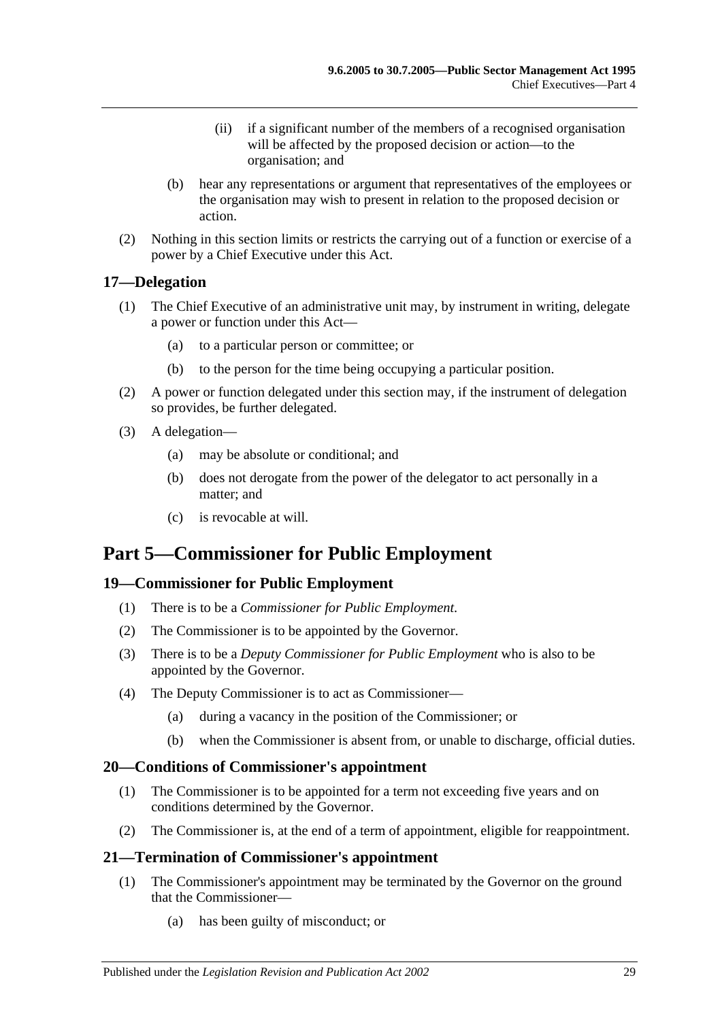- (ii) if a significant number of the members of a recognised organisation will be affected by the proposed decision or action—to the organisation; and
- (b) hear any representations or argument that representatives of the employees or the organisation may wish to present in relation to the proposed decision or action.
- (2) Nothing in this section limits or restricts the carrying out of a function or exercise of a power by a Chief Executive under this Act.

## <span id="page-28-0"></span>**17—Delegation**

- (1) The Chief Executive of an administrative unit may, by instrument in writing, delegate a power or function under this Act—
	- (a) to a particular person or committee; or
	- (b) to the person for the time being occupying a particular position.
- (2) A power or function delegated under this section may, if the instrument of delegation so provides, be further delegated.
- (3) A delegation—
	- (a) may be absolute or conditional; and
	- (b) does not derogate from the power of the delegator to act personally in a matter; and
	- (c) is revocable at will.

## <span id="page-28-1"></span>**Part 5—Commissioner for Public Employment**

## <span id="page-28-2"></span>**19—Commissioner for Public Employment**

- (1) There is to be a *Commissioner for Public Employment*.
- (2) The Commissioner is to be appointed by the Governor.
- (3) There is to be a *Deputy Commissioner for Public Employment* who is also to be appointed by the Governor.
- (4) The Deputy Commissioner is to act as Commissioner—
	- (a) during a vacancy in the position of the Commissioner; or
	- (b) when the Commissioner is absent from, or unable to discharge, official duties.

## <span id="page-28-3"></span>**20—Conditions of Commissioner's appointment**

- (1) The Commissioner is to be appointed for a term not exceeding five years and on conditions determined by the Governor.
- (2) The Commissioner is, at the end of a term of appointment, eligible for reappointment.

## <span id="page-28-4"></span>**21—Termination of Commissioner's appointment**

- (1) The Commissioner's appointment may be terminated by the Governor on the ground that the Commissioner—
	- (a) has been guilty of misconduct; or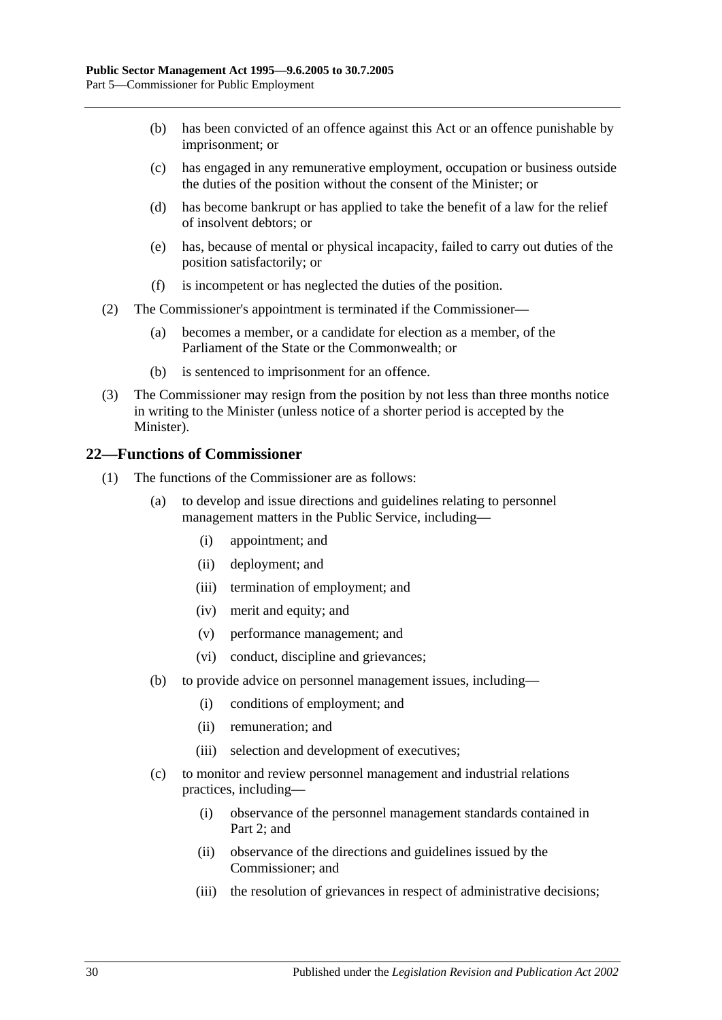- (b) has been convicted of an offence against this Act or an offence punishable by imprisonment; or
- (c) has engaged in any remunerative employment, occupation or business outside the duties of the position without the consent of the Minister; or
- (d) has become bankrupt or has applied to take the benefit of a law for the relief of insolvent debtors; or
- (e) has, because of mental or physical incapacity, failed to carry out duties of the position satisfactorily; or
- (f) is incompetent or has neglected the duties of the position.
- (2) The Commissioner's appointment is terminated if the Commissioner—
	- (a) becomes a member, or a candidate for election as a member, of the Parliament of the State or the Commonwealth; or
	- (b) is sentenced to imprisonment for an offence.
- (3) The Commissioner may resign from the position by not less than three months notice in writing to the Minister (unless notice of a shorter period is accepted by the Minister).

#### <span id="page-29-0"></span>**22—Functions of Commissioner**

- (1) The functions of the Commissioner are as follows:
	- (a) to develop and issue directions and guidelines relating to personnel management matters in the Public Service, including—
		- (i) appointment; and
		- (ii) deployment; and
		- (iii) termination of employment; and
		- (iv) merit and equity; and
		- (v) performance management; and
		- (vi) conduct, discipline and grievances;
	- (b) to provide advice on personnel management issues, including—
		- (i) conditions of employment; and
		- (ii) remuneration; and
		- (iii) selection and development of executives;
	- (c) to monitor and review personnel management and industrial relations practices, including—
		- (i) observance of the personnel management standards contained in [Part](#page-9-0) 2; and
		- (ii) observance of the directions and guidelines issued by the Commissioner; and
		- (iii) the resolution of grievances in respect of administrative decisions;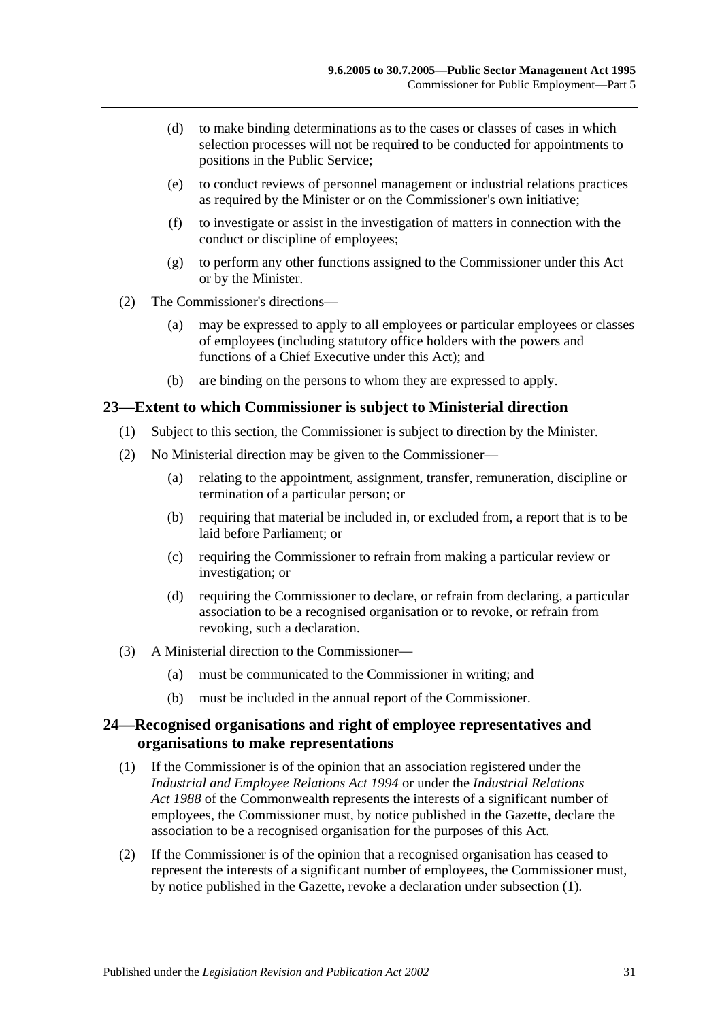- (d) to make binding determinations as to the cases or classes of cases in which selection processes will not be required to be conducted for appointments to positions in the Public Service;
- (e) to conduct reviews of personnel management or industrial relations practices as required by the Minister or on the Commissioner's own initiative;
- (f) to investigate or assist in the investigation of matters in connection with the conduct or discipline of employees;
- (g) to perform any other functions assigned to the Commissioner under this Act or by the Minister.
- (2) The Commissioner's directions—
	- (a) may be expressed to apply to all employees or particular employees or classes of employees (including statutory office holders with the powers and functions of a Chief Executive under this Act); and
	- (b) are binding on the persons to whom they are expressed to apply.

#### <span id="page-30-0"></span>**23—Extent to which Commissioner is subject to Ministerial direction**

- (1) Subject to this section, the Commissioner is subject to direction by the Minister.
- (2) No Ministerial direction may be given to the Commissioner—
	- (a) relating to the appointment, assignment, transfer, remuneration, discipline or termination of a particular person; or
	- (b) requiring that material be included in, or excluded from, a report that is to be laid before Parliament; or
	- (c) requiring the Commissioner to refrain from making a particular review or investigation; or
	- (d) requiring the Commissioner to declare, or refrain from declaring, a particular association to be a recognised organisation or to revoke, or refrain from revoking, such a declaration.
- (3) A Ministerial direction to the Commissioner—
	- (a) must be communicated to the Commissioner in writing; and
	- (b) must be included in the annual report of the Commissioner.

## <span id="page-30-1"></span>**24—Recognised organisations and right of employee representatives and organisations to make representations**

- <span id="page-30-2"></span>(1) If the Commissioner is of the opinion that an association registered under the *[Industrial and Employee Relations Act](http://www.legislation.sa.gov.au/index.aspx?action=legref&type=act&legtitle=Industrial%20and%20Employee%20Relations%20Act%201994) 1994* or under the *Industrial Relations Act 1988* of the Commonwealth represents the interests of a significant number of employees, the Commissioner must, by notice published in the Gazette, declare the association to be a recognised organisation for the purposes of this Act.
- (2) If the Commissioner is of the opinion that a recognised organisation has ceased to represent the interests of a significant number of employees, the Commissioner must, by notice published in the Gazette, revoke a declaration under [subsection](#page-30-2) (1).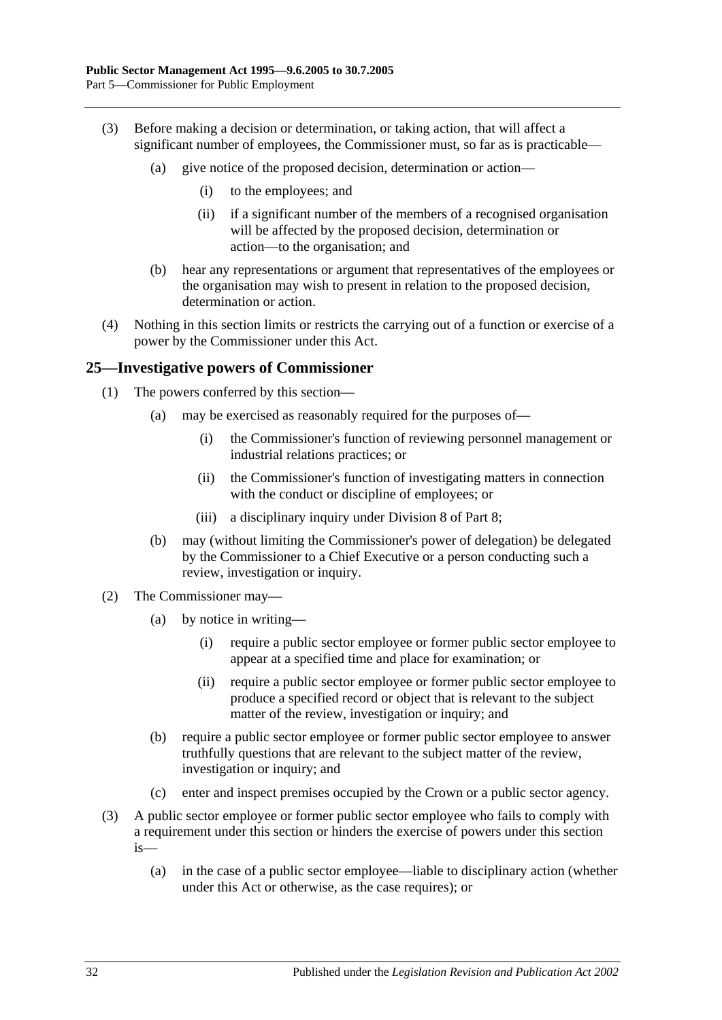- (3) Before making a decision or determination, or taking action, that will affect a significant number of employees, the Commissioner must, so far as is practicable—
	- (a) give notice of the proposed decision, determination or action—
		- (i) to the employees; and
		- (ii) if a significant number of the members of a recognised organisation will be affected by the proposed decision, determination or action—to the organisation; and
	- (b) hear any representations or argument that representatives of the employees or the organisation may wish to present in relation to the proposed decision, determination or action.
- (4) Nothing in this section limits or restricts the carrying out of a function or exercise of a power by the Commissioner under this Act.

#### <span id="page-31-0"></span>**25—Investigative powers of Commissioner**

- (1) The powers conferred by this section—
	- (a) may be exercised as reasonably required for the purposes of—
		- (i) the Commissioner's function of reviewing personnel management or industrial relations practices; or
		- (ii) the Commissioner's function of investigating matters in connection with the conduct or discipline of employees; or
		- (iii) a disciplinary inquiry under [Division 8](#page-47-4) of [Part 8;](#page-42-0)
	- (b) may (without limiting the Commissioner's power of delegation) be delegated by the Commissioner to a Chief Executive or a person conducting such a review, investigation or inquiry.
- (2) The Commissioner may—
	- (a) by notice in writing—
		- (i) require a public sector employee or former public sector employee to appear at a specified time and place for examination; or
		- (ii) require a public sector employee or former public sector employee to produce a specified record or object that is relevant to the subject matter of the review, investigation or inquiry; and
	- (b) require a public sector employee or former public sector employee to answer truthfully questions that are relevant to the subject matter of the review, investigation or inquiry; and
	- (c) enter and inspect premises occupied by the Crown or a public sector agency.
- (3) A public sector employee or former public sector employee who fails to comply with a requirement under this section or hinders the exercise of powers under this section is—
	- (a) in the case of a public sector employee—liable to disciplinary action (whether under this Act or otherwise, as the case requires); or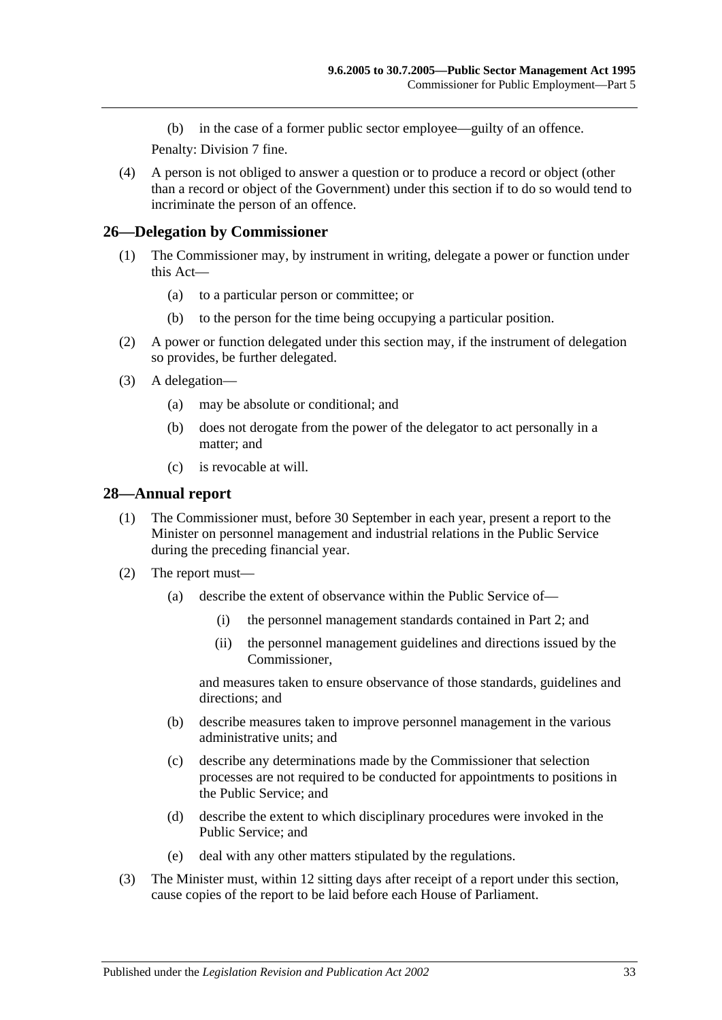(b) in the case of a former public sector employee—guilty of an offence.

Penalty: Division 7 fine.

(4) A person is not obliged to answer a question or to produce a record or object (other than a record or object of the Government) under this section if to do so would tend to incriminate the person of an offence.

#### <span id="page-32-0"></span>**26—Delegation by Commissioner**

- (1) The Commissioner may, by instrument in writing, delegate a power or function under this Act—
	- (a) to a particular person or committee; or
	- (b) to the person for the time being occupying a particular position.
- (2) A power or function delegated under this section may, if the instrument of delegation so provides, be further delegated.
- (3) A delegation—
	- (a) may be absolute or conditional; and
	- (b) does not derogate from the power of the delegator to act personally in a matter; and
	- (c) is revocable at will.

#### <span id="page-32-1"></span>**28—Annual report**

- (1) The Commissioner must, before 30 September in each year, present a report to the Minister on personnel management and industrial relations in the Public Service during the preceding financial year.
- (2) The report must—
	- (a) describe the extent of observance within the Public Service of—
		- (i) the personnel management standards contained in [Part 2;](#page-9-0) and
		- (ii) the personnel management guidelines and directions issued by the Commissioner,

and measures taken to ensure observance of those standards, guidelines and directions; and

- (b) describe measures taken to improve personnel management in the various administrative units; and
- (c) describe any determinations made by the Commissioner that selection processes are not required to be conducted for appointments to positions in the Public Service; and
- (d) describe the extent to which disciplinary procedures were invoked in the Public Service; and
- (e) deal with any other matters stipulated by the regulations.
- (3) The Minister must, within 12 sitting days after receipt of a report under this section, cause copies of the report to be laid before each House of Parliament.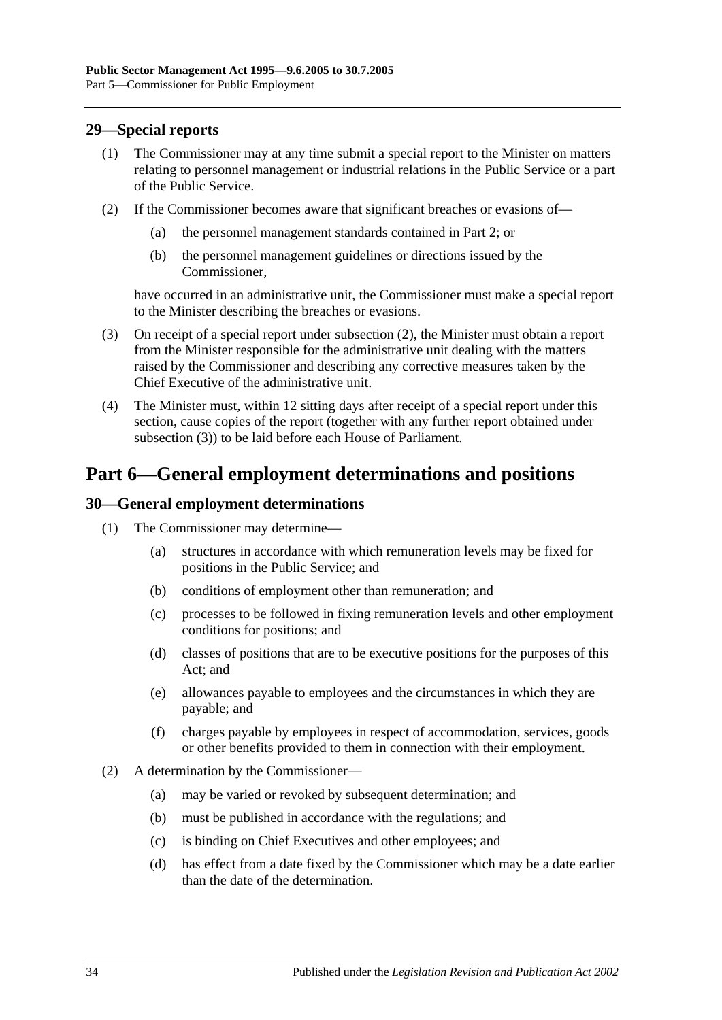## <span id="page-33-0"></span>**29—Special reports**

- (1) The Commissioner may at any time submit a special report to the Minister on matters relating to personnel management or industrial relations in the Public Service or a part of the Public Service.
- <span id="page-33-3"></span>(2) If the Commissioner becomes aware that significant breaches or evasions of—
	- (a) the personnel management standards contained in [Part 2;](#page-9-0) or
	- (b) the personnel management guidelines or directions issued by the Commissioner,

have occurred in an administrative unit, the Commissioner must make a special report to the Minister describing the breaches or evasions.

- <span id="page-33-4"></span>(3) On receipt of a special report under [subsection](#page-33-3) (2), the Minister must obtain a report from the Minister responsible for the administrative unit dealing with the matters raised by the Commissioner and describing any corrective measures taken by the Chief Executive of the administrative unit.
- (4) The Minister must, within 12 sitting days after receipt of a special report under this section, cause copies of the report (together with any further report obtained under [subsection](#page-33-4) (3)) to be laid before each House of Parliament.

## <span id="page-33-1"></span>**Part 6—General employment determinations and positions**

## <span id="page-33-2"></span>**30—General employment determinations**

- (1) The Commissioner may determine—
	- (a) structures in accordance with which remuneration levels may be fixed for positions in the Public Service; and
	- (b) conditions of employment other than remuneration; and
	- (c) processes to be followed in fixing remuneration levels and other employment conditions for positions; and
	- (d) classes of positions that are to be executive positions for the purposes of this Act; and
	- (e) allowances payable to employees and the circumstances in which they are payable; and
	- (f) charges payable by employees in respect of accommodation, services, goods or other benefits provided to them in connection with their employment.
- (2) A determination by the Commissioner—
	- (a) may be varied or revoked by subsequent determination; and
	- (b) must be published in accordance with the regulations; and
	- (c) is binding on Chief Executives and other employees; and
	- (d) has effect from a date fixed by the Commissioner which may be a date earlier than the date of the determination.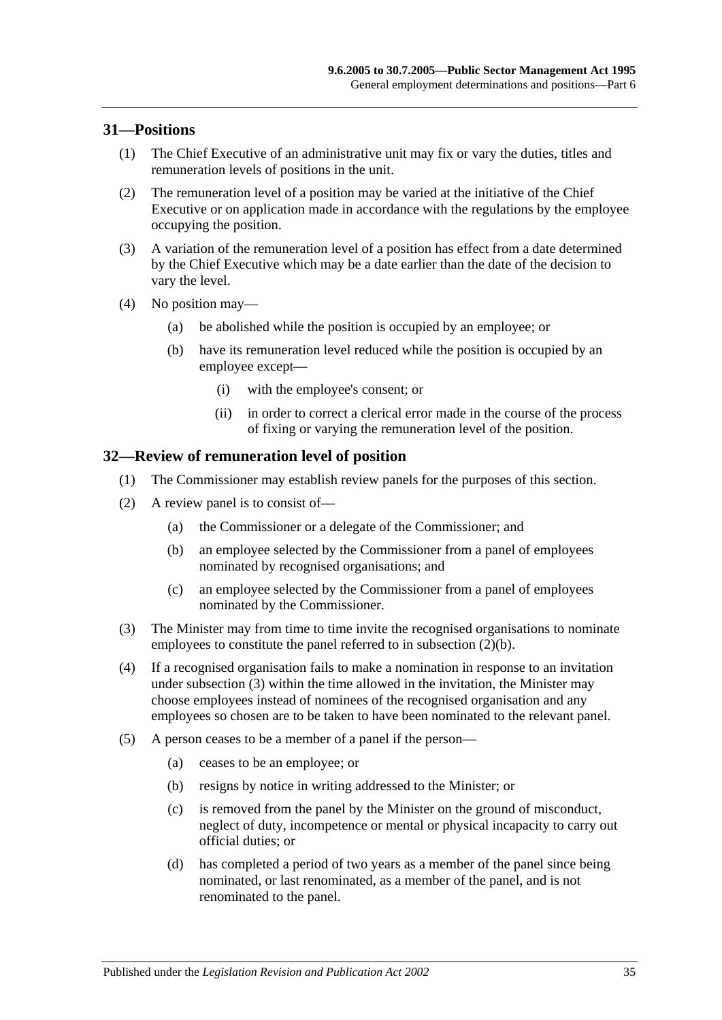#### <span id="page-34-0"></span>**31—Positions**

- (1) The Chief Executive of an administrative unit may fix or vary the duties, titles and remuneration levels of positions in the unit.
- (2) The remuneration level of a position may be varied at the initiative of the Chief Executive or on application made in accordance with the regulations by the employee occupying the position.
- (3) A variation of the remuneration level of a position has effect from a date determined by the Chief Executive which may be a date earlier than the date of the decision to vary the level.
- (4) No position may—
	- (a) be abolished while the position is occupied by an employee; or
	- (b) have its remuneration level reduced while the position is occupied by an employee except—
		- (i) with the employee's consent; or
		- (ii) in order to correct a clerical error made in the course of the process of fixing or varying the remuneration level of the position.

#### <span id="page-34-1"></span>**32—Review of remuneration level of position**

- (1) The Commissioner may establish review panels for the purposes of this section.
- <span id="page-34-2"></span>(2) A review panel is to consist of—
	- (a) the Commissioner or a delegate of the Commissioner; and
	- (b) an employee selected by the Commissioner from a panel of employees nominated by recognised organisations; and
	- (c) an employee selected by the Commissioner from a panel of employees nominated by the Commissioner.
- <span id="page-34-3"></span>(3) The Minister may from time to time invite the recognised organisations to nominate employees to constitute the panel referred to in [subsection](#page-34-2) (2)(b).
- (4) If a recognised organisation fails to make a nomination in response to an invitation under [subsection](#page-34-3) (3) within the time allowed in the invitation, the Minister may choose employees instead of nominees of the recognised organisation and any employees so chosen are to be taken to have been nominated to the relevant panel.
- (5) A person ceases to be a member of a panel if the person—
	- (a) ceases to be an employee; or
	- (b) resigns by notice in writing addressed to the Minister; or
	- (c) is removed from the panel by the Minister on the ground of misconduct, neglect of duty, incompetence or mental or physical incapacity to carry out official duties; or
	- (d) has completed a period of two years as a member of the panel since being nominated, or last renominated, as a member of the panel, and is not renominated to the panel.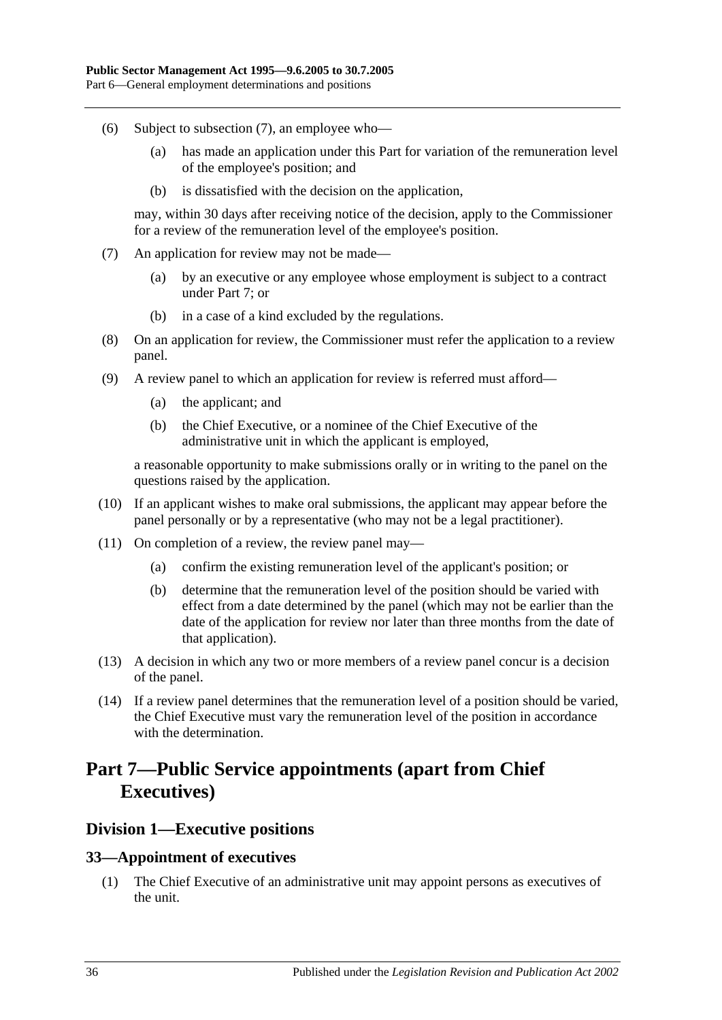- (6) Subject to [subsection](#page-35-3) (7), an employee who—
	- (a) has made an application under this Part for variation of the remuneration level of the employee's position; and
	- (b) is dissatisfied with the decision on the application,

may, within 30 days after receiving notice of the decision, apply to the Commissioner for a review of the remuneration level of the employee's position.

- <span id="page-35-3"></span>(7) An application for review may not be made—
	- (a) by an executive or any employee whose employment is subject to a contract under [Part 7;](#page-35-0) or
	- (b) in a case of a kind excluded by the regulations.
- (8) On an application for review, the Commissioner must refer the application to a review panel.
- (9) A review panel to which an application for review is referred must afford—
	- (a) the applicant; and
	- (b) the Chief Executive, or a nominee of the Chief Executive of the administrative unit in which the applicant is employed,

a reasonable opportunity to make submissions orally or in writing to the panel on the questions raised by the application.

- (10) If an applicant wishes to make oral submissions, the applicant may appear before the panel personally or by a representative (who may not be a legal practitioner).
- (11) On completion of a review, the review panel may—
	- (a) confirm the existing remuneration level of the applicant's position; or
	- (b) determine that the remuneration level of the position should be varied with effect from a date determined by the panel (which may not be earlier than the date of the application for review nor later than three months from the date of that application).
- (13) A decision in which any two or more members of a review panel concur is a decision of the panel.
- (14) If a review panel determines that the remuneration level of a position should be varied, the Chief Executive must vary the remuneration level of the position in accordance with the determination.

## <span id="page-35-0"></span>**Part 7—Public Service appointments (apart from Chief Executives)**

## <span id="page-35-1"></span>**Division 1—Executive positions**

#### <span id="page-35-2"></span>**33—Appointment of executives**

(1) The Chief Executive of an administrative unit may appoint persons as executives of the unit.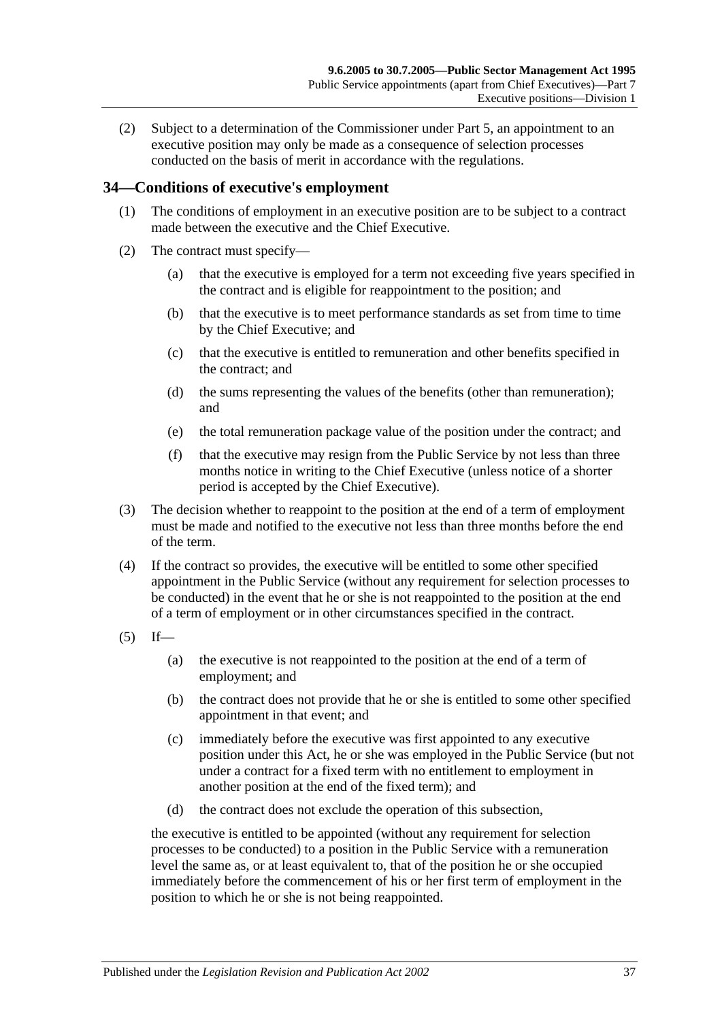(2) Subject to a determination of the Commissioner under [Part 5,](#page-28-0) an appointment to an executive position may only be made as a consequence of selection processes conducted on the basis of merit in accordance with the regulations.

### **34—Conditions of executive's employment**

- (1) The conditions of employment in an executive position are to be subject to a contract made between the executive and the Chief Executive.
- (2) The contract must specify—
	- (a) that the executive is employed for a term not exceeding five years specified in the contract and is eligible for reappointment to the position; and
	- (b) that the executive is to meet performance standards as set from time to time by the Chief Executive; and
	- (c) that the executive is entitled to remuneration and other benefits specified in the contract; and
	- (d) the sums representing the values of the benefits (other than remuneration); and
	- (e) the total remuneration package value of the position under the contract; and
	- (f) that the executive may resign from the Public Service by not less than three months notice in writing to the Chief Executive (unless notice of a shorter period is accepted by the Chief Executive).
- (3) The decision whether to reappoint to the position at the end of a term of employment must be made and notified to the executive not less than three months before the end of the term.
- (4) If the contract so provides, the executive will be entitled to some other specified appointment in the Public Service (without any requirement for selection processes to be conducted) in the event that he or she is not reappointed to the position at the end of a term of employment or in other circumstances specified in the contract.
- <span id="page-36-0"></span> $(5)$  If—
	- (a) the executive is not reappointed to the position at the end of a term of employment; and
	- (b) the contract does not provide that he or she is entitled to some other specified appointment in that event; and
	- (c) immediately before the executive was first appointed to any executive position under this Act, he or she was employed in the Public Service (but not under a contract for a fixed term with no entitlement to employment in another position at the end of the fixed term); and
	- (d) the contract does not exclude the operation of this subsection,

the executive is entitled to be appointed (without any requirement for selection processes to be conducted) to a position in the Public Service with a remuneration level the same as, or at least equivalent to, that of the position he or she occupied immediately before the commencement of his or her first term of employment in the position to which he or she is not being reappointed.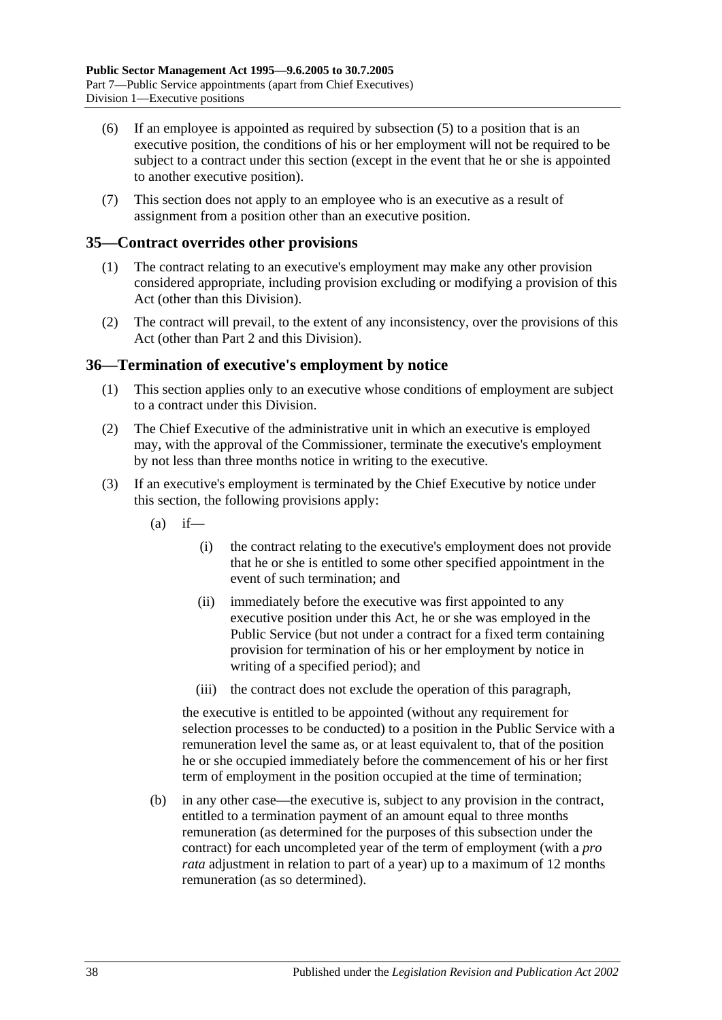- (6) If an employee is appointed as required by [subsection](#page-36-0) (5) to a position that is an executive position, the conditions of his or her employment will not be required to be subject to a contract under this section (except in the event that he or she is appointed to another executive position).
- (7) This section does not apply to an employee who is an executive as a result of assignment from a position other than an executive position.

### **35—Contract overrides other provisions**

- (1) The contract relating to an executive's employment may make any other provision considered appropriate, including provision excluding or modifying a provision of this Act (other than this Division).
- (2) The contract will prevail, to the extent of any inconsistency, over the provisions of this Act (other than [Part 2](#page-9-0) and this Division).

#### **36—Termination of executive's employment by notice**

- (1) This section applies only to an executive whose conditions of employment are subject to a contract under this Division.
- (2) The Chief Executive of the administrative unit in which an executive is employed may, with the approval of the Commissioner, terminate the executive's employment by not less than three months notice in writing to the executive.
- <span id="page-37-0"></span>(3) If an executive's employment is terminated by the Chief Executive by notice under this section, the following provisions apply:
	- $(a)$  if—
		- (i) the contract relating to the executive's employment does not provide that he or she is entitled to some other specified appointment in the event of such termination; and
		- (ii) immediately before the executive was first appointed to any executive position under this Act, he or she was employed in the Public Service (but not under a contract for a fixed term containing provision for termination of his or her employment by notice in writing of a specified period); and
		- (iii) the contract does not exclude the operation of this paragraph,

the executive is entitled to be appointed (without any requirement for selection processes to be conducted) to a position in the Public Service with a remuneration level the same as, or at least equivalent to, that of the position he or she occupied immediately before the commencement of his or her first term of employment in the position occupied at the time of termination;

(b) in any other case—the executive is, subject to any provision in the contract, entitled to a termination payment of an amount equal to three months remuneration (as determined for the purposes of this subsection under the contract) for each uncompleted year of the term of employment (with a *pro rata* adjustment in relation to part of a year) up to a maximum of 12 months remuneration (as so determined).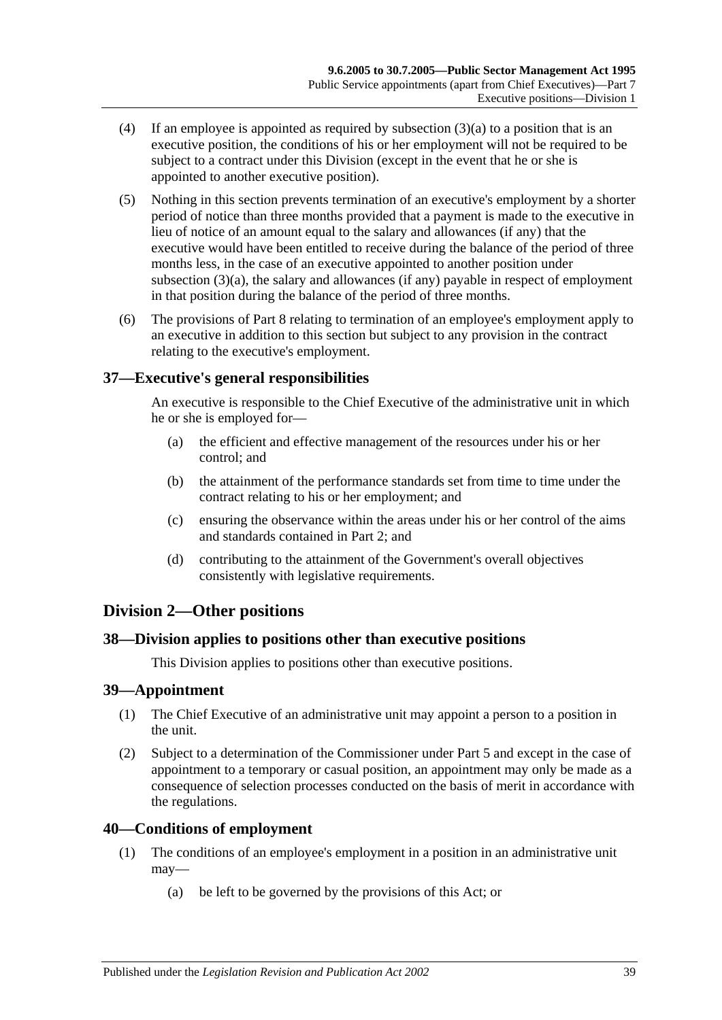- (4) If an employee is appointed as required by [subsection](#page-37-0) (3)(a) to a position that is an executive position, the conditions of his or her employment will not be required to be subject to a contract under this Division (except in the event that he or she is appointed to another executive position).
- (5) Nothing in this section prevents termination of an executive's employment by a shorter period of notice than three months provided that a payment is made to the executive in lieu of notice of an amount equal to the salary and allowances (if any) that the executive would have been entitled to receive during the balance of the period of three months less, in the case of an executive appointed to another position under [subsection](#page-37-0) (3)(a), the salary and allowances (if any) payable in respect of employment in that position during the balance of the period of three months.
- (6) The provisions of [Part 8](#page-42-0) relating to termination of an employee's employment apply to an executive in addition to this section but subject to any provision in the contract relating to the executive's employment.

## **37—Executive's general responsibilities**

An executive is responsible to the Chief Executive of the administrative unit in which he or she is employed for—

- (a) the efficient and effective management of the resources under his or her control; and
- (b) the attainment of the performance standards set from time to time under the contract relating to his or her employment; and
- (c) ensuring the observance within the areas under his or her control of the aims and standards contained in [Part 2;](#page-9-0) and
- (d) contributing to the attainment of the Government's overall objectives consistently with legislative requirements.

# **Division 2—Other positions**

### **38—Division applies to positions other than executive positions**

This Division applies to positions other than executive positions.

#### **39—Appointment**

- (1) The Chief Executive of an administrative unit may appoint a person to a position in the unit.
- (2) Subject to a determination of the Commissioner under [Part 5](#page-28-0) and except in the case of appointment to a temporary or casual position, an appointment may only be made as a consequence of selection processes conducted on the basis of merit in accordance with the regulations.

#### **40—Conditions of employment**

- (1) The conditions of an employee's employment in a position in an administrative unit may—
	- (a) be left to be governed by the provisions of this Act; or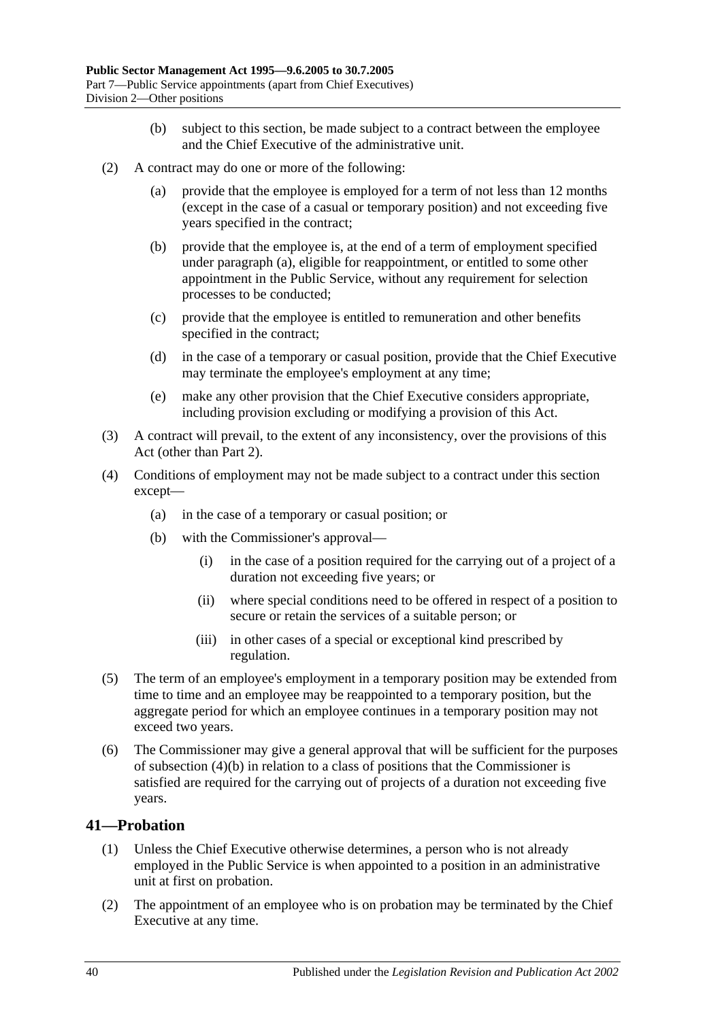- (b) subject to this section, be made subject to a contract between the employee and the Chief Executive of the administrative unit.
- <span id="page-39-0"></span>(2) A contract may do one or more of the following:
	- (a) provide that the employee is employed for a term of not less than 12 months (except in the case of a casual or temporary position) and not exceeding five years specified in the contract;
	- (b) provide that the employee is, at the end of a term of employment specified under [paragraph](#page-39-0) (a), eligible for reappointment, or entitled to some other appointment in the Public Service, without any requirement for selection processes to be conducted;
	- (c) provide that the employee is entitled to remuneration and other benefits specified in the contract;
	- (d) in the case of a temporary or casual position, provide that the Chief Executive may terminate the employee's employment at any time;
	- (e) make any other provision that the Chief Executive considers appropriate, including provision excluding or modifying a provision of this Act.
- (3) A contract will prevail, to the extent of any inconsistency, over the provisions of this Act (other than [Part 2\)](#page-9-0).
- <span id="page-39-1"></span>(4) Conditions of employment may not be made subject to a contract under this section except—
	- (a) in the case of a temporary or casual position; or
	- (b) with the Commissioner's approval—
		- (i) in the case of a position required for the carrying out of a project of a duration not exceeding five years; or
		- (ii) where special conditions need to be offered in respect of a position to secure or retain the services of a suitable person; or
		- (iii) in other cases of a special or exceptional kind prescribed by regulation.
- (5) The term of an employee's employment in a temporary position may be extended from time to time and an employee may be reappointed to a temporary position, but the aggregate period for which an employee continues in a temporary position may not exceed two years.
- (6) The Commissioner may give a general approval that will be sufficient for the purposes of [subsection](#page-39-1) (4)(b) in relation to a class of positions that the Commissioner is satisfied are required for the carrying out of projects of a duration not exceeding five years.

### **41—Probation**

- (1) Unless the Chief Executive otherwise determines, a person who is not already employed in the Public Service is when appointed to a position in an administrative unit at first on probation.
- (2) The appointment of an employee who is on probation may be terminated by the Chief Executive at any time.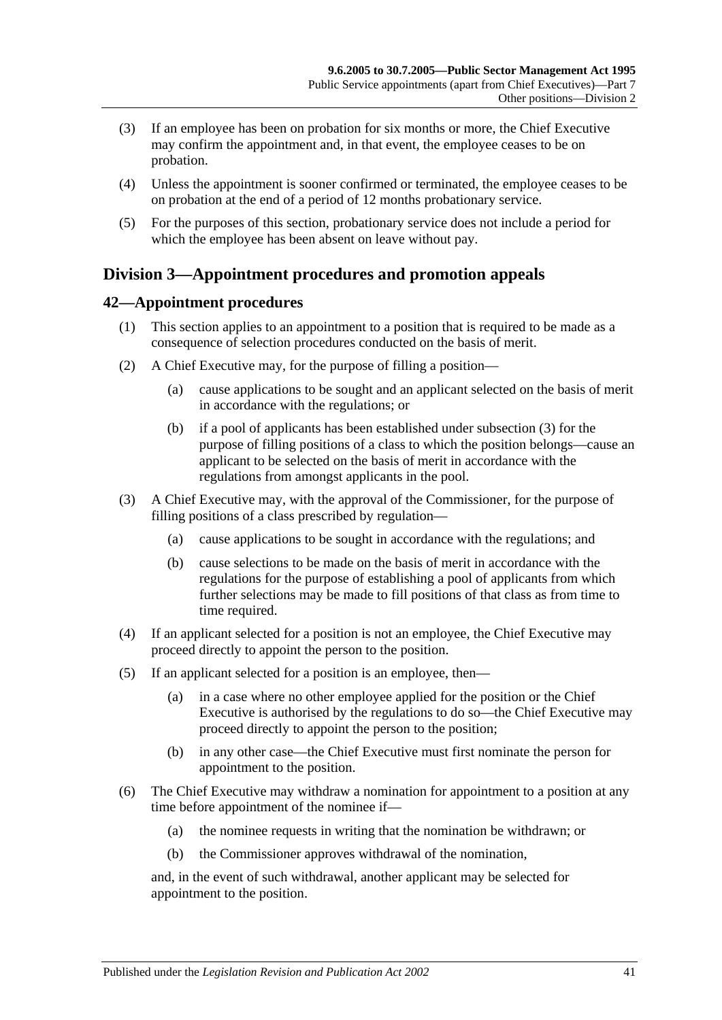- (3) If an employee has been on probation for six months or more, the Chief Executive may confirm the appointment and, in that event, the employee ceases to be on probation.
- (4) Unless the appointment is sooner confirmed or terminated, the employee ceases to be on probation at the end of a period of 12 months probationary service.
- (5) For the purposes of this section, probationary service does not include a period for which the employee has been absent on leave without pay.

# **Division 3—Appointment procedures and promotion appeals**

# **42—Appointment procedures**

- (1) This section applies to an appointment to a position that is required to be made as a consequence of selection procedures conducted on the basis of merit.
- (2) A Chief Executive may, for the purpose of filling a position—
	- (a) cause applications to be sought and an applicant selected on the basis of merit in accordance with the regulations; or
	- (b) if a pool of applicants has been established under [subsection](#page-40-0) (3) for the purpose of filling positions of a class to which the position belongs—cause an applicant to be selected on the basis of merit in accordance with the regulations from amongst applicants in the pool.
- <span id="page-40-0"></span>(3) A Chief Executive may, with the approval of the Commissioner, for the purpose of filling positions of a class prescribed by regulation—
	- (a) cause applications to be sought in accordance with the regulations; and
	- (b) cause selections to be made on the basis of merit in accordance with the regulations for the purpose of establishing a pool of applicants from which further selections may be made to fill positions of that class as from time to time required.
- (4) If an applicant selected for a position is not an employee, the Chief Executive may proceed directly to appoint the person to the position.
- (5) If an applicant selected for a position is an employee, then—
	- (a) in a case where no other employee applied for the position or the Chief Executive is authorised by the regulations to do so—the Chief Executive may proceed directly to appoint the person to the position;
	- (b) in any other case—the Chief Executive must first nominate the person for appointment to the position.
- (6) The Chief Executive may withdraw a nomination for appointment to a position at any time before appointment of the nominee if—
	- (a) the nominee requests in writing that the nomination be withdrawn; or
	- (b) the Commissioner approves withdrawal of the nomination,

and, in the event of such withdrawal, another applicant may be selected for appointment to the position.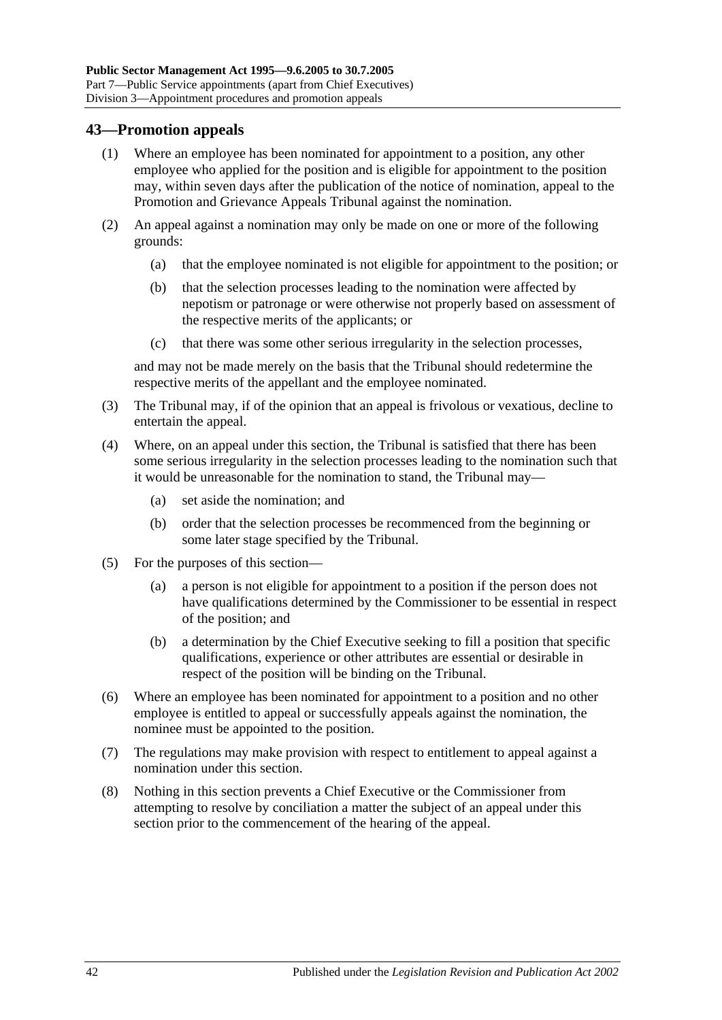## **43—Promotion appeals**

- (1) Where an employee has been nominated for appointment to a position, any other employee who applied for the position and is eligible for appointment to the position may, within seven days after the publication of the notice of nomination, appeal to the Promotion and Grievance Appeals Tribunal against the nomination.
- (2) An appeal against a nomination may only be made on one or more of the following grounds:
	- (a) that the employee nominated is not eligible for appointment to the position; or
	- (b) that the selection processes leading to the nomination were affected by nepotism or patronage or were otherwise not properly based on assessment of the respective merits of the applicants; or
	- (c) that there was some other serious irregularity in the selection processes,

and may not be made merely on the basis that the Tribunal should redetermine the respective merits of the appellant and the employee nominated.

- (3) The Tribunal may, if of the opinion that an appeal is frivolous or vexatious, decline to entertain the appeal.
- (4) Where, on an appeal under this section, the Tribunal is satisfied that there has been some serious irregularity in the selection processes leading to the nomination such that it would be unreasonable for the nomination to stand, the Tribunal may—
	- (a) set aside the nomination; and
	- (b) order that the selection processes be recommenced from the beginning or some later stage specified by the Tribunal.
- (5) For the purposes of this section—
	- (a) a person is not eligible for appointment to a position if the person does not have qualifications determined by the Commissioner to be essential in respect of the position; and
	- (b) a determination by the Chief Executive seeking to fill a position that specific qualifications, experience or other attributes are essential or desirable in respect of the position will be binding on the Tribunal.
- (6) Where an employee has been nominated for appointment to a position and no other employee is entitled to appeal or successfully appeals against the nomination, the nominee must be appointed to the position.
- (7) The regulations may make provision with respect to entitlement to appeal against a nomination under this section.
- (8) Nothing in this section prevents a Chief Executive or the Commissioner from attempting to resolve by conciliation a matter the subject of an appeal under this section prior to the commencement of the hearing of the appeal.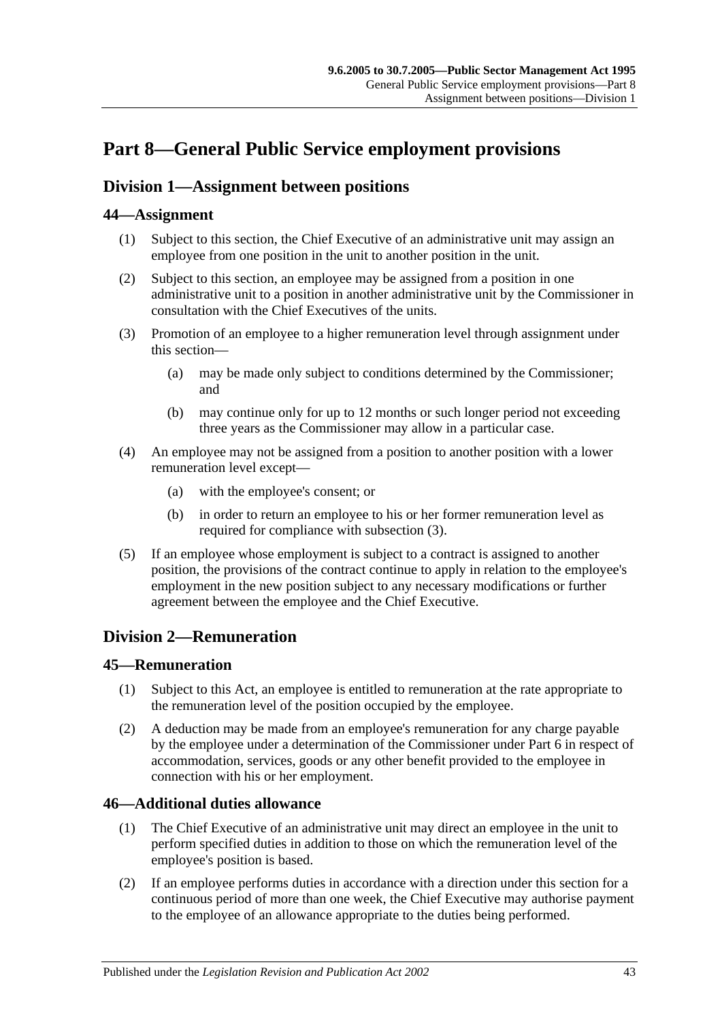# <span id="page-42-0"></span>**Part 8—General Public Service employment provisions**

# <span id="page-42-2"></span>**Division 1—Assignment between positions**

# **44—Assignment**

- (1) Subject to this section, the Chief Executive of an administrative unit may assign an employee from one position in the unit to another position in the unit.
- (2) Subject to this section, an employee may be assigned from a position in one administrative unit to a position in another administrative unit by the Commissioner in consultation with the Chief Executives of the units.
- <span id="page-42-1"></span>(3) Promotion of an employee to a higher remuneration level through assignment under this section—
	- (a) may be made only subject to conditions determined by the Commissioner; and
	- (b) may continue only for up to 12 months or such longer period not exceeding three years as the Commissioner may allow in a particular case.
- (4) An employee may not be assigned from a position to another position with a lower remuneration level except—
	- (a) with the employee's consent; or
	- (b) in order to return an employee to his or her former remuneration level as required for compliance with [subsection](#page-42-1) (3).
- (5) If an employee whose employment is subject to a contract is assigned to another position, the provisions of the contract continue to apply in relation to the employee's employment in the new position subject to any necessary modifications or further agreement between the employee and the Chief Executive.

# **Division 2—Remuneration**

### **45—Remuneration**

- (1) Subject to this Act, an employee is entitled to remuneration at the rate appropriate to the remuneration level of the position occupied by the employee.
- (2) A deduction may be made from an employee's remuneration for any charge payable by the employee under a determination of the Commissioner under [Part 6](#page-33-0) in respect of accommodation, services, goods or any other benefit provided to the employee in connection with his or her employment.

### **46—Additional duties allowance**

- (1) The Chief Executive of an administrative unit may direct an employee in the unit to perform specified duties in addition to those on which the remuneration level of the employee's position is based.
- (2) If an employee performs duties in accordance with a direction under this section for a continuous period of more than one week, the Chief Executive may authorise payment to the employee of an allowance appropriate to the duties being performed.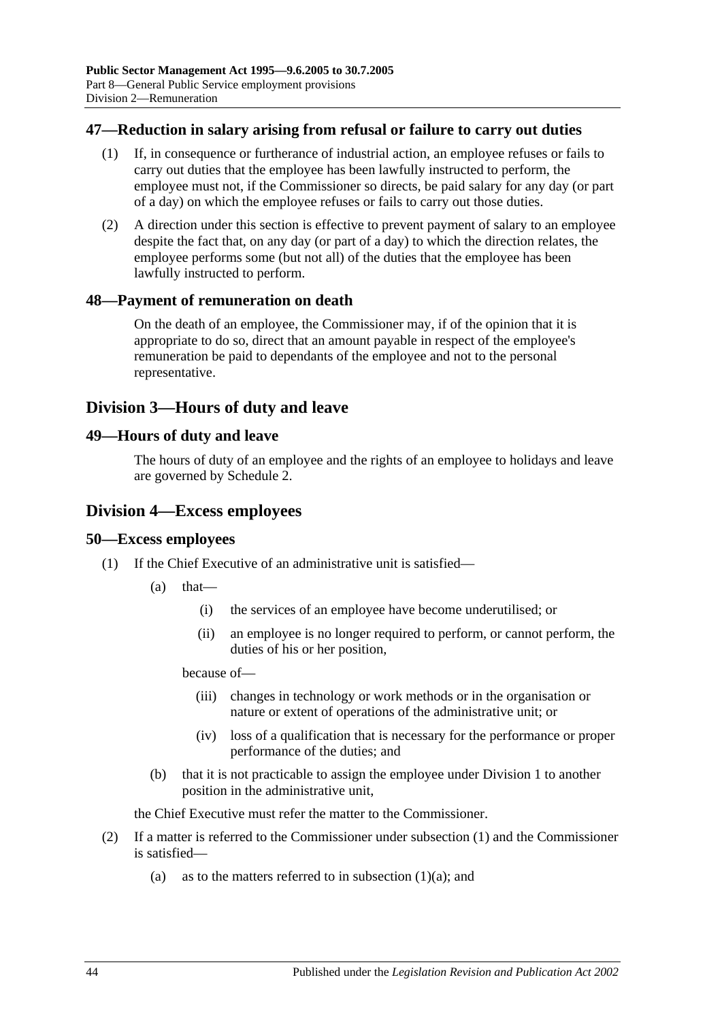### **47—Reduction in salary arising from refusal or failure to carry out duties**

- (1) If, in consequence or furtherance of industrial action, an employee refuses or fails to carry out duties that the employee has been lawfully instructed to perform, the employee must not, if the Commissioner so directs, be paid salary for any day (or part of a day) on which the employee refuses or fails to carry out those duties.
- (2) A direction under this section is effective to prevent payment of salary to an employee despite the fact that, on any day (or part of a day) to which the direction relates, the employee performs some (but not all) of the duties that the employee has been lawfully instructed to perform.

#### **48—Payment of remuneration on death**

On the death of an employee, the Commissioner may, if of the opinion that it is appropriate to do so, direct that an amount payable in respect of the employee's remuneration be paid to dependants of the employee and not to the personal representative.

# **Division 3—Hours of duty and leave**

#### **49—Hours of duty and leave**

The hours of duty of an employee and the rights of an employee to holidays and leave are governed by [Schedule 2.](#page-58-0)

#### **Division 4—Excess employees**

#### <span id="page-43-0"></span>**50—Excess employees**

- <span id="page-43-1"></span>(1) If the Chief Executive of an administrative unit is satisfied—
	- (a) that—
		- (i) the services of an employee have become underutilised; or
		- (ii) an employee is no longer required to perform, or cannot perform, the duties of his or her position,

because of—

- (iii) changes in technology or work methods or in the organisation or nature or extent of operations of the administrative unit; or
- (iv) loss of a qualification that is necessary for the performance or proper performance of the duties; and
- (b) that it is not practicable to assign the employee under [Division 1](#page-42-2) to another position in the administrative unit,

the Chief Executive must refer the matter to the Commissioner.

- (2) If a matter is referred to the Commissioner under [subsection](#page-43-0) (1) and the Commissioner is satisfied
	- (a) as to the matters referred to in [subsection](#page-43-1)  $(1)(a)$ ; and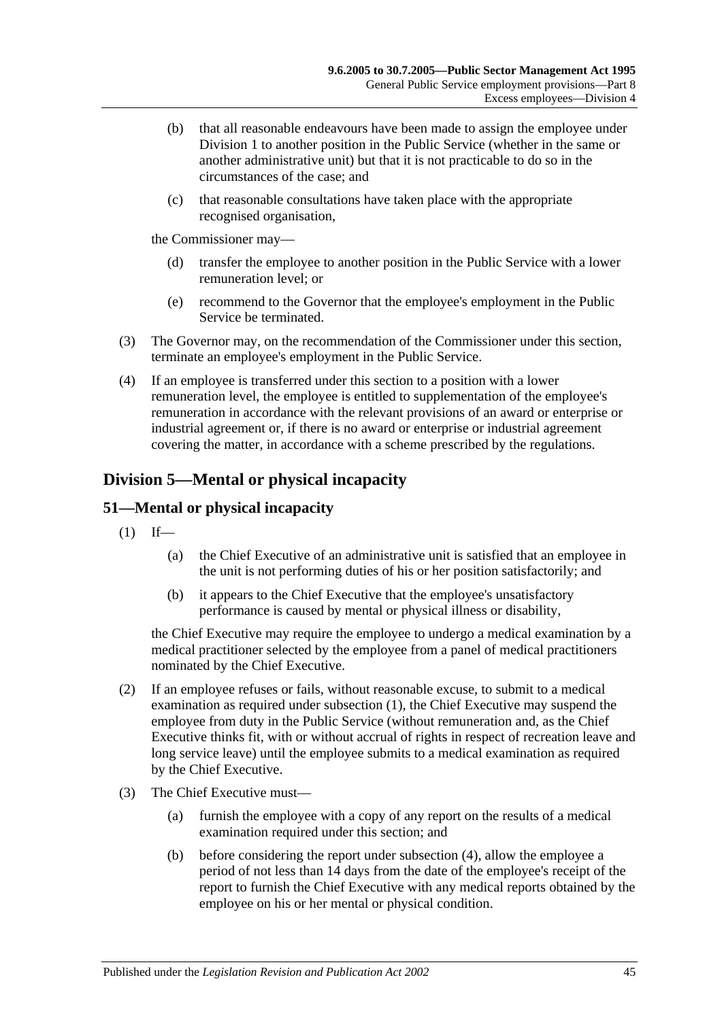- (b) that all reasonable endeavours have been made to assign the employee under [Division 1](#page-42-2) to another position in the Public Service (whether in the same or another administrative unit) but that it is not practicable to do so in the circumstances of the case; and
- (c) that reasonable consultations have taken place with the appropriate recognised organisation,

the Commissioner may—

- (d) transfer the employee to another position in the Public Service with a lower remuneration level; or
- (e) recommend to the Governor that the employee's employment in the Public Service be terminated.
- (3) The Governor may, on the recommendation of the Commissioner under this section, terminate an employee's employment in the Public Service.
- (4) If an employee is transferred under this section to a position with a lower remuneration level, the employee is entitled to supplementation of the employee's remuneration in accordance with the relevant provisions of an award or enterprise or industrial agreement or, if there is no award or enterprise or industrial agreement covering the matter, in accordance with a scheme prescribed by the regulations.

# **Division 5—Mental or physical incapacity**

# <span id="page-44-0"></span>**51—Mental or physical incapacity**

- $(1)$  If—
	- (a) the Chief Executive of an administrative unit is satisfied that an employee in the unit is not performing duties of his or her position satisfactorily; and
	- (b) it appears to the Chief Executive that the employee's unsatisfactory performance is caused by mental or physical illness or disability,

the Chief Executive may require the employee to undergo a medical examination by a medical practitioner selected by the employee from a panel of medical practitioners nominated by the Chief Executive.

- (2) If an employee refuses or fails, without reasonable excuse, to submit to a medical examination as required under [subsection](#page-44-0) (1), the Chief Executive may suspend the employee from duty in the Public Service (without remuneration and, as the Chief Executive thinks fit, with or without accrual of rights in respect of recreation leave and long service leave) until the employee submits to a medical examination as required by the Chief Executive.
- <span id="page-44-1"></span>(3) The Chief Executive must—
	- (a) furnish the employee with a copy of any report on the results of a medical examination required under this section; and
	- (b) before considering the report under [subsection](#page-45-0) (4), allow the employee a period of not less than 14 days from the date of the employee's receipt of the report to furnish the Chief Executive with any medical reports obtained by the employee on his or her mental or physical condition.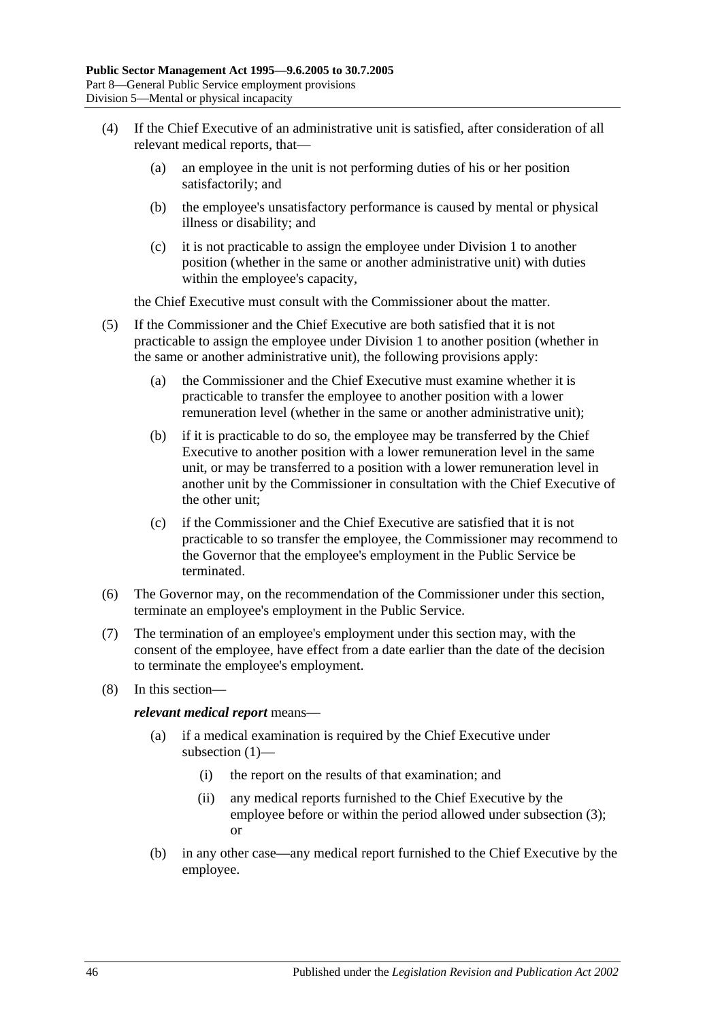- <span id="page-45-0"></span>(4) If the Chief Executive of an administrative unit is satisfied, after consideration of all relevant medical reports, that—
	- (a) an employee in the unit is not performing duties of his or her position satisfactorily; and
	- (b) the employee's unsatisfactory performance is caused by mental or physical illness or disability; and
	- (c) it is not practicable to assign the employee under [Division 1](#page-42-2) to another position (whether in the same or another administrative unit) with duties within the employee's capacity,

the Chief Executive must consult with the Commissioner about the matter.

- (5) If the Commissioner and the Chief Executive are both satisfied that it is not practicable to assign the employee under [Division 1](#page-42-2) to another position (whether in the same or another administrative unit), the following provisions apply:
	- (a) the Commissioner and the Chief Executive must examine whether it is practicable to transfer the employee to another position with a lower remuneration level (whether in the same or another administrative unit);
	- (b) if it is practicable to do so, the employee may be transferred by the Chief Executive to another position with a lower remuneration level in the same unit, or may be transferred to a position with a lower remuneration level in another unit by the Commissioner in consultation with the Chief Executive of the other unit;
	- (c) if the Commissioner and the Chief Executive are satisfied that it is not practicable to so transfer the employee, the Commissioner may recommend to the Governor that the employee's employment in the Public Service be terminated.
- (6) The Governor may, on the recommendation of the Commissioner under this section, terminate an employee's employment in the Public Service.
- (7) The termination of an employee's employment under this section may, with the consent of the employee, have effect from a date earlier than the date of the decision to terminate the employee's employment.
- (8) In this section—

*relevant medical report* means—

- (a) if a medical examination is required by the Chief Executive under [subsection](#page-44-0) (1)—
	- (i) the report on the results of that examination; and
	- (ii) any medical reports furnished to the Chief Executive by the employee before or within the period allowed under [subsection](#page-44-1) (3); or
- (b) in any other case—any medical report furnished to the Chief Executive by the employee.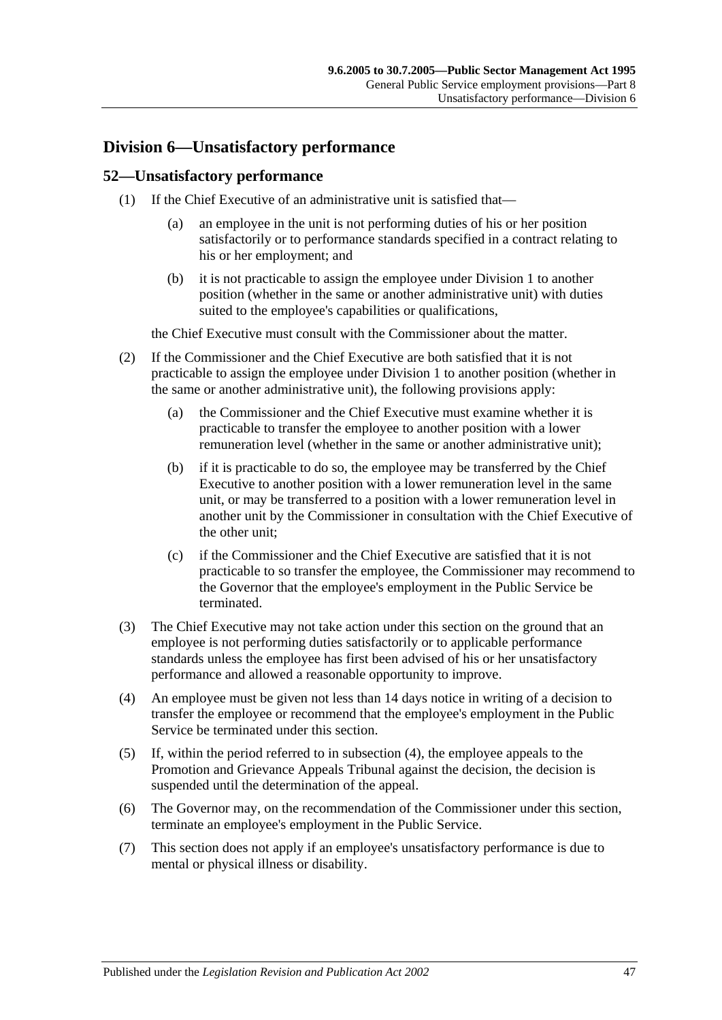# **Division 6—Unsatisfactory performance**

#### **52—Unsatisfactory performance**

- (1) If the Chief Executive of an administrative unit is satisfied that—
	- (a) an employee in the unit is not performing duties of his or her position satisfactorily or to performance standards specified in a contract relating to his or her employment; and
	- (b) it is not practicable to assign the employee under [Division 1](#page-42-2) to another position (whether in the same or another administrative unit) with duties suited to the employee's capabilities or qualifications,

the Chief Executive must consult with the Commissioner about the matter.

- (2) If the Commissioner and the Chief Executive are both satisfied that it is not practicable to assign the employee under [Division 1](#page-42-2) to another position (whether in the same or another administrative unit), the following provisions apply:
	- (a) the Commissioner and the Chief Executive must examine whether it is practicable to transfer the employee to another position with a lower remuneration level (whether in the same or another administrative unit);
	- (b) if it is practicable to do so, the employee may be transferred by the Chief Executive to another position with a lower remuneration level in the same unit, or may be transferred to a position with a lower remuneration level in another unit by the Commissioner in consultation with the Chief Executive of the other unit;
	- (c) if the Commissioner and the Chief Executive are satisfied that it is not practicable to so transfer the employee, the Commissioner may recommend to the Governor that the employee's employment in the Public Service be terminated.
- (3) The Chief Executive may not take action under this section on the ground that an employee is not performing duties satisfactorily or to applicable performance standards unless the employee has first been advised of his or her unsatisfactory performance and allowed a reasonable opportunity to improve.
- <span id="page-46-0"></span>(4) An employee must be given not less than 14 days notice in writing of a decision to transfer the employee or recommend that the employee's employment in the Public Service be terminated under this section.
- (5) If, within the period referred to in [subsection](#page-46-0) (4), the employee appeals to the Promotion and Grievance Appeals Tribunal against the decision, the decision is suspended until the determination of the appeal.
- (6) The Governor may, on the recommendation of the Commissioner under this section, terminate an employee's employment in the Public Service.
- (7) This section does not apply if an employee's unsatisfactory performance is due to mental or physical illness or disability.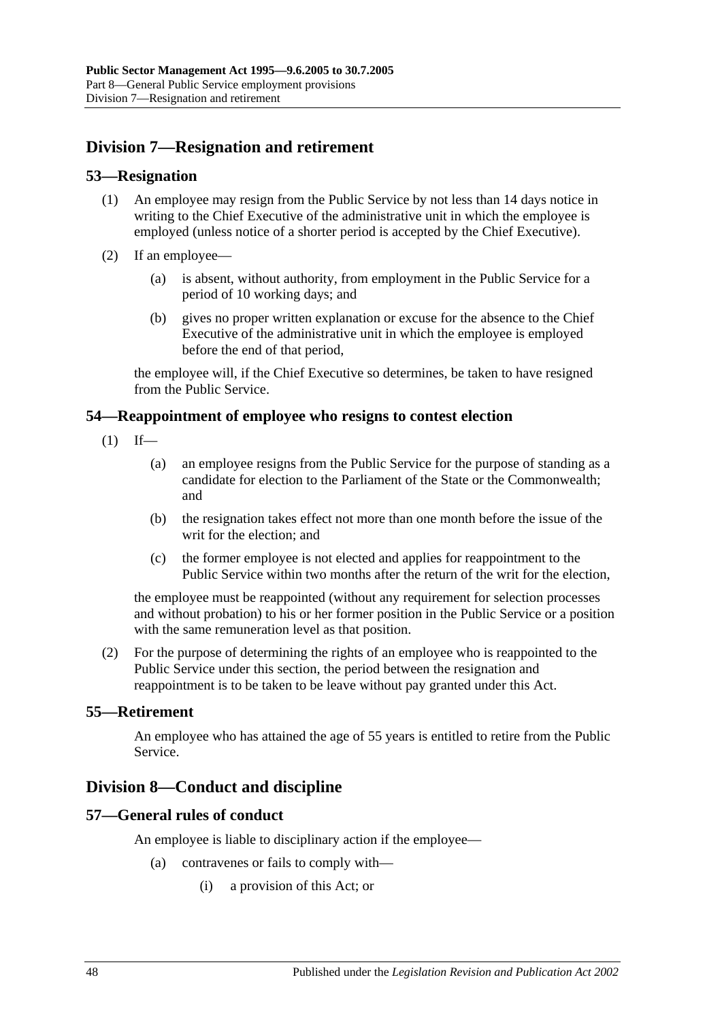# **Division 7—Resignation and retirement**

#### **53—Resignation**

- (1) An employee may resign from the Public Service by not less than 14 days notice in writing to the Chief Executive of the administrative unit in which the employee is employed (unless notice of a shorter period is accepted by the Chief Executive).
- (2) If an employee—
	- (a) is absent, without authority, from employment in the Public Service for a period of 10 working days; and
	- (b) gives no proper written explanation or excuse for the absence to the Chief Executive of the administrative unit in which the employee is employed before the end of that period,

the employee will, if the Chief Executive so determines, be taken to have resigned from the Public Service.

#### **54—Reappointment of employee who resigns to contest election**

- $(1)$  If—
	- (a) an employee resigns from the Public Service for the purpose of standing as a candidate for election to the Parliament of the State or the Commonwealth; and
	- (b) the resignation takes effect not more than one month before the issue of the writ for the election; and
	- (c) the former employee is not elected and applies for reappointment to the Public Service within two months after the return of the writ for the election,

the employee must be reappointed (without any requirement for selection processes and without probation) to his or her former position in the Public Service or a position with the same remuneration level as that position.

(2) For the purpose of determining the rights of an employee who is reappointed to the Public Service under this section, the period between the resignation and reappointment is to be taken to be leave without pay granted under this Act.

### **55—Retirement**

An employee who has attained the age of 55 years is entitled to retire from the Public Service.

# **Division 8—Conduct and discipline**

### **57—General rules of conduct**

An employee is liable to disciplinary action if the employee—

- (a) contravenes or fails to comply with—
	- (i) a provision of this Act; or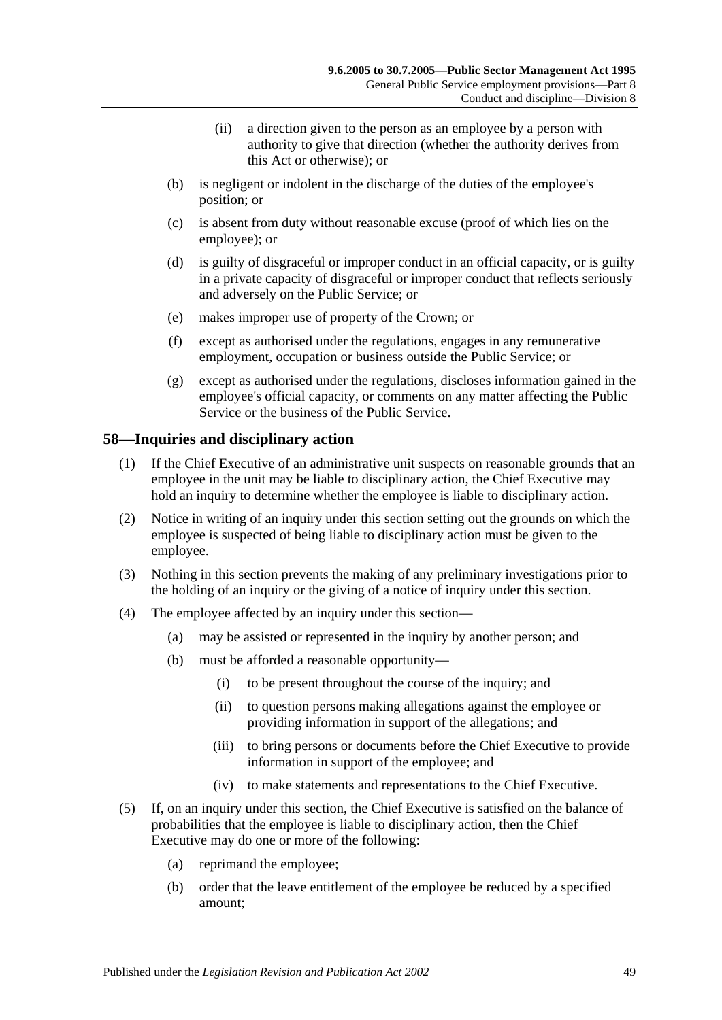- (ii) a direction given to the person as an employee by a person with authority to give that direction (whether the authority derives from this Act or otherwise); or
- (b) is negligent or indolent in the discharge of the duties of the employee's position; or
- (c) is absent from duty without reasonable excuse (proof of which lies on the employee); or
- (d) is guilty of disgraceful or improper conduct in an official capacity, or is guilty in a private capacity of disgraceful or improper conduct that reflects seriously and adversely on the Public Service; or
- (e) makes improper use of property of the Crown; or
- (f) except as authorised under the regulations, engages in any remunerative employment, occupation or business outside the Public Service; or
- (g) except as authorised under the regulations, discloses information gained in the employee's official capacity, or comments on any matter affecting the Public Service or the business of the Public Service.

### **58—Inquiries and disciplinary action**

- (1) If the Chief Executive of an administrative unit suspects on reasonable grounds that an employee in the unit may be liable to disciplinary action, the Chief Executive may hold an inquiry to determine whether the employee is liable to disciplinary action.
- (2) Notice in writing of an inquiry under this section setting out the grounds on which the employee is suspected of being liable to disciplinary action must be given to the employee.
- (3) Nothing in this section prevents the making of any preliminary investigations prior to the holding of an inquiry or the giving of a notice of inquiry under this section.
- (4) The employee affected by an inquiry under this section—
	- (a) may be assisted or represented in the inquiry by another person; and
	- (b) must be afforded a reasonable opportunity—
		- (i) to be present throughout the course of the inquiry; and
		- (ii) to question persons making allegations against the employee or providing information in support of the allegations; and
		- (iii) to bring persons or documents before the Chief Executive to provide information in support of the employee; and
		- (iv) to make statements and representations to the Chief Executive.
- <span id="page-48-0"></span>(5) If, on an inquiry under this section, the Chief Executive is satisfied on the balance of probabilities that the employee is liable to disciplinary action, then the Chief Executive may do one or more of the following:
	- (a) reprimand the employee;
	- (b) order that the leave entitlement of the employee be reduced by a specified amount;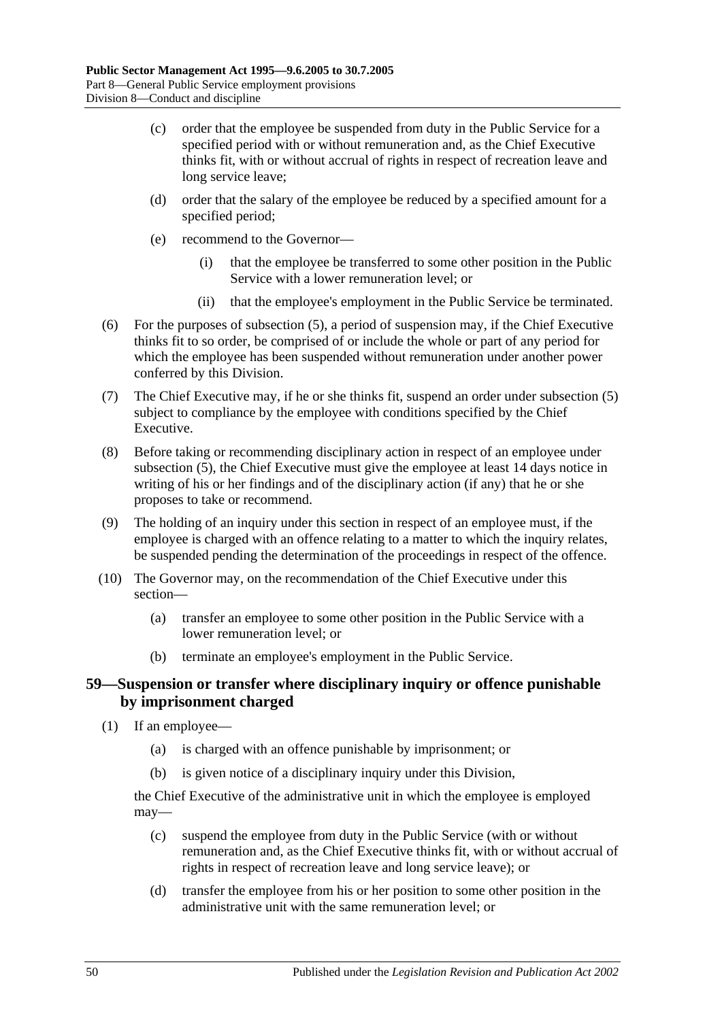- (c) order that the employee be suspended from duty in the Public Service for a specified period with or without remuneration and, as the Chief Executive thinks fit, with or without accrual of rights in respect of recreation leave and long service leave;
- (d) order that the salary of the employee be reduced by a specified amount for a specified period;
- (e) recommend to the Governor—
	- (i) that the employee be transferred to some other position in the Public Service with a lower remuneration level; or
	- (ii) that the employee's employment in the Public Service be terminated.
- (6) For the purposes of [subsection](#page-48-0) (5), a period of suspension may, if the Chief Executive thinks fit to so order, be comprised of or include the whole or part of any period for which the employee has been suspended without remuneration under another power conferred by this Division.
- (7) The Chief Executive may, if he or she thinks fit, suspend an order under [subsection](#page-48-0) (5) subject to compliance by the employee with conditions specified by the Chief Executive.
- (8) Before taking or recommending disciplinary action in respect of an employee under [subsection](#page-48-0) (5), the Chief Executive must give the employee at least 14 days notice in writing of his or her findings and of the disciplinary action (if any) that he or she proposes to take or recommend.
- (9) The holding of an inquiry under this section in respect of an employee must, if the employee is charged with an offence relating to a matter to which the inquiry relates, be suspended pending the determination of the proceedings in respect of the offence.
- (10) The Governor may, on the recommendation of the Chief Executive under this section—
	- (a) transfer an employee to some other position in the Public Service with a lower remuneration level; or
	- (b) terminate an employee's employment in the Public Service.

### **59—Suspension or transfer where disciplinary inquiry or offence punishable by imprisonment charged**

- (1) If an employee—
	- (a) is charged with an offence punishable by imprisonment; or
	- (b) is given notice of a disciplinary inquiry under this Division,

the Chief Executive of the administrative unit in which the employee is employed may—

- (c) suspend the employee from duty in the Public Service (with or without remuneration and, as the Chief Executive thinks fit, with or without accrual of rights in respect of recreation leave and long service leave); or
- (d) transfer the employee from his or her position to some other position in the administrative unit with the same remuneration level; or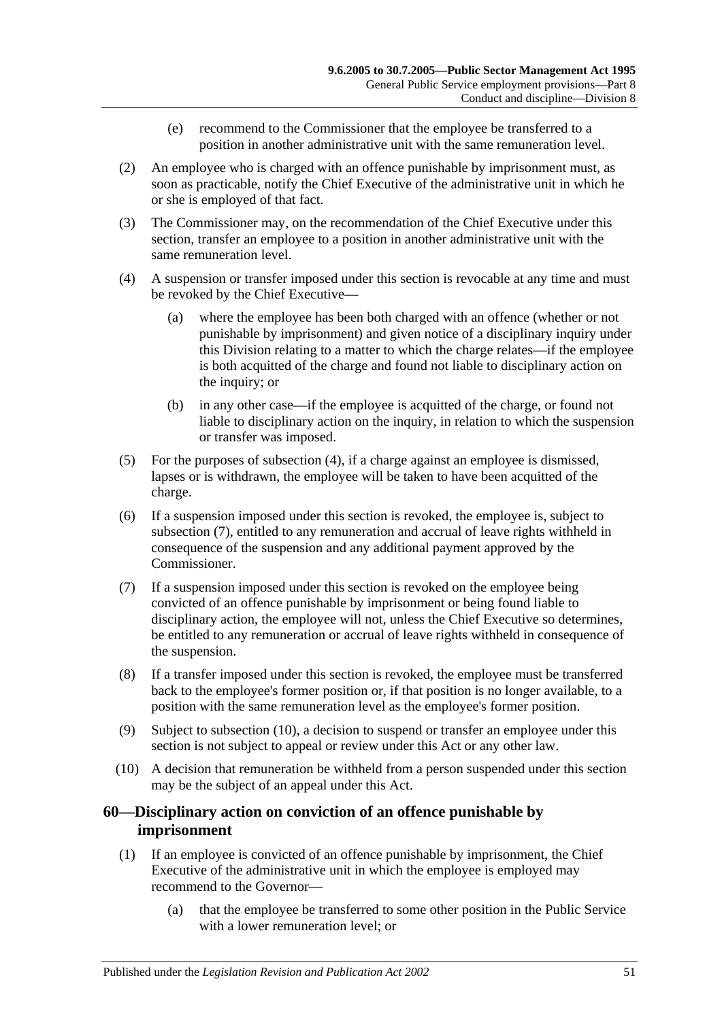- (e) recommend to the Commissioner that the employee be transferred to a position in another administrative unit with the same remuneration level.
- (2) An employee who is charged with an offence punishable by imprisonment must, as soon as practicable, notify the Chief Executive of the administrative unit in which he or she is employed of that fact.
- (3) The Commissioner may, on the recommendation of the Chief Executive under this section, transfer an employee to a position in another administrative unit with the same remuneration level.
- <span id="page-50-0"></span>(4) A suspension or transfer imposed under this section is revocable at any time and must be revoked by the Chief Executive—
	- (a) where the employee has been both charged with an offence (whether or not punishable by imprisonment) and given notice of a disciplinary inquiry under this Division relating to a matter to which the charge relates—if the employee is both acquitted of the charge and found not liable to disciplinary action on the inquiry; or
	- (b) in any other case—if the employee is acquitted of the charge, or found not liable to disciplinary action on the inquiry, in relation to which the suspension or transfer was imposed.
- (5) For the purposes of [subsection](#page-50-0) (4), if a charge against an employee is dismissed, lapses or is withdrawn, the employee will be taken to have been acquitted of the charge.
- (6) If a suspension imposed under this section is revoked, the employee is, subject to [subsection](#page-50-1) (7), entitled to any remuneration and accrual of leave rights withheld in consequence of the suspension and any additional payment approved by the Commissioner.
- <span id="page-50-1"></span>(7) If a suspension imposed under this section is revoked on the employee being convicted of an offence punishable by imprisonment or being found liable to disciplinary action, the employee will not, unless the Chief Executive so determines, be entitled to any remuneration or accrual of leave rights withheld in consequence of the suspension.
- (8) If a transfer imposed under this section is revoked, the employee must be transferred back to the employee's former position or, if that position is no longer available, to a position with the same remuneration level as the employee's former position.
- (9) Subject to [subsection](#page-50-2) (10), a decision to suspend or transfer an employee under this section is not subject to appeal or review under this Act or any other law.
- <span id="page-50-2"></span>(10) A decision that remuneration be withheld from a person suspended under this section may be the subject of an appeal under this Act.

## **60—Disciplinary action on conviction of an offence punishable by imprisonment**

- <span id="page-50-3"></span>(1) If an employee is convicted of an offence punishable by imprisonment, the Chief Executive of the administrative unit in which the employee is employed may recommend to the Governor—
	- (a) that the employee be transferred to some other position in the Public Service with a lower remuneration level; or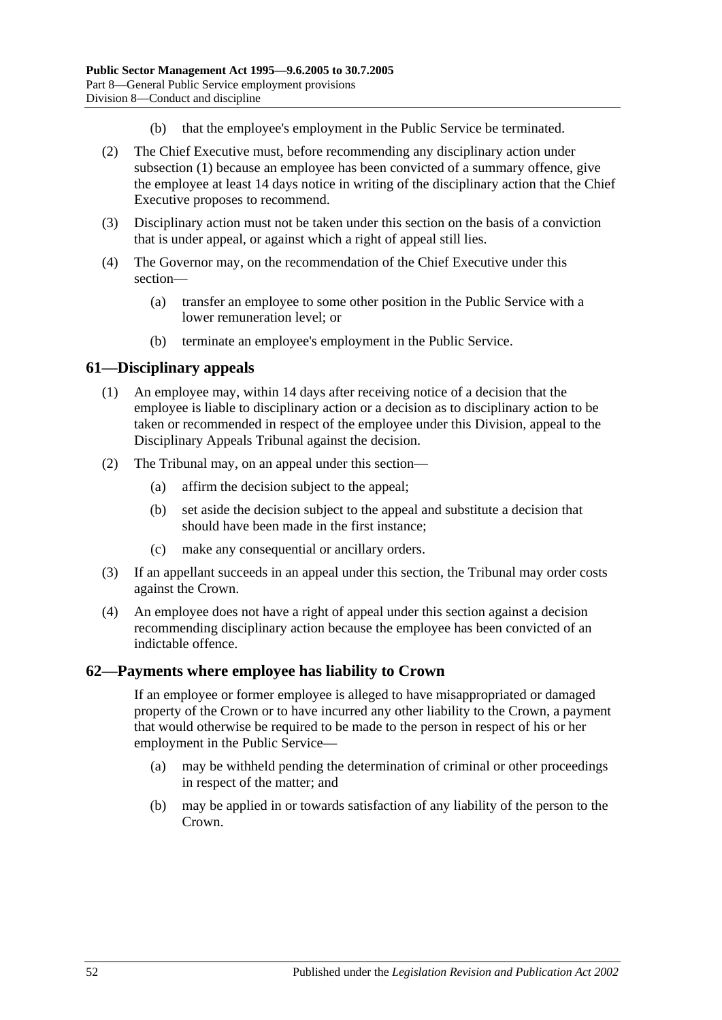- (b) that the employee's employment in the Public Service be terminated.
- (2) The Chief Executive must, before recommending any disciplinary action under [subsection](#page-50-3) (1) because an employee has been convicted of a summary offence, give the employee at least 14 days notice in writing of the disciplinary action that the Chief Executive proposes to recommend.
- (3) Disciplinary action must not be taken under this section on the basis of a conviction that is under appeal, or against which a right of appeal still lies.
- (4) The Governor may, on the recommendation of the Chief Executive under this section—
	- (a) transfer an employee to some other position in the Public Service with a lower remuneration level; or
	- (b) terminate an employee's employment in the Public Service.

#### **61—Disciplinary appeals**

- (1) An employee may, within 14 days after receiving notice of a decision that the employee is liable to disciplinary action or a decision as to disciplinary action to be taken or recommended in respect of the employee under this Division, appeal to the Disciplinary Appeals Tribunal against the decision.
- (2) The Tribunal may, on an appeal under this section—
	- (a) affirm the decision subject to the appeal;
	- (b) set aside the decision subject to the appeal and substitute a decision that should have been made in the first instance;
	- (c) make any consequential or ancillary orders.
- (3) If an appellant succeeds in an appeal under this section, the Tribunal may order costs against the Crown.
- (4) An employee does not have a right of appeal under this section against a decision recommending disciplinary action because the employee has been convicted of an indictable offence.

#### **62—Payments where employee has liability to Crown**

If an employee or former employee is alleged to have misappropriated or damaged property of the Crown or to have incurred any other liability to the Crown, a payment that would otherwise be required to be made to the person in respect of his or her employment in the Public Service—

- (a) may be withheld pending the determination of criminal or other proceedings in respect of the matter; and
- (b) may be applied in or towards satisfaction of any liability of the person to the Crown.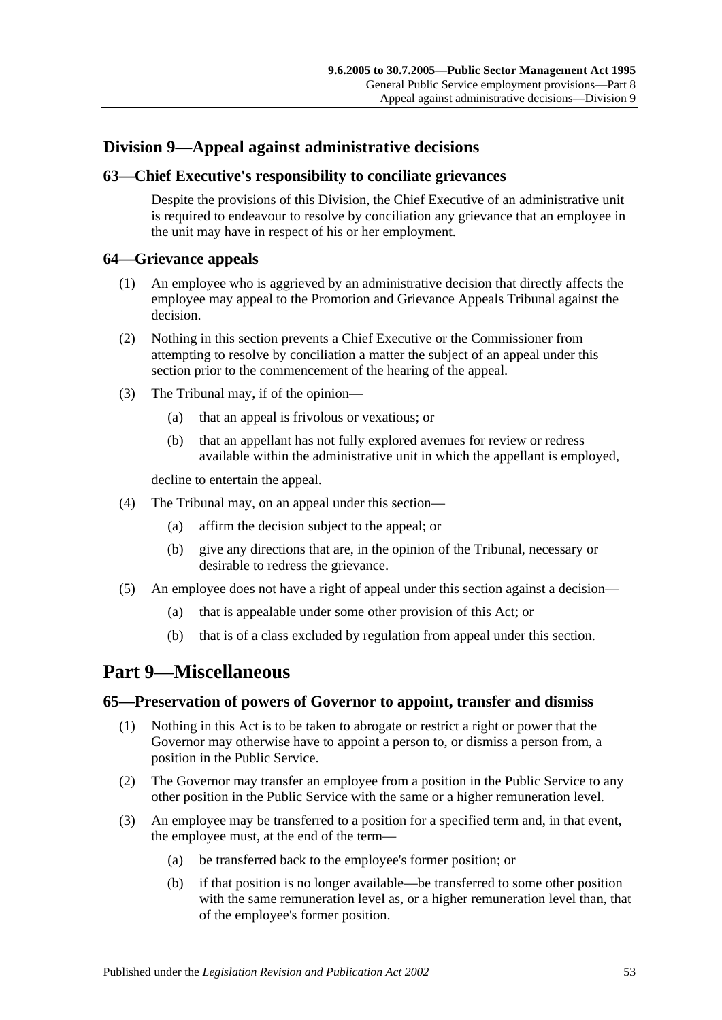# **Division 9—Appeal against administrative decisions**

## **63—Chief Executive's responsibility to conciliate grievances**

Despite the provisions of this Division, the Chief Executive of an administrative unit is required to endeavour to resolve by conciliation any grievance that an employee in the unit may have in respect of his or her employment.

#### **64—Grievance appeals**

- (1) An employee who is aggrieved by an administrative decision that directly affects the employee may appeal to the Promotion and Grievance Appeals Tribunal against the decision.
- (2) Nothing in this section prevents a Chief Executive or the Commissioner from attempting to resolve by conciliation a matter the subject of an appeal under this section prior to the commencement of the hearing of the appeal.
- (3) The Tribunal may, if of the opinion—
	- (a) that an appeal is frivolous or vexatious; or
	- (b) that an appellant has not fully explored avenues for review or redress available within the administrative unit in which the appellant is employed,

decline to entertain the appeal.

- (4) The Tribunal may, on an appeal under this section—
	- (a) affirm the decision subject to the appeal; or
	- (b) give any directions that are, in the opinion of the Tribunal, necessary or desirable to redress the grievance.
- (5) An employee does not have a right of appeal under this section against a decision—
	- (a) that is appealable under some other provision of this Act; or
	- (b) that is of a class excluded by regulation from appeal under this section.

# <span id="page-52-0"></span>**Part 9—Miscellaneous**

### **65—Preservation of powers of Governor to appoint, transfer and dismiss**

- (1) Nothing in this Act is to be taken to abrogate or restrict a right or power that the Governor may otherwise have to appoint a person to, or dismiss a person from, a position in the Public Service.
- (2) The Governor may transfer an employee from a position in the Public Service to any other position in the Public Service with the same or a higher remuneration level.
- (3) An employee may be transferred to a position for a specified term and, in that event, the employee must, at the end of the term—
	- (a) be transferred back to the employee's former position; or
	- (b) if that position is no longer available—be transferred to some other position with the same remuneration level as, or a higher remuneration level than, that of the employee's former position.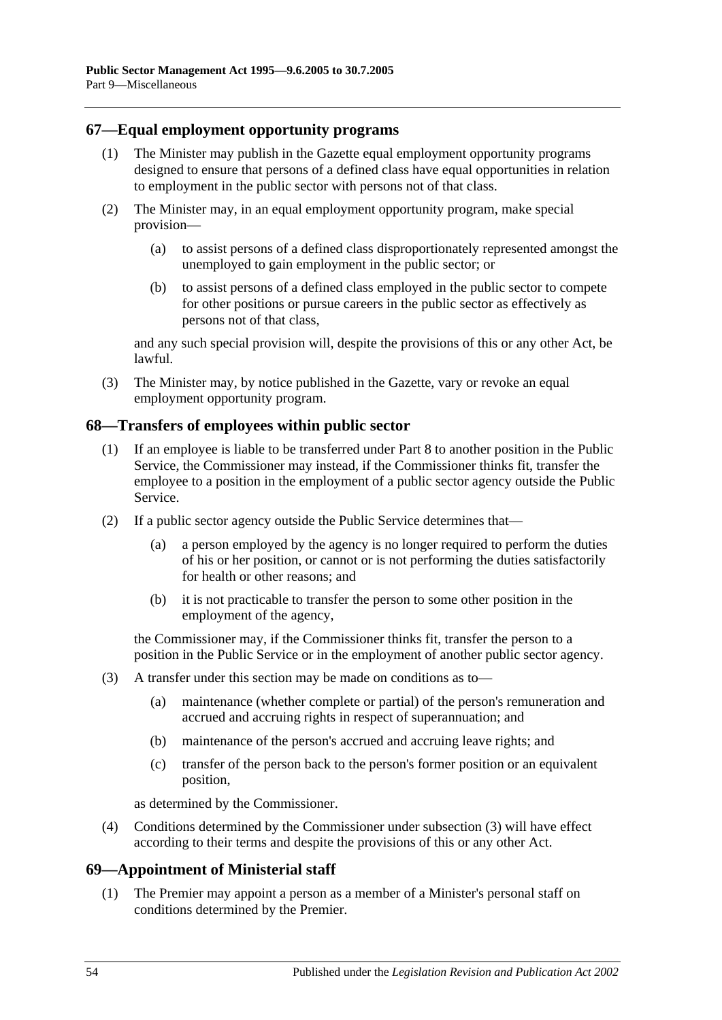### **67—Equal employment opportunity programs**

- (1) The Minister may publish in the Gazette equal employment opportunity programs designed to ensure that persons of a defined class have equal opportunities in relation to employment in the public sector with persons not of that class.
- (2) The Minister may, in an equal employment opportunity program, make special provision—
	- (a) to assist persons of a defined class disproportionately represented amongst the unemployed to gain employment in the public sector; or
	- (b) to assist persons of a defined class employed in the public sector to compete for other positions or pursue careers in the public sector as effectively as persons not of that class,

and any such special provision will, despite the provisions of this or any other Act, be lawful.

(3) The Minister may, by notice published in the Gazette, vary or revoke an equal employment opportunity program.

#### **68—Transfers of employees within public sector**

- (1) If an employee is liable to be transferred under [Part 8](#page-42-0) to another position in the Public Service, the Commissioner may instead, if the Commissioner thinks fit, transfer the employee to a position in the employment of a public sector agency outside the Public Service.
- (2) If a public sector agency outside the Public Service determines that—
	- (a) a person employed by the agency is no longer required to perform the duties of his or her position, or cannot or is not performing the duties satisfactorily for health or other reasons; and
	- (b) it is not practicable to transfer the person to some other position in the employment of the agency,

the Commissioner may, if the Commissioner thinks fit, transfer the person to a position in the Public Service or in the employment of another public sector agency.

- <span id="page-53-0"></span>(3) A transfer under this section may be made on conditions as to—
	- (a) maintenance (whether complete or partial) of the person's remuneration and accrued and accruing rights in respect of superannuation; and
	- (b) maintenance of the person's accrued and accruing leave rights; and
	- (c) transfer of the person back to the person's former position or an equivalent position,

as determined by the Commissioner.

(4) Conditions determined by the Commissioner under [subsection](#page-53-0) (3) will have effect according to their terms and despite the provisions of this or any other Act.

### **69—Appointment of Ministerial staff**

(1) The Premier may appoint a person as a member of a Minister's personal staff on conditions determined by the Premier.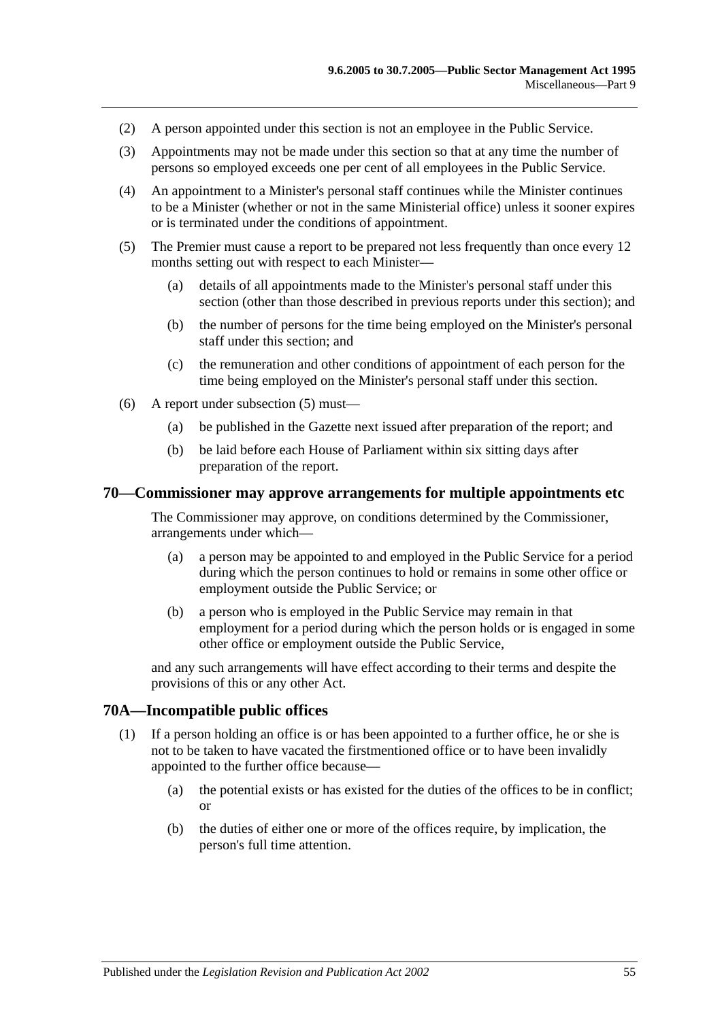- (2) A person appointed under this section is not an employee in the Public Service.
- (3) Appointments may not be made under this section so that at any time the number of persons so employed exceeds one per cent of all employees in the Public Service.
- (4) An appointment to a Minister's personal staff continues while the Minister continues to be a Minister (whether or not in the same Ministerial office) unless it sooner expires or is terminated under the conditions of appointment.
- <span id="page-54-0"></span>(5) The Premier must cause a report to be prepared not less frequently than once every 12 months setting out with respect to each Minister—
	- (a) details of all appointments made to the Minister's personal staff under this section (other than those described in previous reports under this section); and
	- (b) the number of persons for the time being employed on the Minister's personal staff under this section; and
	- (c) the remuneration and other conditions of appointment of each person for the time being employed on the Minister's personal staff under this section.
- (6) A report under [subsection](#page-54-0) (5) must—
	- (a) be published in the Gazette next issued after preparation of the report; and
	- (b) be laid before each House of Parliament within six sitting days after preparation of the report.

#### **70—Commissioner may approve arrangements for multiple appointments etc**

The Commissioner may approve, on conditions determined by the Commissioner, arrangements under which—

- (a) a person may be appointed to and employed in the Public Service for a period during which the person continues to hold or remains in some other office or employment outside the Public Service; or
- (b) a person who is employed in the Public Service may remain in that employment for a period during which the person holds or is engaged in some other office or employment outside the Public Service,

and any such arrangements will have effect according to their terms and despite the provisions of this or any other Act.

#### **70A—Incompatible public offices**

- (1) If a person holding an office is or has been appointed to a further office, he or she is not to be taken to have vacated the firstmentioned office or to have been invalidly appointed to the further office because—
	- (a) the potential exists or has existed for the duties of the offices to be in conflict; or
	- (b) the duties of either one or more of the offices require, by implication, the person's full time attention.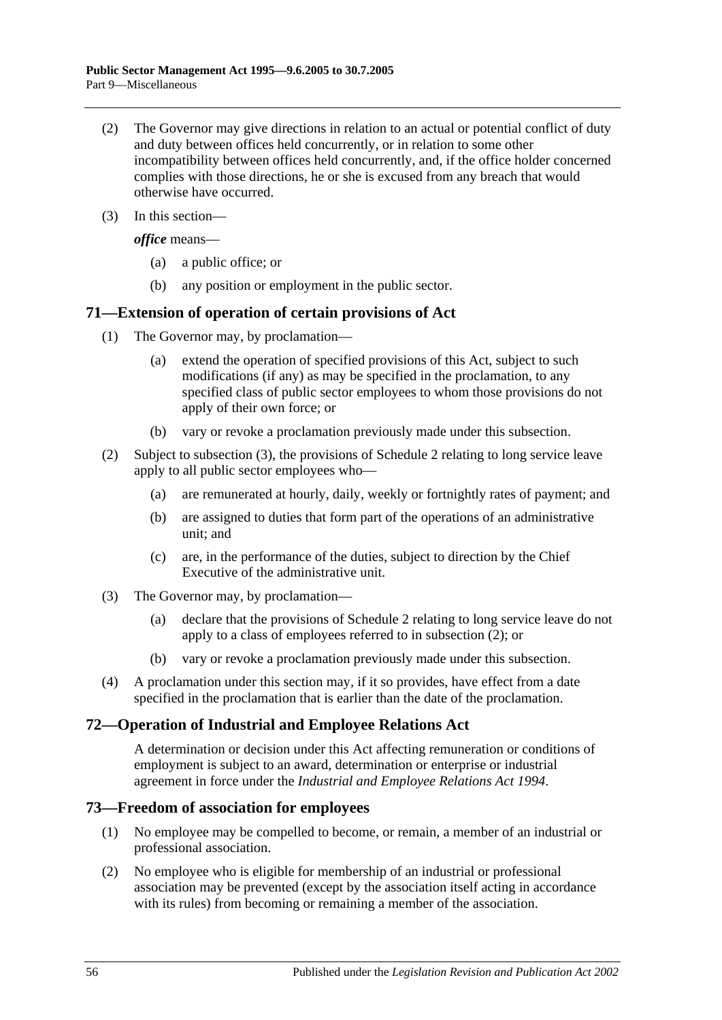- (2) The Governor may give directions in relation to an actual or potential conflict of duty and duty between offices held concurrently, or in relation to some other incompatibility between offices held concurrently, and, if the office holder concerned complies with those directions, he or she is excused from any breach that would otherwise have occurred.
- (3) In this section—

*office* means—

- (a) a public office; or
- (b) any position or employment in the public sector.

### **71—Extension of operation of certain provisions of Act**

- (1) The Governor may, by proclamation—
	- (a) extend the operation of specified provisions of this Act, subject to such modifications (if any) as may be specified in the proclamation, to any specified class of public sector employees to whom those provisions do not apply of their own force; or
	- (b) vary or revoke a proclamation previously made under this subsection.
- <span id="page-55-1"></span>(2) Subject to [subsection](#page-55-0) (3), the provisions of [Schedule 2](#page-58-0) relating to long service leave apply to all public sector employees who—
	- (a) are remunerated at hourly, daily, weekly or fortnightly rates of payment; and
	- (b) are assigned to duties that form part of the operations of an administrative unit; and
	- (c) are, in the performance of the duties, subject to direction by the Chief Executive of the administrative unit.
- <span id="page-55-0"></span>(3) The Governor may, by proclamation—
	- (a) declare that the provisions of [Schedule 2](#page-58-0) relating to long service leave do not apply to a class of employees referred to in [subsection](#page-55-1) (2); or
	- (b) vary or revoke a proclamation previously made under this subsection.
- (4) A proclamation under this section may, if it so provides, have effect from a date specified in the proclamation that is earlier than the date of the proclamation.

### **72—Operation of Industrial and Employee Relations Act**

A determination or decision under this Act affecting remuneration or conditions of employment is subject to an award, determination or enterprise or industrial agreement in force under the *Industrial [and Employee Relations Act](http://www.legislation.sa.gov.au/index.aspx?action=legref&type=act&legtitle=Industrial%20and%20Employee%20Relations%20Act%201994) 1994*.

### **73—Freedom of association for employees**

- (1) No employee may be compelled to become, or remain, a member of an industrial or professional association.
- (2) No employee who is eligible for membership of an industrial or professional association may be prevented (except by the association itself acting in accordance with its rules) from becoming or remaining a member of the association.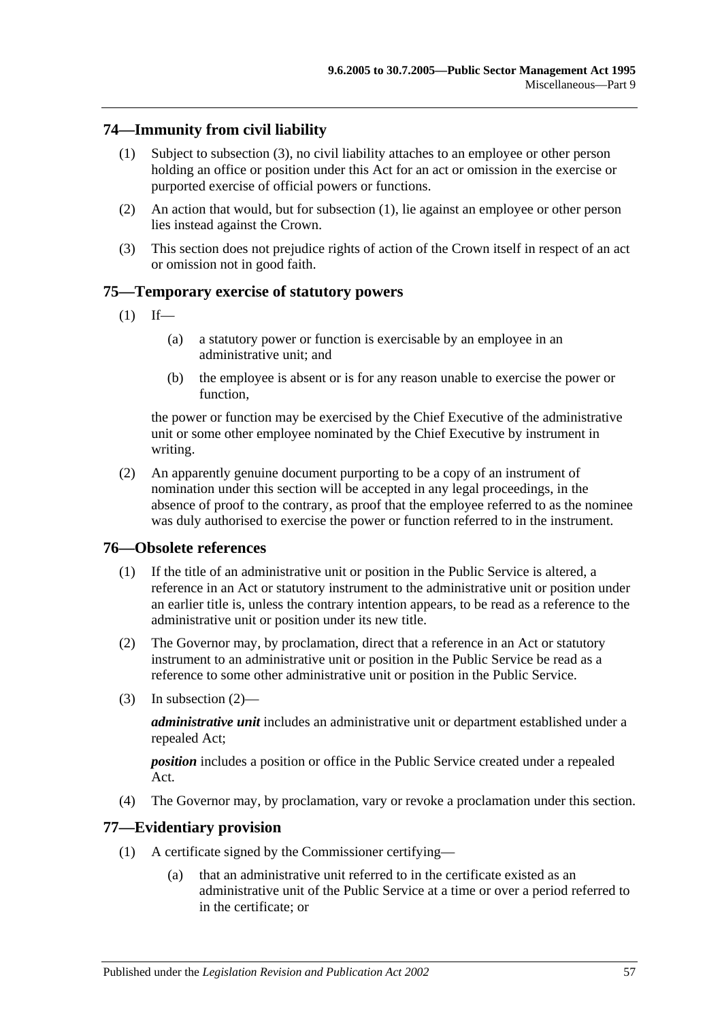## <span id="page-56-1"></span>**74—Immunity from civil liability**

- (1) Subject to [subsection](#page-56-0) (3), no civil liability attaches to an employee or other person holding an office or position under this Act for an act or omission in the exercise or purported exercise of official powers or functions.
- (2) An action that would, but for [subsection](#page-56-1) (1), lie against an employee or other person lies instead against the Crown.
- <span id="page-56-0"></span>(3) This section does not prejudice rights of action of the Crown itself in respect of an act or omission not in good faith.

### **75—Temporary exercise of statutory powers**

- $(1)$  If—
	- (a) a statutory power or function is exercisable by an employee in an administrative unit; and
	- (b) the employee is absent or is for any reason unable to exercise the power or function,

the power or function may be exercised by the Chief Executive of the administrative unit or some other employee nominated by the Chief Executive by instrument in writing.

(2) An apparently genuine document purporting to be a copy of an instrument of nomination under this section will be accepted in any legal proceedings, in the absence of proof to the contrary, as proof that the employee referred to as the nominee was duly authorised to exercise the power or function referred to in the instrument.

#### **76—Obsolete references**

- (1) If the title of an administrative unit or position in the Public Service is altered, a reference in an Act or statutory instrument to the administrative unit or position under an earlier title is, unless the contrary intention appears, to be read as a reference to the administrative unit or position under its new title.
- <span id="page-56-2"></span>(2) The Governor may, by proclamation, direct that a reference in an Act or statutory instrument to an administrative unit or position in the Public Service be read as a reference to some other administrative unit or position in the Public Service.
- (3) In [subsection](#page-56-2) (2)—

*administrative unit* includes an administrative unit or department established under a repealed Act;

*position* includes a position or office in the Public Service created under a repealed Act.

(4) The Governor may, by proclamation, vary or revoke a proclamation under this section.

#### **77—Evidentiary provision**

- (1) A certificate signed by the Commissioner certifying—
	- (a) that an administrative unit referred to in the certificate existed as an administrative unit of the Public Service at a time or over a period referred to in the certificate; or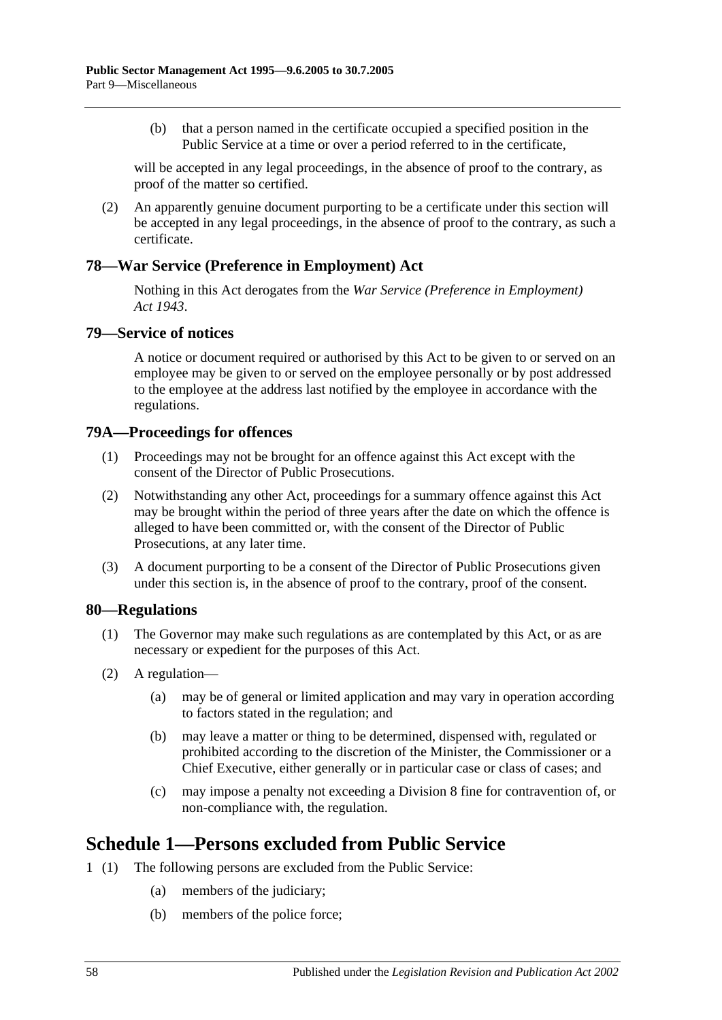(b) that a person named in the certificate occupied a specified position in the Public Service at a time or over a period referred to in the certificate,

will be accepted in any legal proceedings, in the absence of proof to the contrary, as proof of the matter so certified.

(2) An apparently genuine document purporting to be a certificate under this section will be accepted in any legal proceedings, in the absence of proof to the contrary, as such a certificate.

## **78—War Service (Preference in Employment) Act**

Nothing in this Act derogates from the *[War Service \(Preference in Employment\)](http://www.legislation.sa.gov.au/index.aspx?action=legref&type=act&legtitle=War%20Service%20(Preference%20in%20Employment)%20Act%201943)  Act [1943](http://www.legislation.sa.gov.au/index.aspx?action=legref&type=act&legtitle=War%20Service%20(Preference%20in%20Employment)%20Act%201943)*.

### **79—Service of notices**

A notice or document required or authorised by this Act to be given to or served on an employee may be given to or served on the employee personally or by post addressed to the employee at the address last notified by the employee in accordance with the regulations.

### **79A—Proceedings for offences**

- (1) Proceedings may not be brought for an offence against this Act except with the consent of the Director of Public Prosecutions.
- (2) Notwithstanding any other Act, proceedings for a summary offence against this Act may be brought within the period of three years after the date on which the offence is alleged to have been committed or, with the consent of the Director of Public Prosecutions, at any later time.
- (3) A document purporting to be a consent of the Director of Public Prosecutions given under this section is, in the absence of proof to the contrary, proof of the consent.

#### **80—Regulations**

- (1) The Governor may make such regulations as are contemplated by this Act, or as are necessary or expedient for the purposes of this Act.
- (2) A regulation—
	- (a) may be of general or limited application and may vary in operation according to factors stated in the regulation; and
	- (b) may leave a matter or thing to be determined, dispensed with, regulated or prohibited according to the discretion of the Minister, the Commissioner or a Chief Executive, either generally or in particular case or class of cases; and
	- (c) may impose a penalty not exceeding a Division 8 fine for contravention of, or non-compliance with, the regulation.

# **Schedule 1—Persons excluded from Public Service**

- 1 (1) The following persons are excluded from the Public Service:
	- (a) members of the judiciary;
	- (b) members of the police force;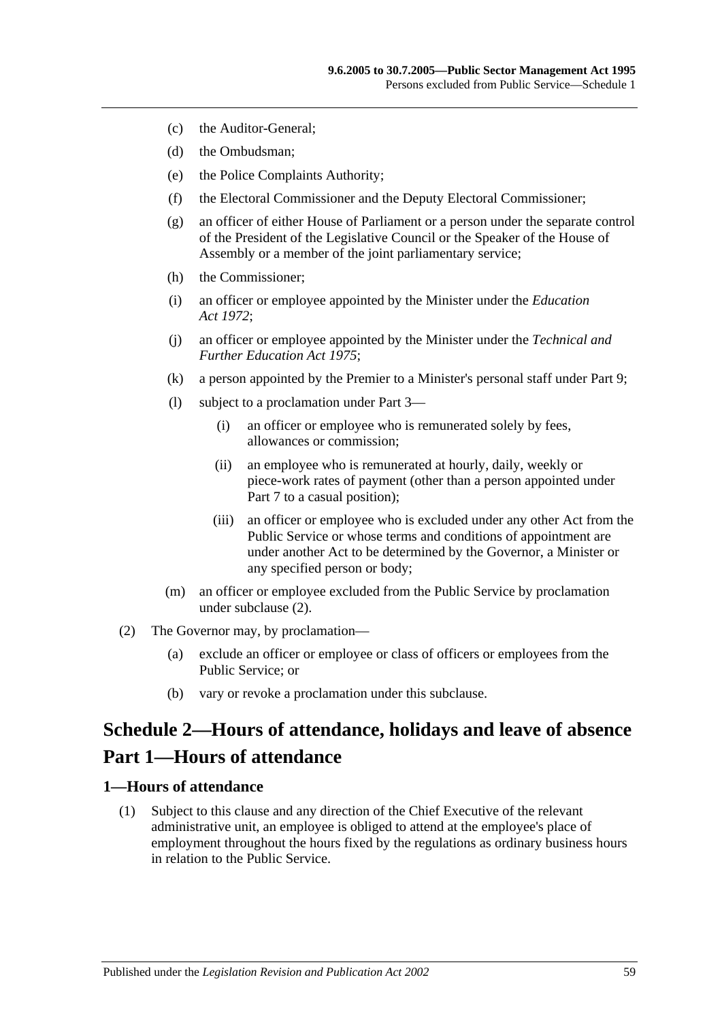- (c) the Auditor-General;
- (d) the Ombudsman;
- (e) the Police Complaints Authority;
- (f) the Electoral Commissioner and the Deputy Electoral Commissioner;
- (g) an officer of either House of Parliament or a person under the separate control of the President of the Legislative Council or the Speaker of the House of Assembly or a member of the joint parliamentary service;
- (h) the Commissioner;
- (i) an officer or employee appointed by the Minister under the *[Education](http://www.legislation.sa.gov.au/index.aspx?action=legref&type=act&legtitle=Education%20Act%201972)  Act [1972](http://www.legislation.sa.gov.au/index.aspx?action=legref&type=act&legtitle=Education%20Act%201972)*;
- (j) an officer or employee appointed by the Minister under the *[Technical and](http://www.legislation.sa.gov.au/index.aspx?action=legref&type=act&legtitle=Technical%20and%20Further%20Education%20Act%201975)  [Further Education Act](http://www.legislation.sa.gov.au/index.aspx?action=legref&type=act&legtitle=Technical%20and%20Further%20Education%20Act%201975) 1975*;
- (k) a person appointed by the Premier to a Minister's personal staff under [Part 9;](#page-52-0)
- (l) subject to a proclamation under [Part 3—](#page-24-0)
	- (i) an officer or employee who is remunerated solely by fees, allowances or commission;
	- (ii) an employee who is remunerated at hourly, daily, weekly or piece-work rates of payment (other than a person appointed under [Part 7](#page-35-0) to a casual position);
	- (iii) an officer or employee who is excluded under any other Act from the Public Service or whose terms and conditions of appointment are under another Act to be determined by the Governor, a Minister or any specified person or body;
- (m) an officer or employee excluded from the Public Service by proclamation under [subclause](#page-58-1) (2).
- <span id="page-58-1"></span>(2) The Governor may, by proclamation—
	- (a) exclude an officer or employee or class of officers or employees from the Public Service; or
	- (b) vary or revoke a proclamation under this subclause.

# <span id="page-58-0"></span>**Schedule 2—Hours of attendance, holidays and leave of absence Part 1—Hours of attendance**

#### **1—Hours of attendance**

(1) Subject to this clause and any direction of the Chief Executive of the relevant administrative unit, an employee is obliged to attend at the employee's place of employment throughout the hours fixed by the regulations as ordinary business hours in relation to the Public Service.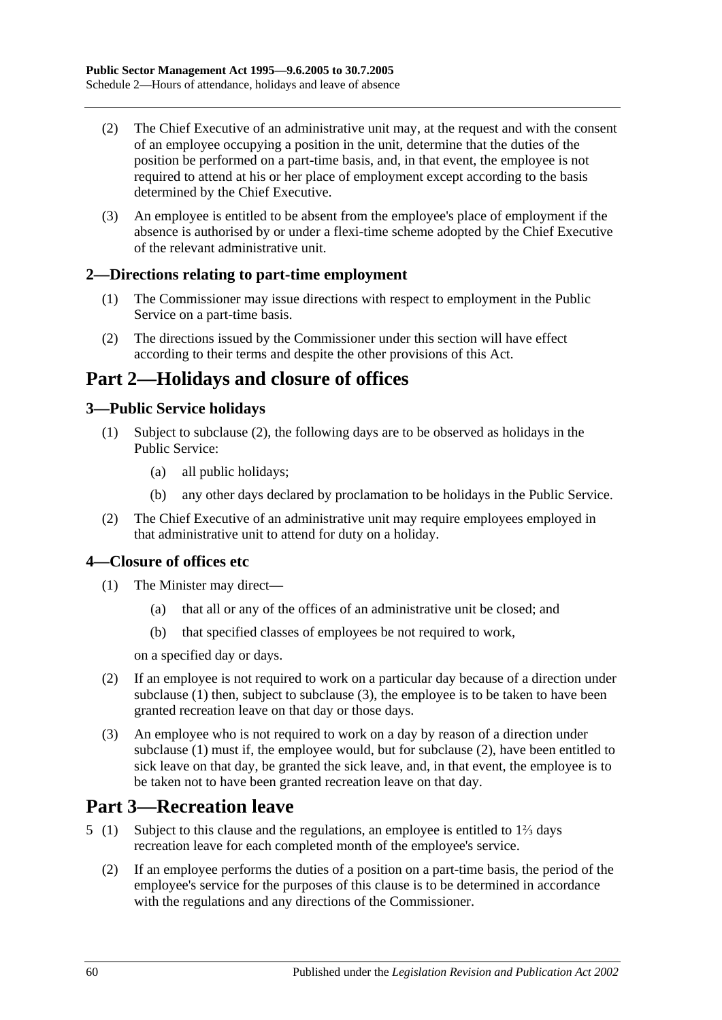- (2) The Chief Executive of an administrative unit may, at the request and with the consent of an employee occupying a position in the unit, determine that the duties of the position be performed on a part-time basis, and, in that event, the employee is not required to attend at his or her place of employment except according to the basis determined by the Chief Executive.
- (3) An employee is entitled to be absent from the employee's place of employment if the absence is authorised by or under a flexi-time scheme adopted by the Chief Executive of the relevant administrative unit.

# **2—Directions relating to part-time employment**

- (1) The Commissioner may issue directions with respect to employment in the Public Service on a part-time basis.
- (2) The directions issued by the Commissioner under this section will have effect according to their terms and despite the other provisions of this Act.

# **Part 2—Holidays and closure of offices**

# **3—Public Service holidays**

- (1) Subject to [subclause](#page-59-0) (2), the following days are to be observed as holidays in the Public Service:
	- (a) all public holidays;
	- (b) any other days declared by proclamation to be holidays in the Public Service.
- <span id="page-59-0"></span>(2) The Chief Executive of an administrative unit may require employees employed in that administrative unit to attend for duty on a holiday.

### <span id="page-59-1"></span>**4—Closure of offices etc**

- (1) The Minister may direct—
	- (a) that all or any of the offices of an administrative unit be closed; and
	- (b) that specified classes of employees be not required to work,

on a specified day or days.

- <span id="page-59-3"></span>(2) If an employee is not required to work on a particular day because of a direction under [subclause](#page-59-1) (1) then, subject to [subclause](#page-59-2) (3), the employee is to be taken to have been granted recreation leave on that day or those days.
- <span id="page-59-2"></span>(3) An employee who is not required to work on a day by reason of a direction under [subclause](#page-59-1) (1) must if, the employee would, but for [subclause](#page-59-3) (2), have been entitled to sick leave on that day, be granted the sick leave, and, in that event, the employee is to be taken not to have been granted recreation leave on that day.

# **Part 3—Recreation leave**

- 5 (1) Subject to this clause and the regulations, an employee is entitled to 1⅔ days recreation leave for each completed month of the employee's service.
	- (2) If an employee performs the duties of a position on a part-time basis, the period of the employee's service for the purposes of this clause is to be determined in accordance with the regulations and any directions of the Commissioner.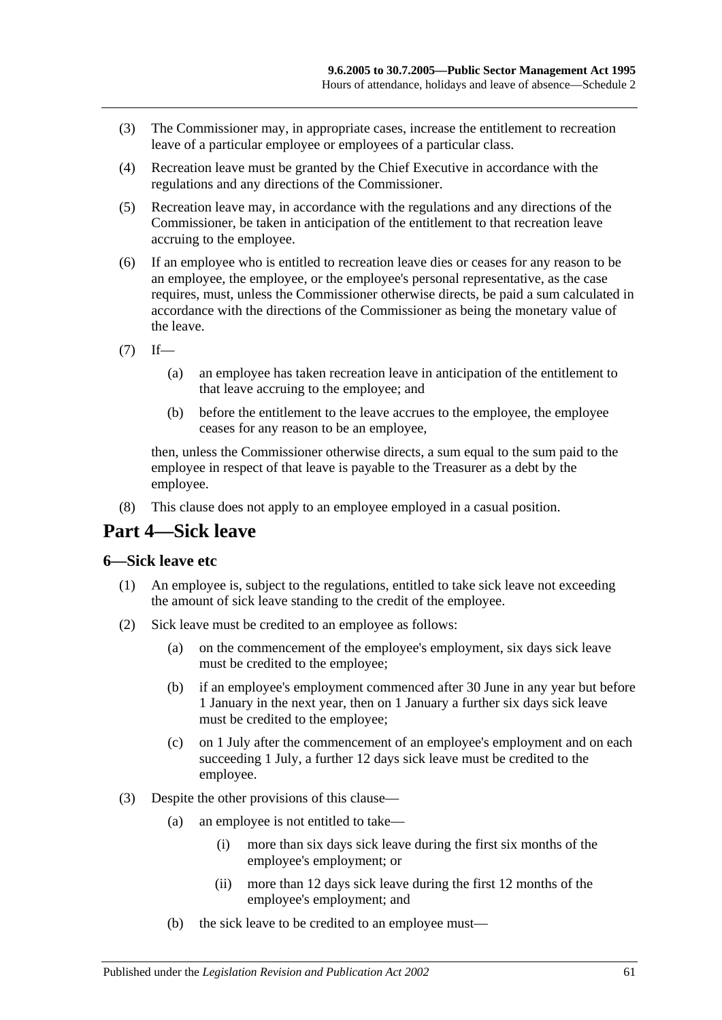- (3) The Commissioner may, in appropriate cases, increase the entitlement to recreation leave of a particular employee or employees of a particular class.
- (4) Recreation leave must be granted by the Chief Executive in accordance with the regulations and any directions of the Commissioner.
- (5) Recreation leave may, in accordance with the regulations and any directions of the Commissioner, be taken in anticipation of the entitlement to that recreation leave accruing to the employee.
- (6) If an employee who is entitled to recreation leave dies or ceases for any reason to be an employee, the employee, or the employee's personal representative, as the case requires, must, unless the Commissioner otherwise directs, be paid a sum calculated in accordance with the directions of the Commissioner as being the monetary value of the leave.
- $(7)$  If—
	- (a) an employee has taken recreation leave in anticipation of the entitlement to that leave accruing to the employee; and
	- (b) before the entitlement to the leave accrues to the employee, the employee ceases for any reason to be an employee,

then, unless the Commissioner otherwise directs, a sum equal to the sum paid to the employee in respect of that leave is payable to the Treasurer as a debt by the employee.

(8) This clause does not apply to an employee employed in a casual position.

# **Part 4—Sick leave**

#### **6—Sick leave etc**

- (1) An employee is, subject to the regulations, entitled to take sick leave not exceeding the amount of sick leave standing to the credit of the employee.
- (2) Sick leave must be credited to an employee as follows:
	- (a) on the commencement of the employee's employment, six days sick leave must be credited to the employee;
	- (b) if an employee's employment commenced after 30 June in any year but before 1 January in the next year, then on 1 January a further six days sick leave must be credited to the employee;
	- (c) on 1 July after the commencement of an employee's employment and on each succeeding 1 July, a further 12 days sick leave must be credited to the employee.
- (3) Despite the other provisions of this clause—
	- (a) an employee is not entitled to take—
		- (i) more than six days sick leave during the first six months of the employee's employment; or
		- (ii) more than 12 days sick leave during the first 12 months of the employee's employment; and
	- (b) the sick leave to be credited to an employee must—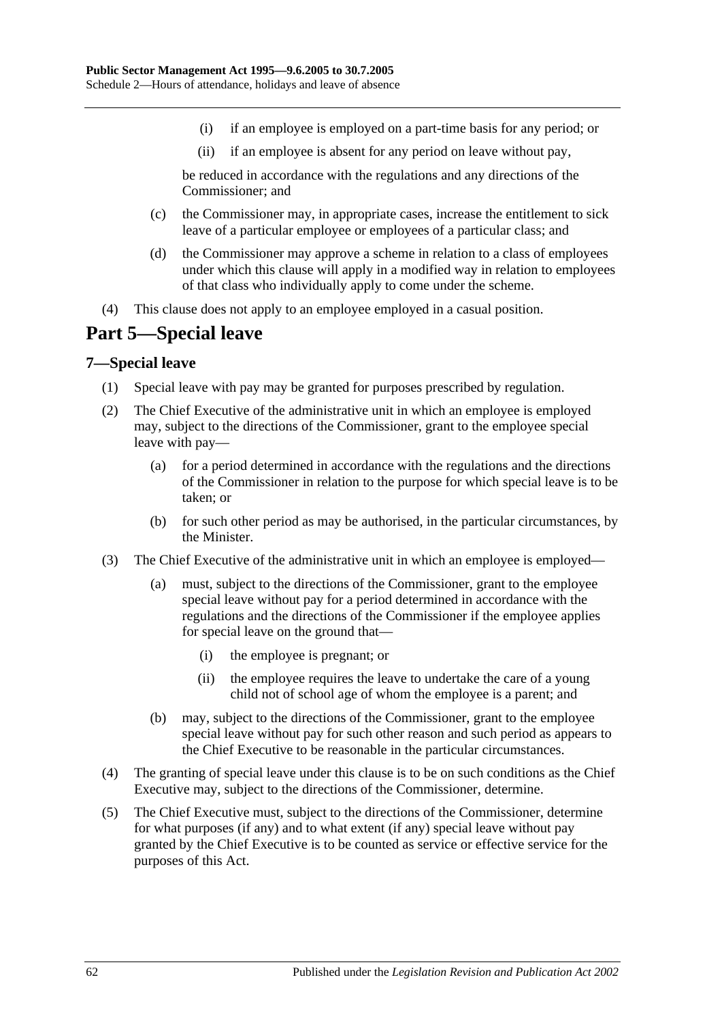- (i) if an employee is employed on a part-time basis for any period; or
- (ii) if an employee is absent for any period on leave without pay,

be reduced in accordance with the regulations and any directions of the Commissioner; and

- (c) the Commissioner may, in appropriate cases, increase the entitlement to sick leave of a particular employee or employees of a particular class; and
- (d) the Commissioner may approve a scheme in relation to a class of employees under which this clause will apply in a modified way in relation to employees of that class who individually apply to come under the scheme.
- (4) This clause does not apply to an employee employed in a casual position.

# **Part 5—Special leave**

#### **7—Special leave**

- (1) Special leave with pay may be granted for purposes prescribed by regulation.
- (2) The Chief Executive of the administrative unit in which an employee is employed may, subject to the directions of the Commissioner, grant to the employee special leave with pay—
	- (a) for a period determined in accordance with the regulations and the directions of the Commissioner in relation to the purpose for which special leave is to be taken; or
	- (b) for such other period as may be authorised, in the particular circumstances, by the Minister.
- (3) The Chief Executive of the administrative unit in which an employee is employed—
	- (a) must, subject to the directions of the Commissioner, grant to the employee special leave without pay for a period determined in accordance with the regulations and the directions of the Commissioner if the employee applies for special leave on the ground that—
		- (i) the employee is pregnant; or
		- (ii) the employee requires the leave to undertake the care of a young child not of school age of whom the employee is a parent; and
	- (b) may, subject to the directions of the Commissioner, grant to the employee special leave without pay for such other reason and such period as appears to the Chief Executive to be reasonable in the particular circumstances.
- (4) The granting of special leave under this clause is to be on such conditions as the Chief Executive may, subject to the directions of the Commissioner, determine.
- (5) The Chief Executive must, subject to the directions of the Commissioner, determine for what purposes (if any) and to what extent (if any) special leave without pay granted by the Chief Executive is to be counted as service or effective service for the purposes of this Act.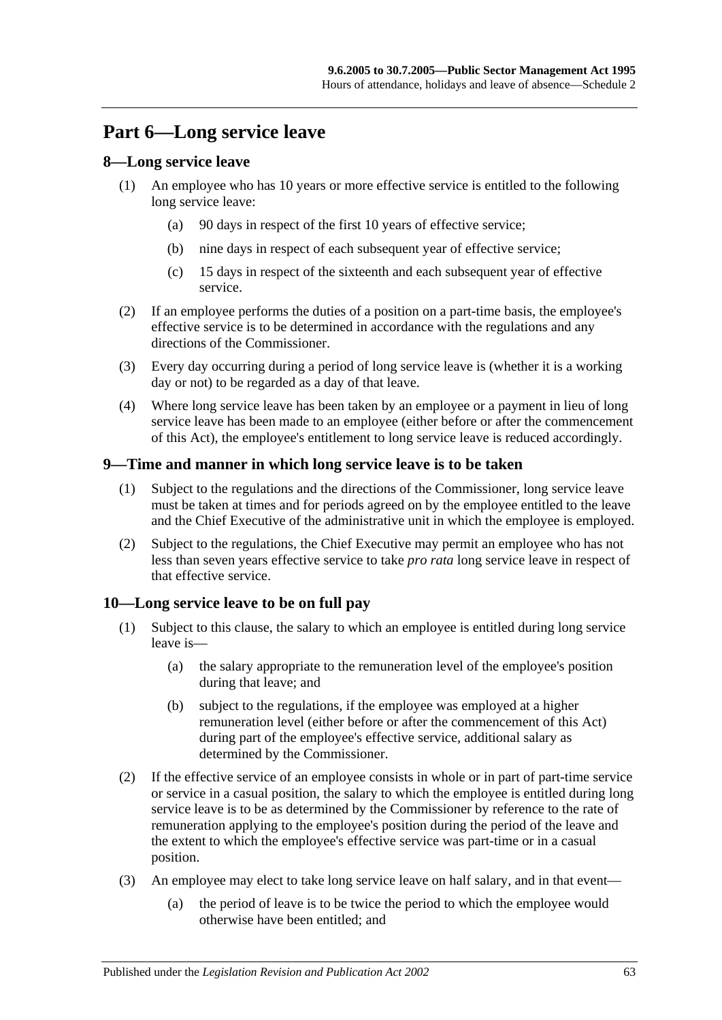# **Part 6—Long service leave**

## **8—Long service leave**

- (1) An employee who has 10 years or more effective service is entitled to the following long service leave:
	- (a) 90 days in respect of the first 10 years of effective service;
	- (b) nine days in respect of each subsequent year of effective service;
	- (c) 15 days in respect of the sixteenth and each subsequent year of effective service.
- (2) If an employee performs the duties of a position on a part-time basis, the employee's effective service is to be determined in accordance with the regulations and any directions of the Commissioner.
- (3) Every day occurring during a period of long service leave is (whether it is a working day or not) to be regarded as a day of that leave.
- (4) Where long service leave has been taken by an employee or a payment in lieu of long service leave has been made to an employee (either before or after the commencement of this Act), the employee's entitlement to long service leave is reduced accordingly.

### **9—Time and manner in which long service leave is to be taken**

- (1) Subject to the regulations and the directions of the Commissioner, long service leave must be taken at times and for periods agreed on by the employee entitled to the leave and the Chief Executive of the administrative unit in which the employee is employed.
- (2) Subject to the regulations, the Chief Executive may permit an employee who has not less than seven years effective service to take *pro rata* long service leave in respect of that effective service.

# **10—Long service leave to be on full pay**

- (1) Subject to this clause, the salary to which an employee is entitled during long service leave is—
	- (a) the salary appropriate to the remuneration level of the employee's position during that leave; and
	- (b) subject to the regulations, if the employee was employed at a higher remuneration level (either before or after the commencement of this Act) during part of the employee's effective service, additional salary as determined by the Commissioner.
- (2) If the effective service of an employee consists in whole or in part of part-time service or service in a casual position, the salary to which the employee is entitled during long service leave is to be as determined by the Commissioner by reference to the rate of remuneration applying to the employee's position during the period of the leave and the extent to which the employee's effective service was part-time or in a casual position.
- (3) An employee may elect to take long service leave on half salary, and in that event—
	- (a) the period of leave is to be twice the period to which the employee would otherwise have been entitled; and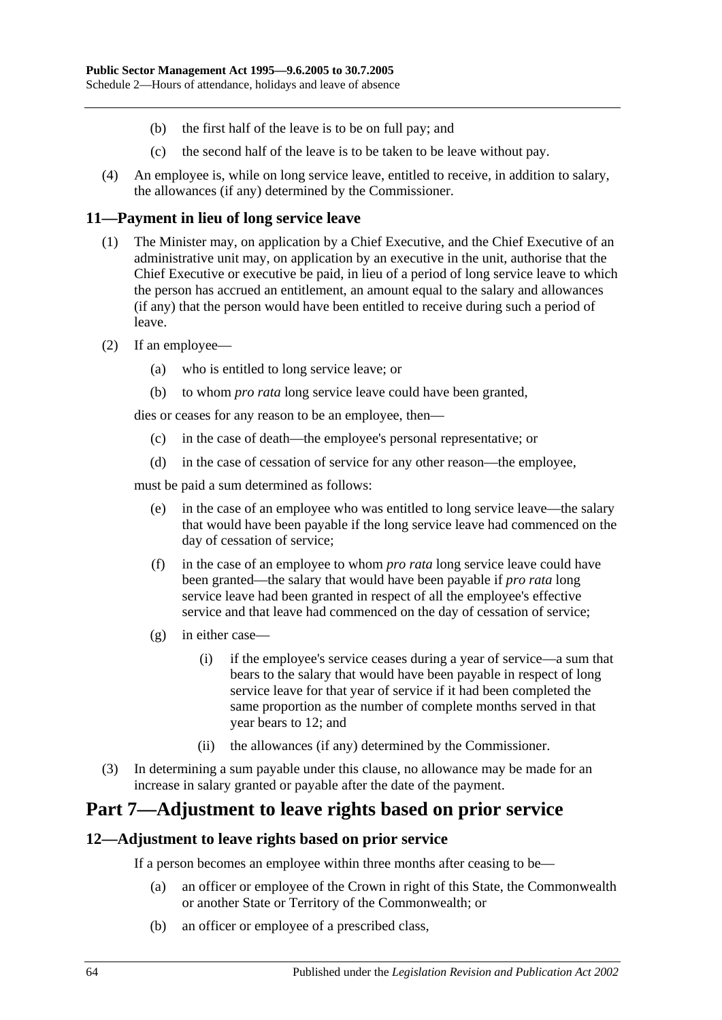- (b) the first half of the leave is to be on full pay; and
- (c) the second half of the leave is to be taken to be leave without pay.
- (4) An employee is, while on long service leave, entitled to receive, in addition to salary, the allowances (if any) determined by the Commissioner.

### **11—Payment in lieu of long service leave**

- (1) The Minister may, on application by a Chief Executive, and the Chief Executive of an administrative unit may, on application by an executive in the unit, authorise that the Chief Executive or executive be paid, in lieu of a period of long service leave to which the person has accrued an entitlement, an amount equal to the salary and allowances (if any) that the person would have been entitled to receive during such a period of leave.
- (2) If an employee—
	- (a) who is entitled to long service leave; or
	- (b) to whom *pro rata* long service leave could have been granted,

dies or ceases for any reason to be an employee, then—

- (c) in the case of death—the employee's personal representative; or
- (d) in the case of cessation of service for any other reason—the employee,

must be paid a sum determined as follows:

- (e) in the case of an employee who was entitled to long service leave—the salary that would have been payable if the long service leave had commenced on the day of cessation of service;
- (f) in the case of an employee to whom *pro rata* long service leave could have been granted—the salary that would have been payable if *pro rata* long service leave had been granted in respect of all the employee's effective service and that leave had commenced on the day of cessation of service;
- (g) in either case—
	- (i) if the employee's service ceases during a year of service—a sum that bears to the salary that would have been payable in respect of long service leave for that year of service if it had been completed the same proportion as the number of complete months served in that year bears to 12; and
	- (ii) the allowances (if any) determined by the Commissioner.
- (3) In determining a sum payable under this clause, no allowance may be made for an increase in salary granted or payable after the date of the payment.

# **Part 7—Adjustment to leave rights based on prior service**

### **12—Adjustment to leave rights based on prior service**

If a person becomes an employee within three months after ceasing to be—

- (a) an officer or employee of the Crown in right of this State, the Commonwealth or another State or Territory of the Commonwealth; or
- (b) an officer or employee of a prescribed class,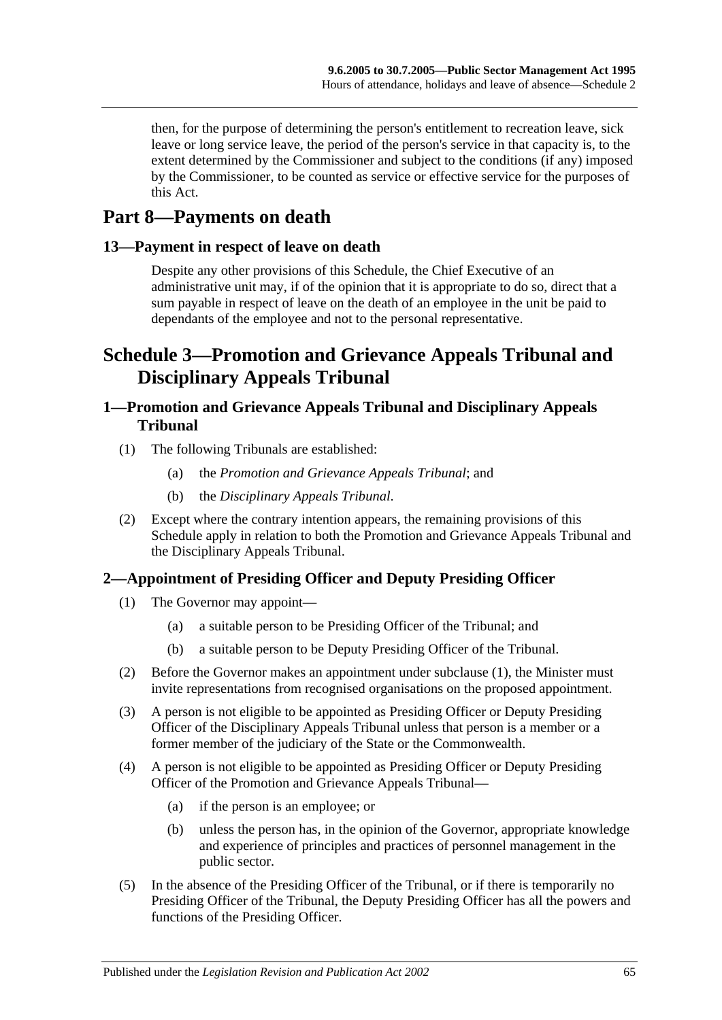then, for the purpose of determining the person's entitlement to recreation leave, sick leave or long service leave, the period of the person's service in that capacity is, to the extent determined by the Commissioner and subject to the conditions (if any) imposed by the Commissioner, to be counted as service or effective service for the purposes of this Act.

# **Part 8—Payments on death**

## **13—Payment in respect of leave on death**

Despite any other provisions of this Schedule, the Chief Executive of an administrative unit may, if of the opinion that it is appropriate to do so, direct that a sum payable in respect of leave on the death of an employee in the unit be paid to dependants of the employee and not to the personal representative.

# **Schedule 3—Promotion and Grievance Appeals Tribunal and Disciplinary Appeals Tribunal**

# **1—Promotion and Grievance Appeals Tribunal and Disciplinary Appeals Tribunal**

- (1) The following Tribunals are established:
	- (a) the *Promotion and Grievance Appeals Tribunal*; and
	- (b) the *Disciplinary Appeals Tribunal*.
- (2) Except where the contrary intention appears, the remaining provisions of this Schedule apply in relation to both the Promotion and Grievance Appeals Tribunal and the Disciplinary Appeals Tribunal.

# <span id="page-64-0"></span>**2—Appointment of Presiding Officer and Deputy Presiding Officer**

- (1) The Governor may appoint—
	- (a) a suitable person to be Presiding Officer of the Tribunal; and
	- (b) a suitable person to be Deputy Presiding Officer of the Tribunal.
- (2) Before the Governor makes an appointment under [subclause](#page-64-0) (1), the Minister must invite representations from recognised organisations on the proposed appointment.
- (3) A person is not eligible to be appointed as Presiding Officer or Deputy Presiding Officer of the Disciplinary Appeals Tribunal unless that person is a member or a former member of the judiciary of the State or the Commonwealth.
- (4) A person is not eligible to be appointed as Presiding Officer or Deputy Presiding Officer of the Promotion and Grievance Appeals Tribunal—
	- (a) if the person is an employee; or
	- (b) unless the person has, in the opinion of the Governor, appropriate knowledge and experience of principles and practices of personnel management in the public sector.
- (5) In the absence of the Presiding Officer of the Tribunal, or if there is temporarily no Presiding Officer of the Tribunal, the Deputy Presiding Officer has all the powers and functions of the Presiding Officer.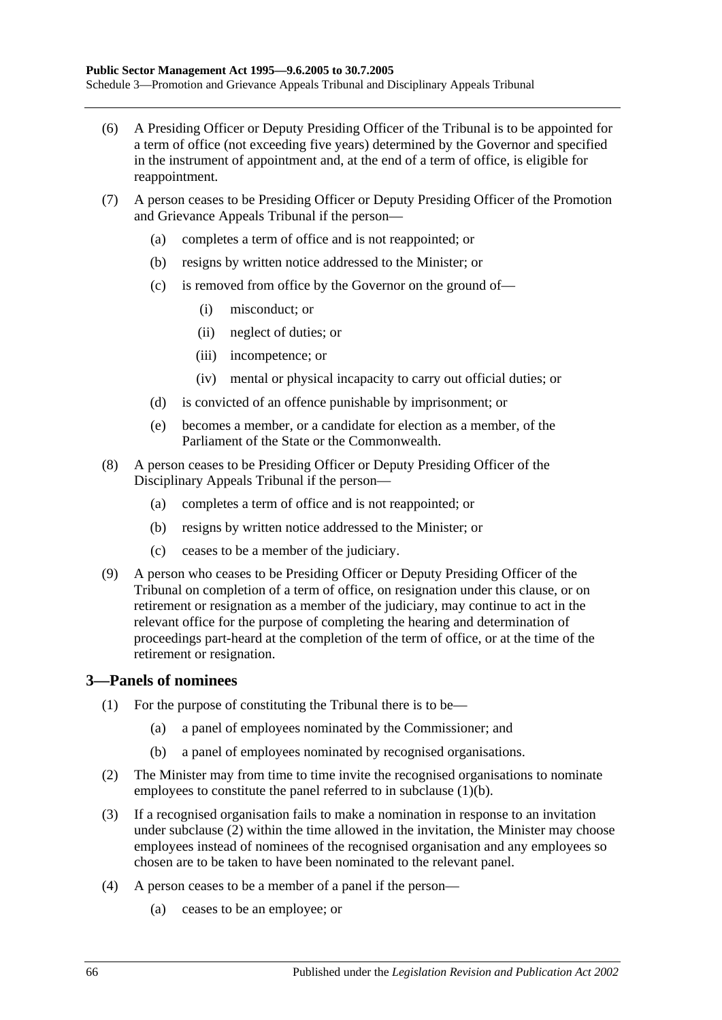- (6) A Presiding Officer or Deputy Presiding Officer of the Tribunal is to be appointed for a term of office (not exceeding five years) determined by the Governor and specified in the instrument of appointment and, at the end of a term of office, is eligible for reappointment.
- (7) A person ceases to be Presiding Officer or Deputy Presiding Officer of the Promotion and Grievance Appeals Tribunal if the person—
	- (a) completes a term of office and is not reappointed; or
	- (b) resigns by written notice addressed to the Minister; or
	- (c) is removed from office by the Governor on the ground of—
		- (i) misconduct; or
		- (ii) neglect of duties; or
		- (iii) incompetence; or
		- (iv) mental or physical incapacity to carry out official duties; or
	- (d) is convicted of an offence punishable by imprisonment; or
	- (e) becomes a member, or a candidate for election as a member, of the Parliament of the State or the Commonwealth.
- (8) A person ceases to be Presiding Officer or Deputy Presiding Officer of the Disciplinary Appeals Tribunal if the person—
	- (a) completes a term of office and is not reappointed; or
	- (b) resigns by written notice addressed to the Minister; or
	- (c) ceases to be a member of the judiciary.
- (9) A person who ceases to be Presiding Officer or Deputy Presiding Officer of the Tribunal on completion of a term of office, on resignation under this clause, or on retirement or resignation as a member of the judiciary, may continue to act in the relevant office for the purpose of completing the hearing and determination of proceedings part-heard at the completion of the term of office, or at the time of the retirement or resignation.

### **3—Panels of nominees**

- (1) For the purpose of constituting the Tribunal there is to be—
	- (a) a panel of employees nominated by the Commissioner; and
	- (b) a panel of employees nominated by recognised organisations.
- <span id="page-65-1"></span><span id="page-65-0"></span>(2) The Minister may from time to time invite the recognised organisations to nominate employees to constitute the panel referred to in [subclause](#page-65-0) (1)(b).
- (3) If a recognised organisation fails to make a nomination in response to an invitation under [subclause](#page-65-1) (2) within the time allowed in the invitation, the Minister may choose employees instead of nominees of the recognised organisation and any employees so chosen are to be taken to have been nominated to the relevant panel.
- (4) A person ceases to be a member of a panel if the person—
	- (a) ceases to be an employee; or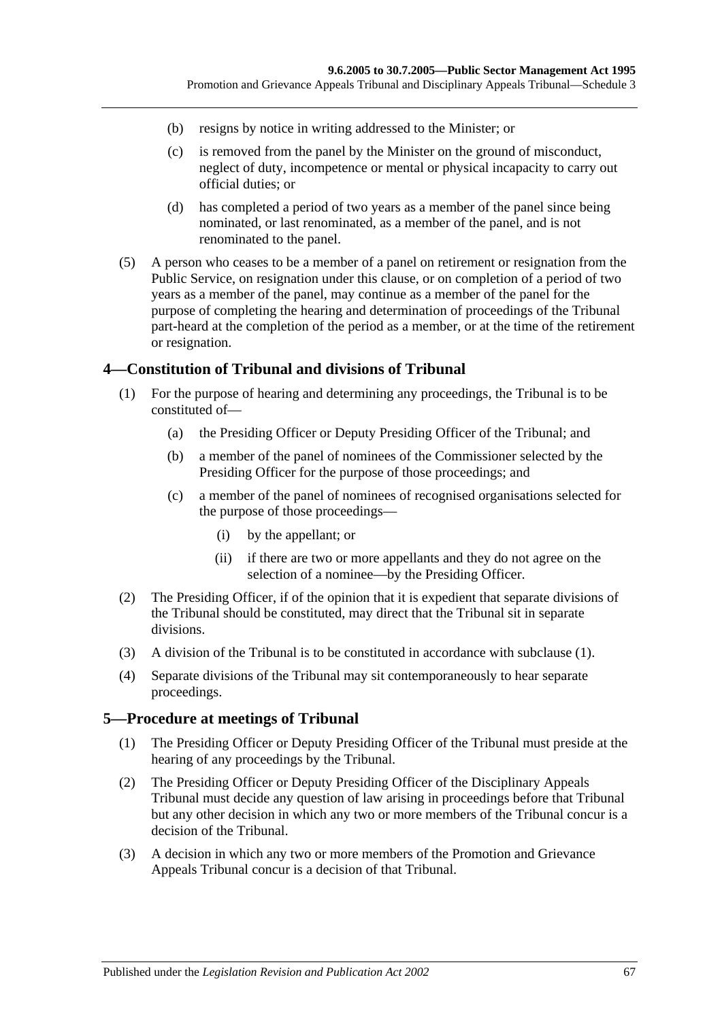- (b) resigns by notice in writing addressed to the Minister; or
- (c) is removed from the panel by the Minister on the ground of misconduct, neglect of duty, incompetence or mental or physical incapacity to carry out official duties; or
- (d) has completed a period of two years as a member of the panel since being nominated, or last renominated, as a member of the panel, and is not renominated to the panel.
- (5) A person who ceases to be a member of a panel on retirement or resignation from the Public Service, on resignation under this clause, or on completion of a period of two years as a member of the panel, may continue as a member of the panel for the purpose of completing the hearing and determination of proceedings of the Tribunal part-heard at the completion of the period as a member, or at the time of the retirement or resignation.

### <span id="page-66-0"></span>**4—Constitution of Tribunal and divisions of Tribunal**

- (1) For the purpose of hearing and determining any proceedings, the Tribunal is to be constituted of—
	- (a) the Presiding Officer or Deputy Presiding Officer of the Tribunal; and
	- (b) a member of the panel of nominees of the Commissioner selected by the Presiding Officer for the purpose of those proceedings; and
	- (c) a member of the panel of nominees of recognised organisations selected for the purpose of those proceedings—
		- (i) by the appellant; or
		- (ii) if there are two or more appellants and they do not agree on the selection of a nominee—by the Presiding Officer.
- (2) The Presiding Officer, if of the opinion that it is expedient that separate divisions of the Tribunal should be constituted, may direct that the Tribunal sit in separate divisions.
- (3) A division of the Tribunal is to be constituted in accordance with [subclause](#page-66-0) (1).
- (4) Separate divisions of the Tribunal may sit contemporaneously to hear separate proceedings.

### **5—Procedure at meetings of Tribunal**

- (1) The Presiding Officer or Deputy Presiding Officer of the Tribunal must preside at the hearing of any proceedings by the Tribunal.
- (2) The Presiding Officer or Deputy Presiding Officer of the Disciplinary Appeals Tribunal must decide any question of law arising in proceedings before that Tribunal but any other decision in which any two or more members of the Tribunal concur is a decision of the Tribunal.
- (3) A decision in which any two or more members of the Promotion and Grievance Appeals Tribunal concur is a decision of that Tribunal.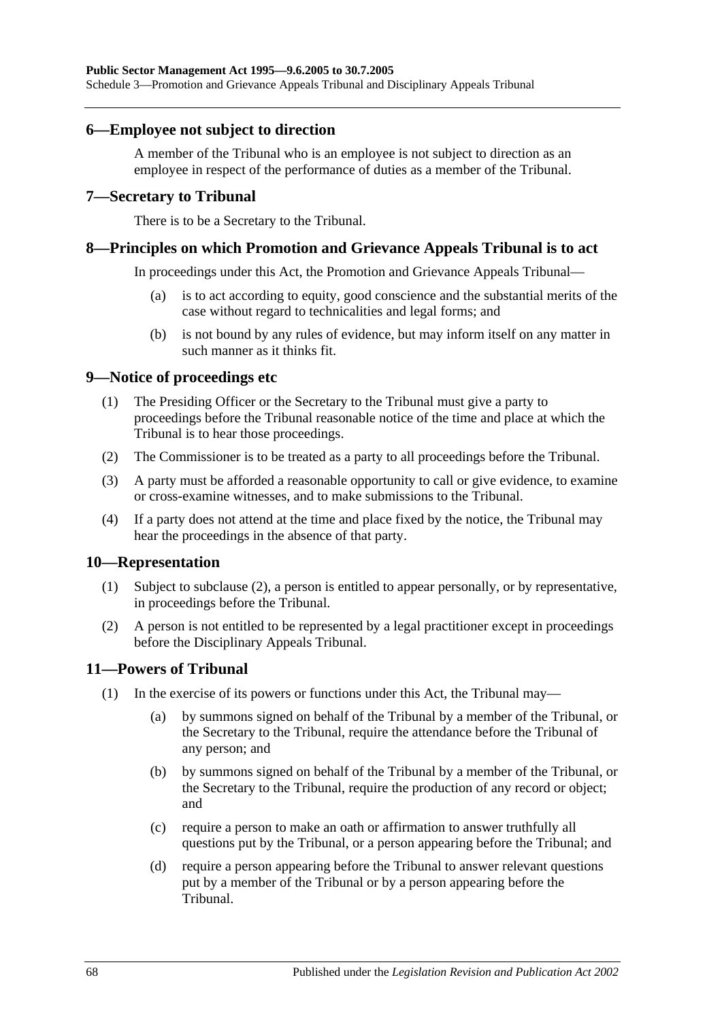### **6—Employee not subject to direction**

A member of the Tribunal who is an employee is not subject to direction as an employee in respect of the performance of duties as a member of the Tribunal.

#### **7—Secretary to Tribunal**

There is to be a Secretary to the Tribunal.

#### **8—Principles on which Promotion and Grievance Appeals Tribunal is to act**

In proceedings under this Act, the Promotion and Grievance Appeals Tribunal—

- (a) is to act according to equity, good conscience and the substantial merits of the case without regard to technicalities and legal forms; and
- (b) is not bound by any rules of evidence, but may inform itself on any matter in such manner as it thinks fit.

#### **9—Notice of proceedings etc**

- (1) The Presiding Officer or the Secretary to the Tribunal must give a party to proceedings before the Tribunal reasonable notice of the time and place at which the Tribunal is to hear those proceedings.
- (2) The Commissioner is to be treated as a party to all proceedings before the Tribunal.
- (3) A party must be afforded a reasonable opportunity to call or give evidence, to examine or cross-examine witnesses, and to make submissions to the Tribunal.
- (4) If a party does not attend at the time and place fixed by the notice, the Tribunal may hear the proceedings in the absence of that party.

#### **10—Representation**

- (1) Subject to [subclause](#page-67-0) (2), a person is entitled to appear personally, or by representative, in proceedings before the Tribunal.
- <span id="page-67-0"></span>(2) A person is not entitled to be represented by a legal practitioner except in proceedings before the Disciplinary Appeals Tribunal.

### **11—Powers of Tribunal**

- (1) In the exercise of its powers or functions under this Act, the Tribunal may—
	- (a) by summons signed on behalf of the Tribunal by a member of the Tribunal, or the Secretary to the Tribunal, require the attendance before the Tribunal of any person; and
	- (b) by summons signed on behalf of the Tribunal by a member of the Tribunal, or the Secretary to the Tribunal, require the production of any record or object; and
	- (c) require a person to make an oath or affirmation to answer truthfully all questions put by the Tribunal, or a person appearing before the Tribunal; and
	- (d) require a person appearing before the Tribunal to answer relevant questions put by a member of the Tribunal or by a person appearing before the Tribunal.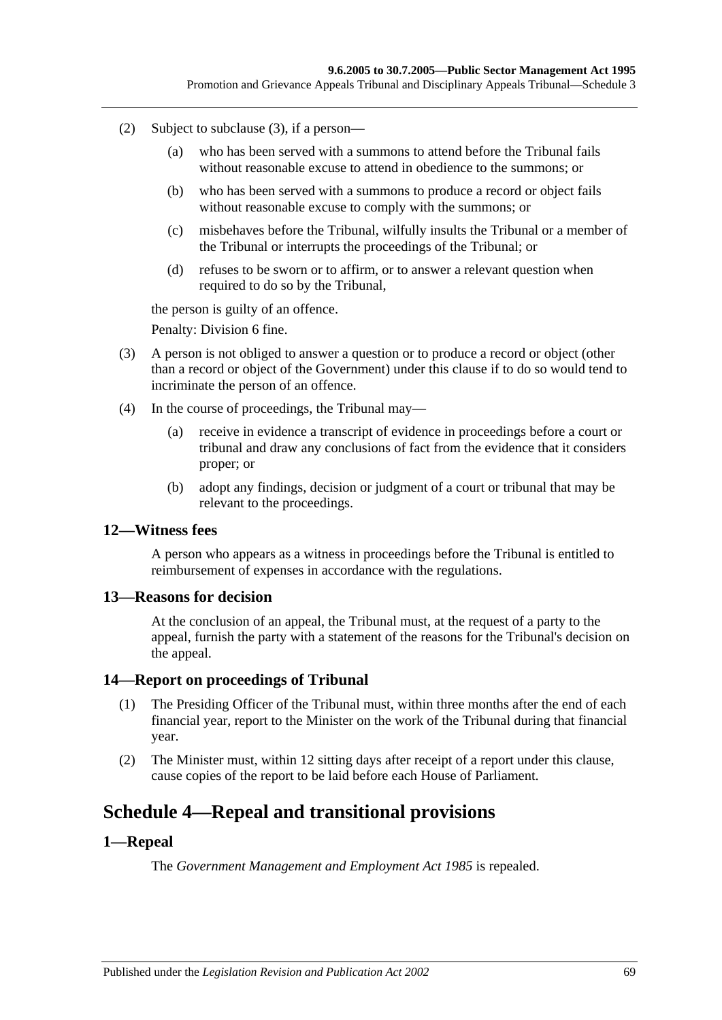- (2) Subject to [subclause](#page-68-0) (3), if a person—
	- (a) who has been served with a summons to attend before the Tribunal fails without reasonable excuse to attend in obedience to the summons; or
	- (b) who has been served with a summons to produce a record or object fails without reasonable excuse to comply with the summons; or
	- (c) misbehaves before the Tribunal, wilfully insults the Tribunal or a member of the Tribunal or interrupts the proceedings of the Tribunal; or
	- (d) refuses to be sworn or to affirm, or to answer a relevant question when required to do so by the Tribunal,

the person is guilty of an offence.

Penalty: Division 6 fine.

- <span id="page-68-0"></span>(3) A person is not obliged to answer a question or to produce a record or object (other than a record or object of the Government) under this clause if to do so would tend to incriminate the person of an offence.
- (4) In the course of proceedings, the Tribunal may—
	- (a) receive in evidence a transcript of evidence in proceedings before a court or tribunal and draw any conclusions of fact from the evidence that it considers proper; or
	- (b) adopt any findings, decision or judgment of a court or tribunal that may be relevant to the proceedings.

#### **12—Witness fees**

A person who appears as a witness in proceedings before the Tribunal is entitled to reimbursement of expenses in accordance with the regulations.

#### **13—Reasons for decision**

At the conclusion of an appeal, the Tribunal must, at the request of a party to the appeal, furnish the party with a statement of the reasons for the Tribunal's decision on the appeal.

#### **14—Report on proceedings of Tribunal**

- (1) The Presiding Officer of the Tribunal must, within three months after the end of each financial year, report to the Minister on the work of the Tribunal during that financial year.
- (2) The Minister must, within 12 sitting days after receipt of a report under this clause, cause copies of the report to be laid before each House of Parliament.

# **Schedule 4—Repeal and transitional provisions**

#### **1—Repeal**

The *[Government Management and Employment Act](http://www.legislation.sa.gov.au/index.aspx?action=legref&type=act&legtitle=Government%20Management%20and%20Employment%20Act%201985) 1985* is repealed.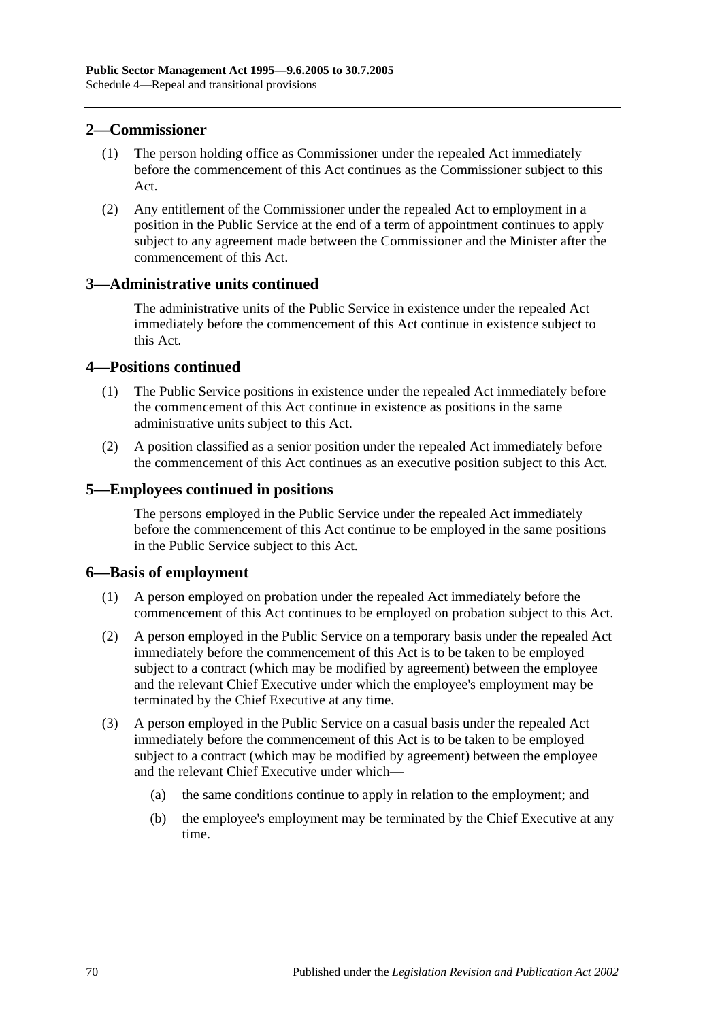### **2—Commissioner**

- (1) The person holding office as Commissioner under the repealed Act immediately before the commencement of this Act continues as the Commissioner subject to this Act.
- (2) Any entitlement of the Commissioner under the repealed Act to employment in a position in the Public Service at the end of a term of appointment continues to apply subject to any agreement made between the Commissioner and the Minister after the commencement of this Act.

### **3—Administrative units continued**

The administrative units of the Public Service in existence under the repealed Act immediately before the commencement of this Act continue in existence subject to this Act.

### **4—Positions continued**

- (1) The Public Service positions in existence under the repealed Act immediately before the commencement of this Act continue in existence as positions in the same administrative units subject to this Act.
- (2) A position classified as a senior position under the repealed Act immediately before the commencement of this Act continues as an executive position subject to this Act.

### **5—Employees continued in positions**

The persons employed in the Public Service under the repealed Act immediately before the commencement of this Act continue to be employed in the same positions in the Public Service subject to this Act.

### **6—Basis of employment**

- (1) A person employed on probation under the repealed Act immediately before the commencement of this Act continues to be employed on probation subject to this Act.
- (2) A person employed in the Public Service on a temporary basis under the repealed Act immediately before the commencement of this Act is to be taken to be employed subject to a contract (which may be modified by agreement) between the employee and the relevant Chief Executive under which the employee's employment may be terminated by the Chief Executive at any time.
- (3) A person employed in the Public Service on a casual basis under the repealed Act immediately before the commencement of this Act is to be taken to be employed subject to a contract (which may be modified by agreement) between the employee and the relevant Chief Executive under which—
	- (a) the same conditions continue to apply in relation to the employment; and
	- (b) the employee's employment may be terminated by the Chief Executive at any time.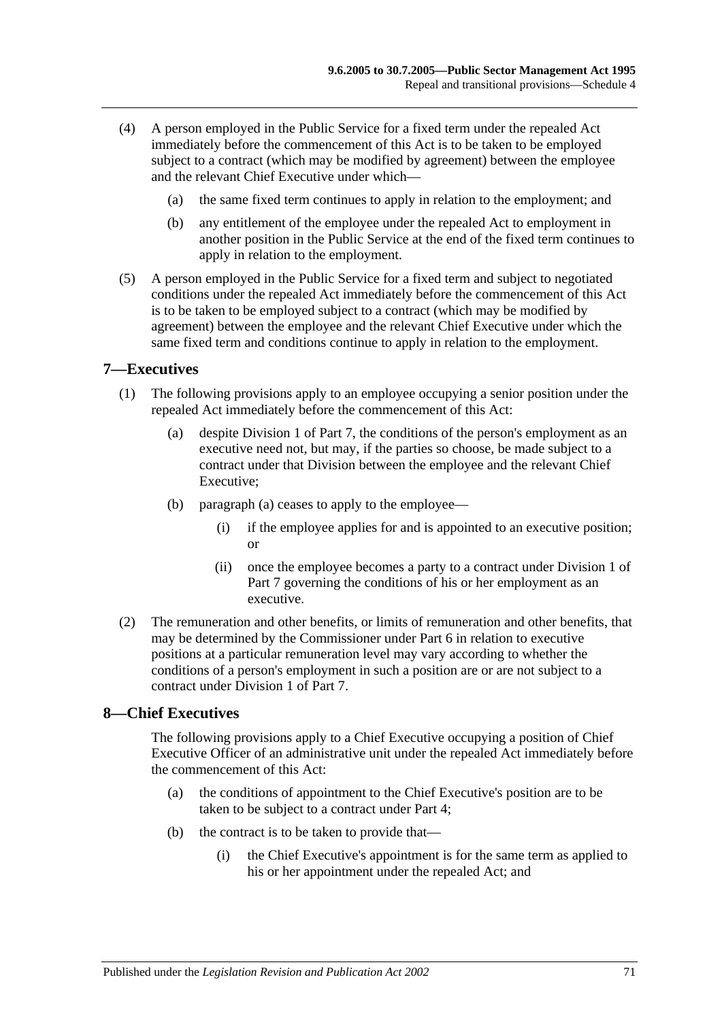- (4) A person employed in the Public Service for a fixed term under the repealed Act immediately before the commencement of this Act is to be taken to be employed subject to a contract (which may be modified by agreement) between the employee and the relevant Chief Executive under which—
	- (a) the same fixed term continues to apply in relation to the employment; and
	- (b) any entitlement of the employee under the repealed Act to employment in another position in the Public Service at the end of the fixed term continues to apply in relation to the employment.
- (5) A person employed in the Public Service for a fixed term and subject to negotiated conditions under the repealed Act immediately before the commencement of this Act is to be taken to be employed subject to a contract (which may be modified by agreement) between the employee and the relevant Chief Executive under which the same fixed term and conditions continue to apply in relation to the employment.

### **7—Executives**

- <span id="page-70-0"></span>(1) The following provisions apply to an employee occupying a senior position under the repealed Act immediately before the commencement of this Act:
	- (a) despite [Division 1](#page-35-1) of [Part 7,](#page-35-0) the conditions of the person's employment as an executive need not, but may, if the parties so choose, be made subject to a contract under that Division between the employee and the relevant Chief Executive;
	- (b) [paragraph](#page-70-0) (a) ceases to apply to the employee—
		- (i) if the employee applies for and is appointed to an executive position; or
		- (ii) once the employee becomes a party to a contract under [Division 1](#page-35-1) of [Part 7](#page-35-0) governing the conditions of his or her employment as an executive.
- (2) The remuneration and other benefits, or limits of remuneration and other benefits, that may be determined by the Commissioner under [Part 6](#page-33-0) in relation to executive positions at a particular remuneration level may vary according to whether the conditions of a person's employment in such a position are or are not subject to a contract under [Division 1](#page-35-1) of [Part 7.](#page-35-0)

## **8—Chief Executives**

The following provisions apply to a Chief Executive occupying a position of Chief Executive Officer of an administrative unit under the repealed Act immediately before the commencement of this Act:

- (a) the conditions of appointment to the Chief Executive's position are to be taken to be subject to a contract under [Part 4;](#page-25-0)
- (b) the contract is to be taken to provide that—
	- (i) the Chief Executive's appointment is for the same term as applied to his or her appointment under the repealed Act; and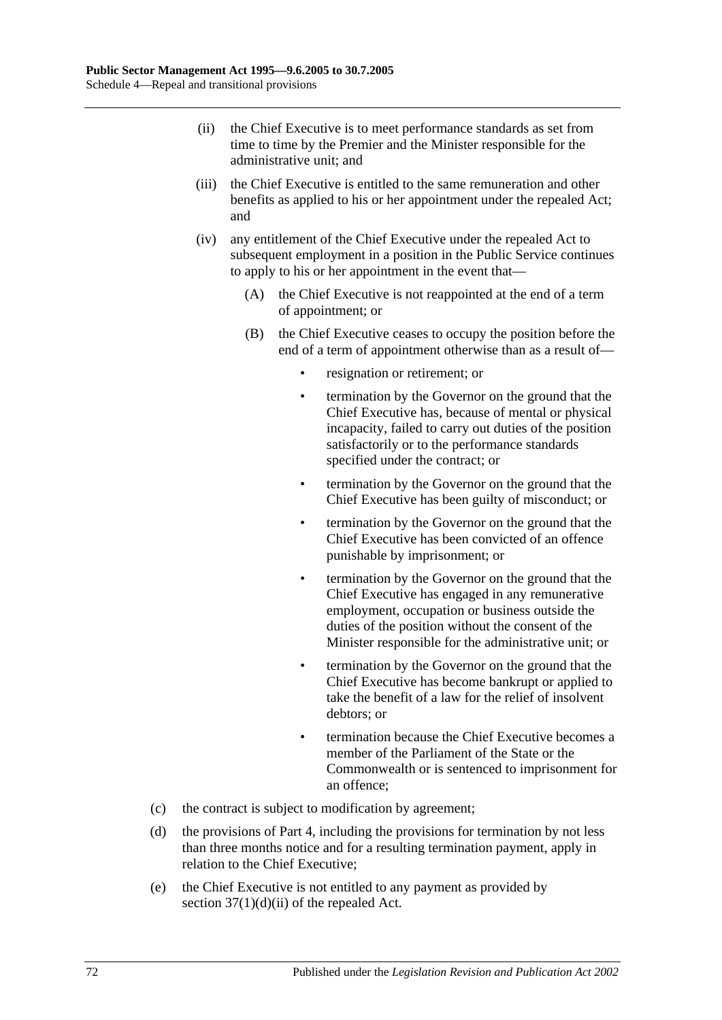- (ii) the Chief Executive is to meet performance standards as set from time to time by the Premier and the Minister responsible for the administrative unit; and
- (iii) the Chief Executive is entitled to the same remuneration and other benefits as applied to his or her appointment under the repealed Act; and
- (iv) any entitlement of the Chief Executive under the repealed Act to subsequent employment in a position in the Public Service continues to apply to his or her appointment in the event that—
	- (A) the Chief Executive is not reappointed at the end of a term of appointment; or
	- (B) the Chief Executive ceases to occupy the position before the end of a term of appointment otherwise than as a result of
		- resignation or retirement; or
		- termination by the Governor on the ground that the Chief Executive has, because of mental or physical incapacity, failed to carry out duties of the position satisfactorily or to the performance standards specified under the contract; or
		- termination by the Governor on the ground that the Chief Executive has been guilty of misconduct; or
		- termination by the Governor on the ground that the Chief Executive has been convicted of an offence punishable by imprisonment; or
		- termination by the Governor on the ground that the Chief Executive has engaged in any remunerative employment, occupation or business outside the duties of the position without the consent of the Minister responsible for the administrative unit; or
		- termination by the Governor on the ground that the Chief Executive has become bankrupt or applied to take the benefit of a law for the relief of insolvent debtors; or
		- termination because the Chief Executive becomes a member of the Parliament of the State or the Commonwealth or is sentenced to imprisonment for an offence;
- (c) the contract is subject to modification by agreement;
- (d) the provisions of [Part 4,](#page-25-0) including the provisions for termination by not less than three months notice and for a resulting termination payment, apply in relation to the Chief Executive;
- (e) the Chief Executive is not entitled to any payment as provided by section  $37(1)(d)(ii)$  of the repealed Act.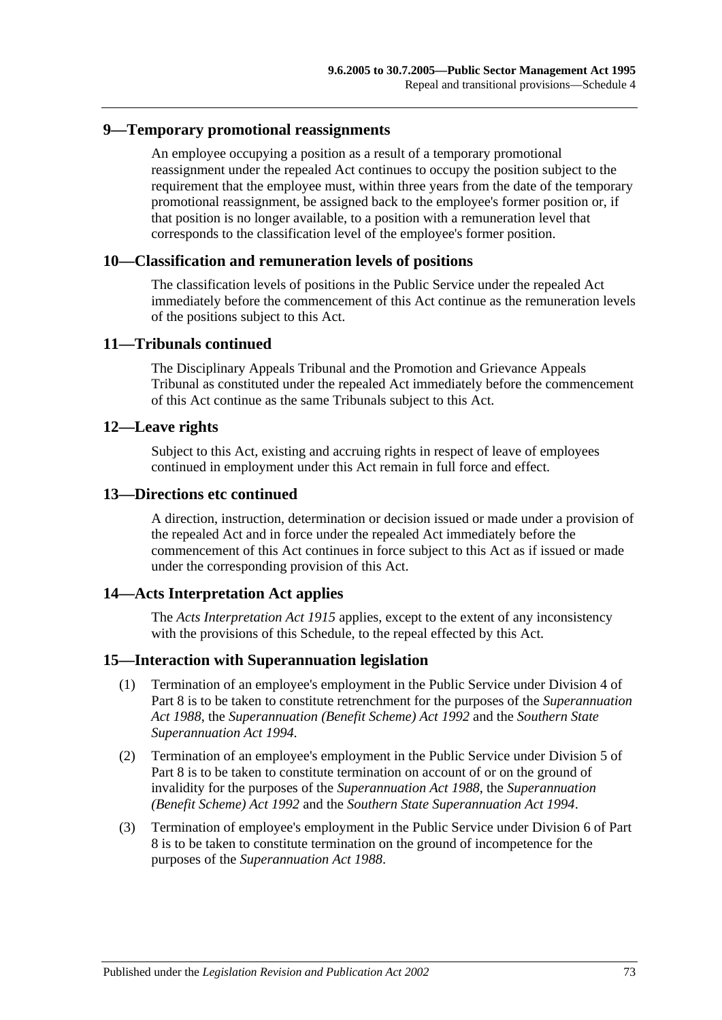### **9—Temporary promotional reassignments**

An employee occupying a position as a result of a temporary promotional reassignment under the repealed Act continues to occupy the position subject to the requirement that the employee must, within three years from the date of the temporary promotional reassignment, be assigned back to the employee's former position or, if that position is no longer available, to a position with a remuneration level that corresponds to the classification level of the employee's former position.

### **10—Classification and remuneration levels of positions**

The classification levels of positions in the Public Service under the repealed Act immediately before the commencement of this Act continue as the remuneration levels of the positions subject to this Act.

### **11—Tribunals continued**

The Disciplinary Appeals Tribunal and the Promotion and Grievance Appeals Tribunal as constituted under the repealed Act immediately before the commencement of this Act continue as the same Tribunals subject to this Act.

### **12—Leave rights**

Subject to this Act, existing and accruing rights in respect of leave of employees continued in employment under this Act remain in full force and effect.

#### **13—Directions etc continued**

A direction, instruction, determination or decision issued or made under a provision of the repealed Act and in force under the repealed Act immediately before the commencement of this Act continues in force subject to this Act as if issued or made under the corresponding provision of this Act.

### **14—Acts Interpretation Act applies**

The *[Acts Interpretation Act](http://www.legislation.sa.gov.au/index.aspx?action=legref&type=act&legtitle=Acts%20Interpretation%20Act%201915) 1915* applies, except to the extent of any inconsistency with the provisions of this Schedule, to the repeal effected by this Act.

### **15—Interaction with Superannuation legislation**

- (1) Termination of an employee's employment in the Public Service under [Division](#page-43-0) 4 of [Part 8](#page-42-0) is to be taken to constitute retrenchment for the purposes of the *[Superannuation](http://www.legislation.sa.gov.au/index.aspx?action=legref&type=act&legtitle=Superannuation%20Act%201988)  Act [1988](http://www.legislation.sa.gov.au/index.aspx?action=legref&type=act&legtitle=Superannuation%20Act%201988)*, the *[Superannuation \(Benefit Scheme\) Act](http://www.legislation.sa.gov.au/index.aspx?action=legref&type=act&legtitle=Superannuation%20(Benefit%20Scheme)%20Act%201992) 1992* and the *[Southern State](http://www.legislation.sa.gov.au/index.aspx?action=legref&type=act&legtitle=Southern%20State%20Superannuation%20Act%201994)  [Superannuation Act](http://www.legislation.sa.gov.au/index.aspx?action=legref&type=act&legtitle=Southern%20State%20Superannuation%20Act%201994) 1994*.
- (2) Termination of an employee's employment in the Public Service under [Division 5](#page-44-0) of [Part 8](#page-42-0) is to be taken to constitute termination on account of or on the ground of invalidity for the purposes of the *[Superannuation Act](http://www.legislation.sa.gov.au/index.aspx?action=legref&type=act&legtitle=Superannuation%20Act%201988) 1988*, the *[Superannuation](http://www.legislation.sa.gov.au/index.aspx?action=legref&type=act&legtitle=Superannuation%20(Benefit%20Scheme)%20Act%201992)  [\(Benefit Scheme\) Act](http://www.legislation.sa.gov.au/index.aspx?action=legref&type=act&legtitle=Superannuation%20(Benefit%20Scheme)%20Act%201992) 1992* and the *[Southern State Superannuation Act](http://www.legislation.sa.gov.au/index.aspx?action=legref&type=act&legtitle=Southern%20State%20Superannuation%20Act%201994) 1994*.
- (3) Termination of employee's employment in the Public Service under [Division 6](#page-46-0) of [Part](#page-42-0)  [8](#page-42-0) is to be taken to constitute termination on the ground of incompetence for the purposes of the *[Superannuation Act](http://www.legislation.sa.gov.au/index.aspx?action=legref&type=act&legtitle=Superannuation%20Act%201988) 1988*.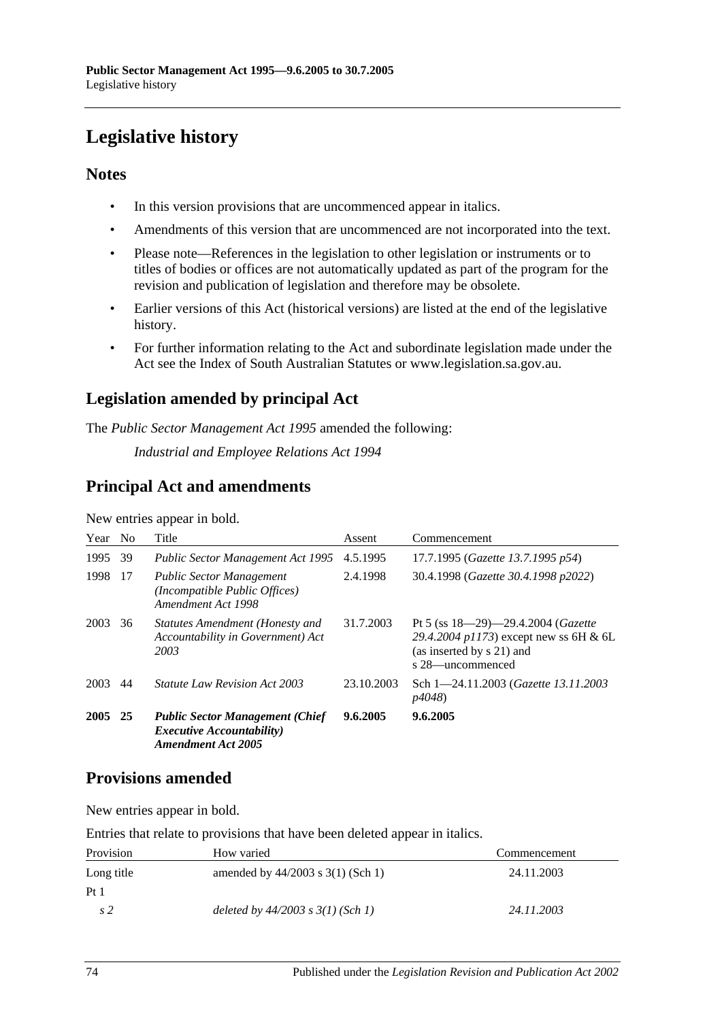# **Legislative history**

### **Notes**

- In this version provisions that are uncommenced appear in italics.
- Amendments of this version that are uncommenced are not incorporated into the text.
- Please note—References in the legislation to other legislation or instruments or to titles of bodies or offices are not automatically updated as part of the program for the revision and publication of legislation and therefore may be obsolete.
- Earlier versions of this Act (historical versions) are listed at the end of the legislative history.
- For further information relating to the Act and subordinate legislation made under the Act see the Index of South Australian Statutes or www.legislation.sa.gov.au.

## **Legislation amended by principal Act**

The *Public Sector Management Act 1995* amended the following:

*Industrial and Employee Relations Act 1994*

## **Principal Act and amendments**

| Year | N <sub>0</sub> | Title                                                                                                    | Assent     | Commencement                                                                                                                   |
|------|----------------|----------------------------------------------------------------------------------------------------------|------------|--------------------------------------------------------------------------------------------------------------------------------|
| 1995 | 39             | <b>Public Sector Management Act 1995</b>                                                                 | 4.5.1995   | 17.7.1995 (Gazette 13.7.1995 p54)                                                                                              |
| 1998 | 17             | <b>Public Sector Management</b><br>(Incompatible Public Offices)<br>Amendment Act 1998                   | 2.4.1998   | 30.4.1998 (Gazette 30.4.1998 p2022)                                                                                            |
| 2003 | 36             | Statutes Amendment (Honesty and<br>Accountability in Government) Act<br>2003                             | 31.7.2003  | Pt 5 (ss $18-29-29.4.2004$ (Gazette<br>29.4.2004 p1173) except new ss 6H & 6L<br>(as inserted by s 21) and<br>s 28—uncommenced |
| 2003 | 44             | <i>Statute Law Revision Act 2003</i>                                                                     | 23.10.2003 | Sch 1-24.11.2003 (Gazette 13.11.2003)<br><i>p4048</i> )                                                                        |
| 2005 | 25             | <b>Public Sector Management (Chief</b><br><i>Executive Accountability</i> )<br><b>Amendment Act 2005</b> | 9.6.2005   | 9.6.2005                                                                                                                       |

New entries appear in bold.

## **Provisions amended**

New entries appear in bold.

Entries that relate to provisions that have been deleted appear in italics.

| Provision       | How varied                            | Commencement |
|-----------------|---------------------------------------|--------------|
| Long title      | amended by $44/2003$ s $3(1)$ (Sch 1) | 24.11.2003   |
| Pt <sub>1</sub> |                                       |              |
| s 2             | deleted by $44/2003$ s $3(1)$ (Sch 1) | 24.11.2003   |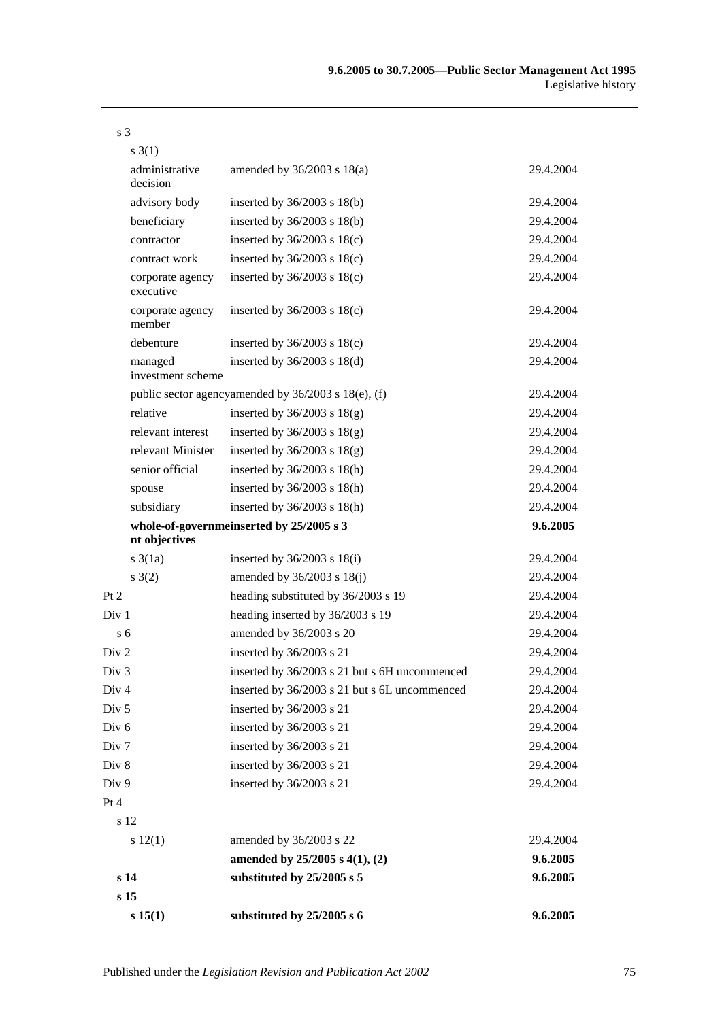| $s \; 3(1)$                   |                                                     |           |
|-------------------------------|-----------------------------------------------------|-----------|
| administrative<br>decision    | amended by $36/2003$ s $18(a)$                      | 29.4.2004 |
| advisory body                 | inserted by $36/2003$ s $18(b)$                     | 29.4.2004 |
| beneficiary                   | inserted by $36/2003$ s $18(b)$                     | 29.4.2004 |
| contractor                    | inserted by $36/2003$ s $18(c)$                     | 29.4.2004 |
| contract work                 | inserted by $36/2003$ s $18(c)$                     | 29.4.2004 |
| corporate agency<br>executive | inserted by $36/2003$ s $18(c)$                     | 29.4.2004 |
| corporate agency<br>member    | inserted by $36/2003$ s $18(c)$                     | 29.4.2004 |
| debenture                     | inserted by $36/2003$ s $18(c)$                     | 29.4.2004 |
| managed<br>investment scheme  | inserted by $36/2003$ s $18(d)$                     | 29.4.2004 |
|                               | public sector agencyamended by 36/2003 s 18(e), (f) | 29.4.2004 |
| relative                      | inserted by $36/2003$ s $18(g)$                     | 29.4.2004 |
| relevant interest             | inserted by $36/2003$ s $18(g)$                     | 29.4.2004 |
| relevant Minister             | inserted by $36/2003$ s $18(g)$                     | 29.4.2004 |
| senior official               | inserted by $36/2003$ s $18(h)$                     | 29.4.2004 |
| spouse                        | inserted by $36/2003$ s $18(h)$                     | 29.4.2004 |
| subsidiary                    | inserted by $36/2003$ s $18(h)$                     | 29.4.2004 |
| nt objectives                 | whole-of-governmeinserted by 25/2005 s 3            | 9.6.2005  |
| $s \cdot 3(1a)$               | inserted by $36/2003$ s $18(i)$                     | 29.4.2004 |
| s(2)                          | amended by $36/2003$ s $18(j)$                      | 29.4.2004 |
| Pt 2                          | heading substituted by 36/2003 s 19                 | 29.4.2004 |
| Div <sub>1</sub>              | heading inserted by 36/2003 s 19                    | 29.4.2004 |
| s <sub>6</sub>                | amended by 36/2003 s 20                             | 29.4.2004 |
| Div <sub>2</sub>              | inserted by 36/2003 s 21                            | 29.4.2004 |
| Div 3                         | inserted by 36/2003 s 21 but s 6H uncommenced       | 29.4.2004 |
| Div <sub>4</sub>              | inserted by 36/2003 s 21 but s 6L uncommenced       | 29.4.2004 |
| Div <sub>5</sub>              | inserted by 36/2003 s 21                            | 29.4.2004 |
| Div <sub>6</sub>              | inserted by 36/2003 s 21                            | 29.4.2004 |
| Div 7                         | inserted by 36/2003 s 21                            | 29.4.2004 |
| Div 8                         | inserted by 36/2003 s 21                            | 29.4.2004 |
| Div 9                         | inserted by 36/2003 s 21                            | 29.4.2004 |
| Pt 4                          |                                                     |           |
| s 12                          |                                                     |           |
| s 12(1)                       | amended by 36/2003 s 22                             | 29.4.2004 |
|                               | amended by $25/2005$ s $4(1)$ , $(2)$               | 9.6.2005  |
| s 14                          | substituted by 25/2005 s 5                          | 9.6.2005  |
| s 15                          |                                                     |           |

s 3

**s 15(1) substituted by 25/2005 s 6 9.6.2005**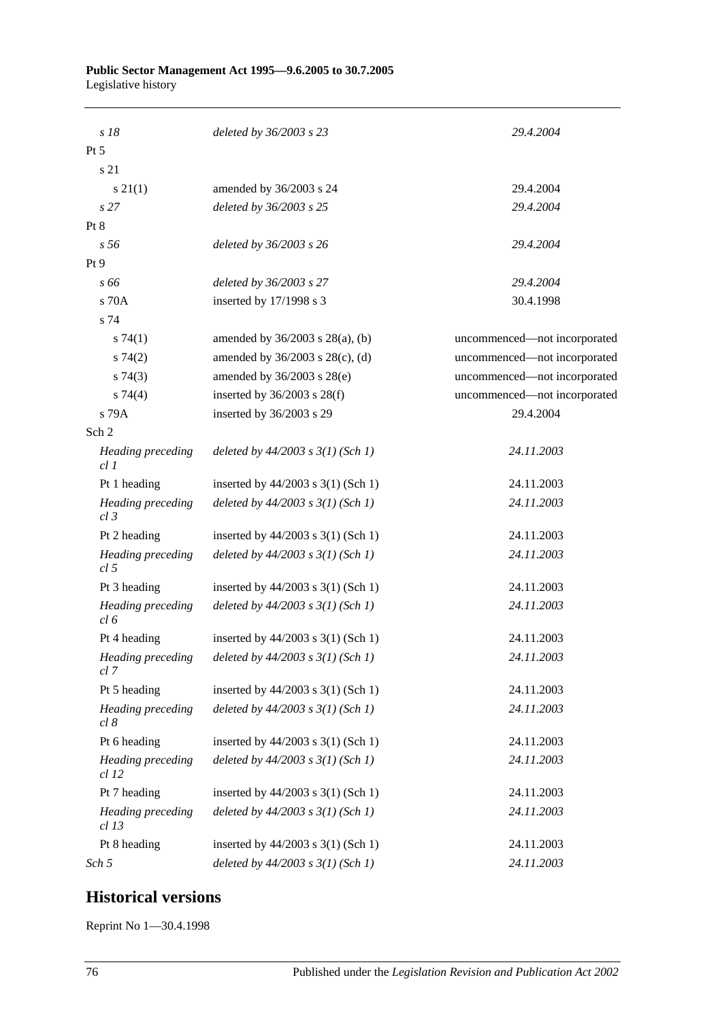| s 18                                 | deleted by 36/2003 s 23                                 | 29.4.2004                    |
|--------------------------------------|---------------------------------------------------------|------------------------------|
| $Pt\,5$                              |                                                         |                              |
| s 21                                 |                                                         |                              |
| $s \, 21(1)$                         | amended by 36/2003 s 24                                 | 29.4.2004                    |
| s <sub>27</sub>                      | deleted by 36/2003 s 25                                 | 29.4.2004                    |
| Pt 8                                 |                                                         |                              |
| s <sub>56</sub>                      | deleted by 36/2003 s 26                                 | 29.4.2004                    |
| Pt 9                                 |                                                         |                              |
| s 66                                 | deleted by 36/2003 s 27                                 | 29.4.2004                    |
| s 70A                                | inserted by 17/1998 s 3                                 | 30.4.1998                    |
| s 74                                 |                                                         |                              |
| s74(1)                               | amended by $36/2003$ s $28(a)$ , (b)                    | uncommenced—not incorporated |
| s74(2)                               | amended by 36/2003 s 28(c), (d)                         | uncommenced-not incorporated |
| s74(3)                               | amended by 36/2003 s 28(e)                              | uncommenced-not incorporated |
| s 74(4)                              | inserted by $36/2003$ s $28(f)$                         | uncommenced-not incorporated |
| s 79A                                | inserted by 36/2003 s 29                                | 29.4.2004                    |
| Sch <sub>2</sub>                     |                                                         |                              |
| Heading preceding<br>cl 1            | deleted by $44/2003$ s $3(1)$ (Sch 1)                   | 24.11.2003                   |
| Pt 1 heading                         | inserted by $44/2003$ s 3(1) (Sch 1)                    | 24.11.2003                   |
| Heading preceding<br>$cl$ 3          | deleted by $44/2003$ s $3(1)$ (Sch 1)                   | 24.11.2003                   |
| Pt 2 heading                         | inserted by $44/2003$ s 3(1) (Sch 1)                    | 24.11.2003                   |
| Heading preceding<br>cl <sub>5</sub> | deleted by $44/2003$ s $3(1)$ (Sch 1)                   | 24.11.2003                   |
| Pt 3 heading                         | inserted by $44/2003$ s 3(1) (Sch 1)                    | 24.11.2003                   |
| Heading preceding<br>cl 6            | deleted by $44/2003$ s $3(1)$ (Sch 1)                   | 24.11.2003                   |
| Pt 4 heading                         | inserted by $44/2003$ s 3(1) (Sch 1)                    | 24.11.2003                   |
| cl 7                                 | Heading preceding deleted by $44/2003$ s $3(1)$ (Sch 1) | 24.11.2003                   |
| Pt 5 heading                         | inserted by 44/2003 s 3(1) (Sch 1)                      | 24.11.2003                   |
| Heading preceding<br>cl 8            | deleted by $44/2003$ s $3(1)$ (Sch 1)                   | 24.11.2003                   |
| Pt 6 heading                         | inserted by $44/2003$ s $3(1)$ (Sch 1)                  | 24.11.2003                   |
| Heading preceding<br><i>cl</i> 12    | deleted by $44/2003$ s $3(1)$ (Sch 1)                   | 24.11.2003                   |
| Pt 7 heading                         | inserted by 44/2003 s 3(1) (Sch 1)                      | 24.11.2003                   |
| Heading preceding<br>$cl$ 13         | deleted by $44/2003$ s $3(1)$ (Sch 1)                   | 24.11.2003                   |
| Pt 8 heading                         | inserted by 44/2003 s 3(1) (Sch 1)                      | 24.11.2003                   |
| Sch 5                                | deleted by $44/2003$ s $3(1)$ (Sch 1)                   | 24.11.2003                   |

## **Historical versions**

Reprint No 1—30.4.1998